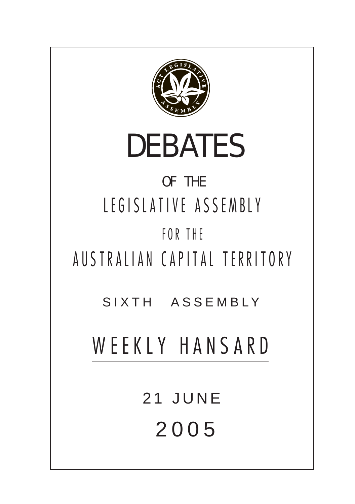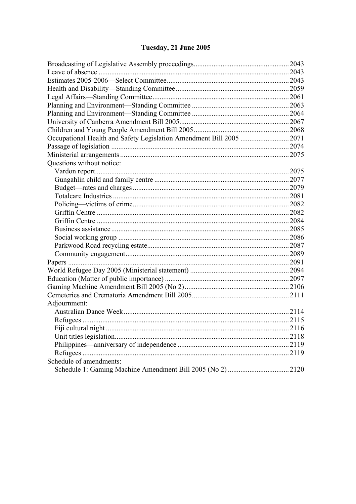# Tuesday, 21 June 2005

| Occupational Health and Safety Legislation Amendment Bill 2005  2071 |  |
|----------------------------------------------------------------------|--|
|                                                                      |  |
|                                                                      |  |
| Questions without notice:                                            |  |
|                                                                      |  |
|                                                                      |  |
|                                                                      |  |
|                                                                      |  |
|                                                                      |  |
|                                                                      |  |
|                                                                      |  |
|                                                                      |  |
|                                                                      |  |
|                                                                      |  |
|                                                                      |  |
|                                                                      |  |
|                                                                      |  |
|                                                                      |  |
|                                                                      |  |
|                                                                      |  |
| Adjournment:                                                         |  |
|                                                                      |  |
|                                                                      |  |
|                                                                      |  |
|                                                                      |  |
|                                                                      |  |
|                                                                      |  |
| Schedule of amendments:                                              |  |
|                                                                      |  |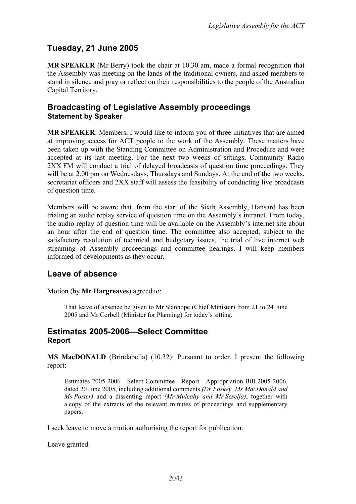## **Tuesday, 21 June 2005**

**MR SPEAKER** (Mr Berry) took the chair at 10.30 am, made a formal recognition that the Assembly was meeting on the lands of the traditional owners, and asked members to stand in silence and pray or reflect on their responsibilities to the people of the Australian Capital Territory.

### <span id="page-2-0"></span>**Broadcasting of Legislative Assembly proceedings Statement by Speaker**

**MR SPEAKER**: Members, I would like to inform you of three initiatives that are aimed at improving access for ACT people to the work of the Assembly. These matters have been taken up with the Standing Committee on Administration and Procedure and were accepted at its last meeting. For the next two weeks of sittings, Community Radio 2XX FM will conduct a trial of delayed broadcasts of question time proceedings. They will be at 2.00 pm on Wednesdays, Thursdays and Sundays. At the end of the two weeks, secretariat officers and 2XX staff will assess the feasibility of conducting live broadcasts of question time.

Members will be aware that, from the start of the Sixth Assembly, Hansard has been trialing an audio replay service of question time on the Assembly's intranet. From today, the audio replay of question time will be available on the Assembly's internet site about an hour after the end of question time. The committee also accepted, subject to the satisfactory resolution of technical and budgetary issues, the trial of live internet web streaming of Assembly proceedings and committee hearings. I will keep members informed of developments as they occur.

## <span id="page-2-1"></span>**Leave of absence**

Motion (by **Mr Hargreaves**) agreed to:

That leave of absence be given to Mr Stanhope (Chief Minister) from 21 to 24 June 2005 and Mr Corbell (Minister for Planning) for today's sitting.

### <span id="page-2-2"></span>**Estimates 2005-2006—Select Committee Report**

**MS MacDONALD** (Brindabella) (10.32): Pursuant to order, I present the following report:

Estimates 2005-2006—Select Committee—Report—Appropriation Bill 2005-2006, dated 20 June 2005, including additional comments *(Dr Foskey, Ms MacDonald and Ms Porter)* and a dissenting report *(Mr Mulcahy and Mr Seselja)*, together with a copy of the extracts of the relevant minutes of proceedings and supplementary papers.

I seek leave to move a motion authorising the report for publication.

Leave granted.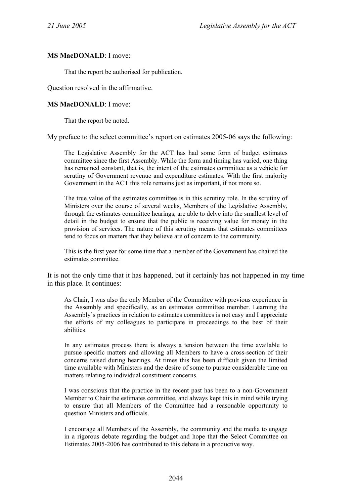#### **MS MacDONALD**: I move:

That the report be authorised for publication.

Question resolved in the affirmative.

#### **MS MacDONALD**: I move:

That the report be noted.

My preface to the select committee's report on estimates 2005-06 says the following:

The Legislative Assembly for the ACT has had some form of budget estimates committee since the first Assembly. While the form and timing has varied, one thing has remained constant, that is, the intent of the estimates committee as a vehicle for scrutiny of Government revenue and expenditure estimates. With the first majority Government in the ACT this role remains just as important, if not more so.

The true value of the estimates committee is in this scrutiny role. In the scrutiny of Ministers over the course of several weeks, Members of the Legislative Assembly, through the estimates committee hearings, are able to delve into the smallest level of detail in the budget to ensure that the public is receiving value for money in the provision of services. The nature of this scrutiny means that estimates committees tend to focus on matters that they believe are of concern to the community.

This is the first year for some time that a member of the Government has chaired the estimates committee.

It is not the only time that it has happened, but it certainly has not happened in my time in this place. It continues:

As Chair, I was also the only Member of the Committee with previous experience in the Assembly and specifically, as an estimates committee member. Learning the Assembly's practices in relation to estimates committees is not easy and I appreciate the efforts of my colleagues to participate in proceedings to the best of their abilities.

In any estimates process there is always a tension between the time available to pursue specific matters and allowing all Members to have a cross-section of their concerns raised during hearings. At times this has been difficult given the limited time available with Ministers and the desire of some to pursue considerable time on matters relating to individual constituent concerns.

I was conscious that the practice in the recent past has been to a non-Government Member to Chair the estimates committee, and always kept this in mind while trying to ensure that all Members of the Committee had a reasonable opportunity to question Ministers and officials.

I encourage all Members of the Assembly, the community and the media to engage in a rigorous debate regarding the budget and hope that the Select Committee on Estimates 2005-2006 has contributed to this debate in a productive way.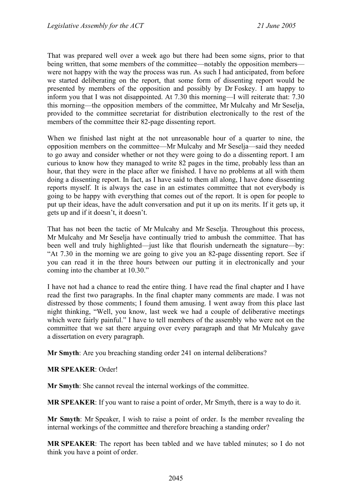That was prepared well over a week ago but there had been some signs, prior to that being written, that some members of the committee—notably the opposition members were not happy with the way the process was run. As such I had anticipated, from before we started deliberating on the report, that some form of dissenting report would be presented by members of the opposition and possibly by Dr Foskey. I am happy to inform you that I was not disappointed. At 7.30 this morning—I will reiterate that: 7.30 this morning—the opposition members of the committee, Mr Mulcahy and Mr Seselja, provided to the committee secretariat for distribution electronically to the rest of the members of the committee their 82-page dissenting report.

When we finished last night at the not unreasonable hour of a quarter to nine, the opposition members on the committee—Mr Mulcahy and Mr Seselja—said they needed to go away and consider whether or not they were going to do a dissenting report. I am curious to know how they managed to write 82 pages in the time, probably less than an hour, that they were in the place after we finished. I have no problems at all with them doing a dissenting report. In fact, as I have said to them all along, I have done dissenting reports myself. It is always the case in an estimates committee that not everybody is going to be happy with everything that comes out of the report. It is open for people to put up their ideas, have the adult conversation and put it up on its merits. If it gets up, it gets up and if it doesn't, it doesn't.

That has not been the tactic of Mr Mulcahy and Mr Seselja. Throughout this process, Mr Mulcahy and Mr Seselja have continually tried to ambush the committee. That has been well and truly highlighted—just like that flourish underneath the signature—by: "At 7.30 in the morning we are going to give you an 82-page dissenting report. See if you can read it in the three hours between our putting it in electronically and your coming into the chamber at 10.30."

I have not had a chance to read the entire thing. I have read the final chapter and I have read the first two paragraphs. In the final chapter many comments are made. I was not distressed by those comments; I found them amusing. I went away from this place last night thinking, "Well, you know, last week we had a couple of deliberative meetings which were fairly painful." I have to tell members of the assembly who were not on the committee that we sat there arguing over every paragraph and that Mr Mulcahy gave a dissertation on every paragraph.

**Mr Smyth**: Are you breaching standing order 241 on internal deliberations?

#### **MR SPEAKER**: Order!

**Mr Smyth**: She cannot reveal the internal workings of the committee.

**MR SPEAKER**: If you want to raise a point of order, Mr Smyth, there is a way to do it.

**Mr Smyth**: Mr Speaker, I wish to raise a point of order. Is the member revealing the internal workings of the committee and therefore breaching a standing order?

**MR SPEAKER**: The report has been tabled and we have tabled minutes; so I do not think you have a point of order.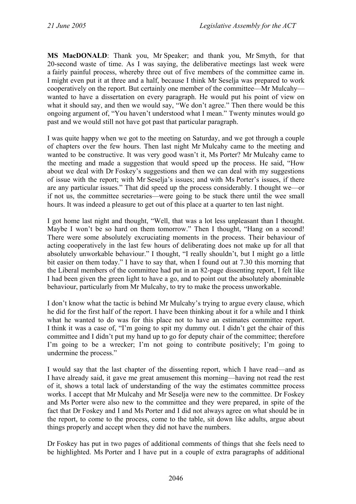**MS MacDONALD**: Thank you, Mr Speaker; and thank you, Mr Smyth, for that 20-second waste of time. As I was saying, the deliberative meetings last week were a fairly painful process, whereby three out of five members of the committee came in. I might even put it at three and a half, because I think Mr Seselja was prepared to work cooperatively on the report. But certainly one member of the committee—Mr Mulcahy wanted to have a dissertation on every paragraph. He would put his point of view on what it should say, and then we would say, "We don't agree." Then there would be this ongoing argument of, "You haven't understood what I mean." Twenty minutes would go past and we would still not have got past that particular paragraph.

I was quite happy when we got to the meeting on Saturday, and we got through a couple of chapters over the few hours. Then last night Mr Mulcahy came to the meeting and wanted to be constructive. It was very good wasn't it, Ms Porter? Mr Mulcahy came to the meeting and made a suggestion that would speed up the process. He said, "How about we deal with Dr Foskey's suggestions and then we can deal with my suggestions of issue with the report; with Mr Seselja's issues; and with Ms Porter's issues, if there are any particular issues." That did speed up the process considerably. I thought we—or if not us, the committee secretaries—were going to be stuck there until the wee small hours. It was indeed a pleasure to get out of this place at a quarter to ten last night.

I got home last night and thought, "Well, that was a lot less unpleasant than I thought. Maybe I won't be so hard on them tomorrow." Then I thought, "Hang on a second! There were some absolutely excruciating moments in the process. Their behaviour of acting cooperatively in the last few hours of deliberating does not make up for all that absolutely unworkable behaviour." I thought, "I really shouldn't, but I might go a little bit easier on them today." I have to say that, when I found out at 7.30 this morning that the Liberal members of the committee had put in an 82-page dissenting report, I felt like I had been given the green light to have a go, and to point out the absolutely abominable behaviour, particularly from Mr Mulcahy, to try to make the process unworkable.

I don't know what the tactic is behind Mr Mulcahy's trying to argue every clause, which he did for the first half of the report. I have been thinking about it for a while and I think what he wanted to do was for this place not to have an estimates committee report. I think it was a case of, "I'm going to spit my dummy out. I didn't get the chair of this committee and I didn't put my hand up to go for deputy chair of the committee; therefore I'm going to be a wrecker; I'm not going to contribute positively; I'm going to undermine the process."

I would say that the last chapter of the dissenting report, which I have read—and as I have already said, it gave me great amusement this morning—having not read the rest of it, shows a total lack of understanding of the way the estimates committee process works. I accept that Mr Mulcahy and Mr Seselja were new to the committee. Dr Foskey and Ms Porter were also new to the committee and they were prepared, in spite of the fact that Dr Foskey and I and Ms Porter and I did not always agree on what should be in the report, to come to the process, come to the table, sit down like adults, argue about things properly and accept when they did not have the numbers.

Dr Foskey has put in two pages of additional comments of things that she feels need to be highlighted. Ms Porter and I have put in a couple of extra paragraphs of additional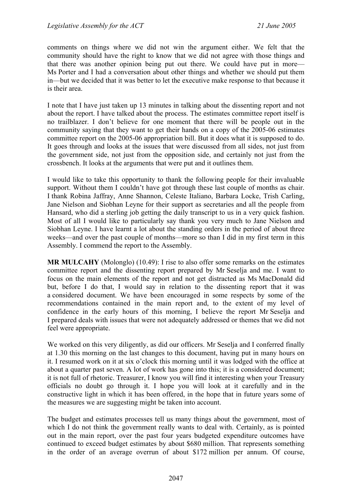comments on things where we did not win the argument either. We felt that the community should have the right to know that we did not agree with those things and that there was another opinion being put out there. We could have put in more— Ms Porter and I had a conversation about other things and whether we should put them in—but we decided that it was better to let the executive make response to that because it is their area.

I note that I have just taken up 13 minutes in talking about the dissenting report and not about the report. I have talked about the process. The estimates committee report itself is no trailblazer. I don't believe for one moment that there will be people out in the community saying that they want to get their hands on a copy of the 2005-06 estimates committee report on the 2005-06 appropriation bill. But it does what it is supposed to do. It goes through and looks at the issues that were discussed from all sides, not just from the government side, not just from the opposition side, and certainly not just from the crossbench. It looks at the arguments that were put and it outlines them.

I would like to take this opportunity to thank the following people for their invaluable support. Without them I couldn't have got through these last couple of months as chair. I thank Robina Jaffray, Anne Shannon, Celeste Italiano, Barbara Locke, Trish Carling, Jane Nielson and Siobhan Leyne for their support as secretaries and all the people from Hansard, who did a sterling job getting the daily transcript to us in a very quick fashion. Most of all I would like to particularly say thank you very much to Jane Nielson and Siobhan Leyne. I have learnt a lot about the standing orders in the period of about three weeks—and over the past couple of months—more so than I did in my first term in this Assembly. I commend the report to the Assembly.

**MR MULCAHY** (Molonglo) (10.49): I rise to also offer some remarks on the estimates committee report and the dissenting report prepared by Mr Seselja and me. I want to focus on the main elements of the report and not get distracted as Ms MacDonald did but, before I do that, I would say in relation to the dissenting report that it was a considered document. We have been encouraged in some respects by some of the recommendations contained in the main report and, to the extent of my level of confidence in the early hours of this morning, I believe the report Mr Seselja and I prepared deals with issues that were not adequately addressed or themes that we did not feel were appropriate.

We worked on this very diligently, as did our officers. Mr Seselia and I conferred finally at 1.30 this morning on the last changes to this document, having put in many hours on it. I resumed work on it at six o'clock this morning until it was lodged with the office at about a quarter past seven. A lot of work has gone into this; it is a considered document; it is not full of rhetoric. Treasurer, I know you will find it interesting when your Treasury officials no doubt go through it. I hope you will look at it carefully and in the constructive light in which it has been offered, in the hope that in future years some of the measures we are suggesting might be taken into account.

The budget and estimates processes tell us many things about the government, most of which I do not think the government really wants to deal with. Certainly, as is pointed out in the main report, over the past four years budgeted expenditure outcomes have continued to exceed budget estimates by about \$680 million. That represents something in the order of an average overrun of about \$172 million per annum. Of course,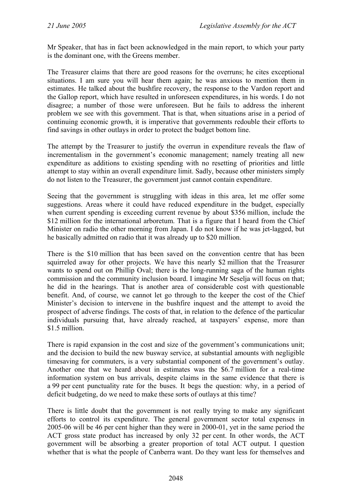Mr Speaker, that has in fact been acknowledged in the main report, to which your party is the dominant one, with the Greens member.

The Treasurer claims that there are good reasons for the overruns; he cites exceptional situations. I am sure you will hear them again; he was anxious to mention them in estimates. He talked about the bushfire recovery, the response to the Vardon report and the Gallop report, which have resulted in unforeseen expenditures, in his words. I do not disagree; a number of those were unforeseen. But he fails to address the inherent problem we see with this government. That is that, when situations arise in a period of continuing economic growth, it is imperative that governments redouble their efforts to find savings in other outlays in order to protect the budget bottom line.

The attempt by the Treasurer to justify the overrun in expenditure reveals the flaw of incrementalism in the government's economic management; namely treating all new expenditure as additions to existing spending with no resetting of priorities and little attempt to stay within an overall expenditure limit. Sadly, because other ministers simply do not listen to the Treasurer, the government just cannot contain expenditure.

Seeing that the government is struggling with ideas in this area, let me offer some suggestions. Areas where it could have reduced expenditure in the budget, especially when current spending is exceeding current revenue by about \$356 million, include the \$12 million for the international arboretum. That is a figure that I heard from the Chief Minister on radio the other morning from Japan. I do not know if he was jet-lagged, but he basically admitted on radio that it was already up to \$20 million.

There is the \$10 million that has been saved on the convention centre that has been squirreled away for other projects. We have this nearly \$2 million that the Treasurer wants to spend out on Phillip Oval; there is the long-running saga of the human rights commission and the community inclusion board. I imagine Mr Seselja will focus on that; he did in the hearings. That is another area of considerable cost with questionable benefit. And, of course, we cannot let go through to the keeper the cost of the Chief Minister's decision to intervene in the bushfire inquest and the attempt to avoid the prospect of adverse findings. The costs of that, in relation to the defence of the particular individuals pursuing that, have already reached, at taxpayers' expense, more than \$1.5 million.

There is rapid expansion in the cost and size of the government's communications unit; and the decision to build the new busway service, at substantial amounts with negligible timesaving for commuters, is a very substantial component of the government's outlay. Another one that we heard about in estimates was the \$6.7 million for a real-time information system on bus arrivals, despite claims in the same evidence that there is a 99 per cent punctuality rate for the buses. It begs the question: why, in a period of deficit budgeting, do we need to make these sorts of outlays at this time?

There is little doubt that the government is not really trying to make any significant efforts to control its expenditure. The general government sector total expenses in 2005-06 will be 46 per cent higher than they were in 2000-01, yet in the same period the ACT gross state product has increased by only 32 per cent. In other words, the ACT government will be absorbing a greater proportion of total ACT output. I question whether that is what the people of Canberra want. Do they want less for themselves and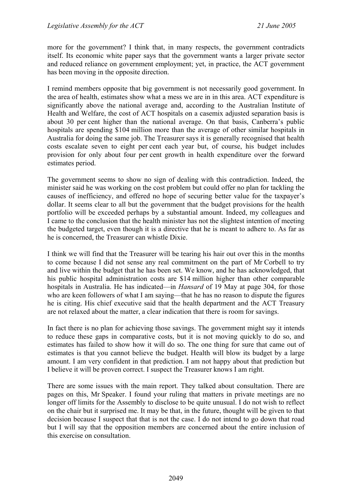more for the government? I think that, in many respects, the government contradicts itself. Its economic white paper says that the government wants a larger private sector and reduced reliance on government employment; yet, in practice, the ACT government has been moving in the opposite direction.

I remind members opposite that big government is not necessarily good government. In the area of health, estimates show what a mess we are in in this area. ACT expenditure is significantly above the national average and, according to the Australian Institute of Health and Welfare, the cost of ACT hospitals on a casemix adjusted separation basis is about 30 per cent higher than the national average. On that basis, Canberra's public hospitals are spending \$104 million more than the average of other similar hospitals in Australia for doing the same job. The Treasurer says it is generally recognised that health costs escalate seven to eight per cent each year but, of course, his budget includes provision for only about four per cent growth in health expenditure over the forward estimates period.

The government seems to show no sign of dealing with this contradiction. Indeed, the minister said he was working on the cost problem but could offer no plan for tackling the causes of inefficiency, and offered no hope of securing better value for the taxpayer's dollar. It seems clear to all but the government that the budget provisions for the health portfolio will be exceeded perhaps by a substantial amount. Indeed, my colleagues and I came to the conclusion that the health minister has not the slightest intention of meeting the budgeted target, even though it is a directive that he is meant to adhere to. As far as he is concerned, the Treasurer can whistle Dixie.

I think we will find that the Treasurer will be tearing his hair out over this in the months to come because I did not sense any real commitment on the part of Mr Corbell to try and live within the budget that he has been set. We know, and he has acknowledged, that his public hospital administration costs are \$14 million higher than other comparable hospitals in Australia. He has indicated—in *Hansard* of 19 May at page 304, for those who are keen followers of what I am saying—that he has no reason to dispute the figures he is citing. His chief executive said that the health department and the ACT Treasury are not relaxed about the matter, a clear indication that there is room for savings.

In fact there is no plan for achieving those savings. The government might say it intends to reduce these gaps in comparative costs, but it is not moving quickly to do so, and estimates has failed to show how it will do so. The one thing for sure that came out of estimates is that you cannot believe the budget. Health will blow its budget by a large amount. I am very confident in that prediction. I am not happy about that prediction but I believe it will be proven correct. I suspect the Treasurer knows I am right.

There are some issues with the main report. They talked about consultation. There are pages on this, Mr Speaker. I found your ruling that matters in private meetings are no longer off limits for the Assembly to disclose to be quite unusual. I do not wish to reflect on the chair but it surprised me. It may be that, in the future, thought will be given to that decision because I suspect that that is not the case. I do not intend to go down that road but I will say that the opposition members are concerned about the entire inclusion of this exercise on consultation.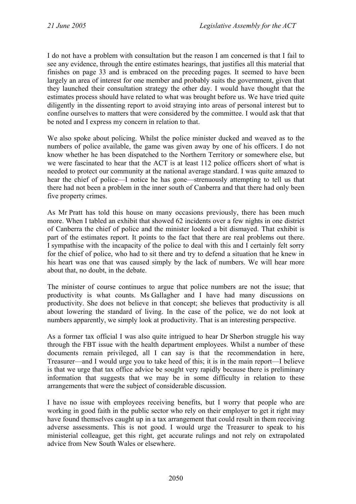I do not have a problem with consultation but the reason I am concerned is that I fail to see any evidence, through the entire estimates hearings, that justifies all this material that finishes on page 33 and is embraced on the preceding pages. It seemed to have been largely an area of interest for one member and probably suits the government, given that they launched their consultation strategy the other day. I would have thought that the estimates process should have related to what was brought before us. We have tried quite diligently in the dissenting report to avoid straying into areas of personal interest but to confine ourselves to matters that were considered by the committee. I would ask that that be noted and I express my concern in relation to that.

We also spoke about policing. Whilst the police minister ducked and weaved as to the numbers of police available, the game was given away by one of his officers. I do not know whether he has been dispatched to the Northern Territory or somewhere else, but we were fascinated to hear that the ACT is at least 112 police officers short of what is needed to protect our community at the national average standard. I was quite amazed to hear the chief of police—I notice he has gone—strenuously attempting to tell us that there had not been a problem in the inner south of Canberra and that there had only been five property crimes.

As Mr Pratt has told this house on many occasions previously, there has been much more. When I tabled an exhibit that showed 62 incidents over a few nights in one district of Canberra the chief of police and the minister looked a bit dismayed. That exhibit is part of the estimates report. It points to the fact that there are real problems out there. I sympathise with the incapacity of the police to deal with this and I certainly felt sorry for the chief of police, who had to sit there and try to defend a situation that he knew in his heart was one that was caused simply by the lack of numbers. We will hear more about that, no doubt, in the debate.

The minister of course continues to argue that police numbers are not the issue; that productivity is what counts. Ms Gallagher and I have had many discussions on productivity. She does not believe in that concept; she believes that productivity is all about lowering the standard of living. In the case of the police, we do not look at numbers apparently, we simply look at productivity. That is an interesting perspective.

As a former tax official I was also quite intrigued to hear Dr Sherbon struggle his way through the FBT issue with the health department employees. Whilst a number of these documents remain privileged, all I can say is that the recommendation in here, Treasurer—and I would urge you to take heed of this; it is in the main report—I believe is that we urge that tax office advice be sought very rapidly because there is preliminary information that suggests that we may be in some difficulty in relation to these arrangements that were the subject of considerable discussion.

I have no issue with employees receiving benefits, but I worry that people who are working in good faith in the public sector who rely on their employer to get it right may have found themselves caught up in a tax arrangement that could result in them receiving adverse assessments. This is not good. I would urge the Treasurer to speak to his ministerial colleague, get this right, get accurate rulings and not rely on extrapolated advice from New South Wales or elsewhere.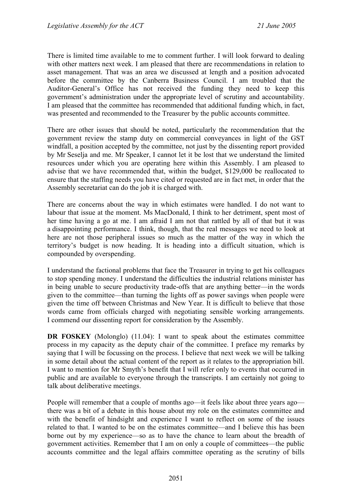There is limited time available to me to comment further. I will look forward to dealing with other matters next week. I am pleased that there are recommendations in relation to asset management. That was an area we discussed at length and a position advocated before the committee by the Canberra Business Council. I am troubled that the Auditor-General's Office has not received the funding they need to keep this government's administration under the appropriate level of scrutiny and accountability. I am pleased that the committee has recommended that additional funding which, in fact, was presented and recommended to the Treasurer by the public accounts committee.

There are other issues that should be noted, particularly the recommendation that the government review the stamp duty on commercial conveyances in light of the GST windfall, a position accepted by the committee, not just by the dissenting report provided by Mr Seselja and me. Mr Speaker, I cannot let it be lost that we understand the limited resources under which you are operating here within this Assembly. I am pleased to advise that we have recommended that, within the budget, \$129,000 be reallocated to ensure that the staffing needs you have cited or requested are in fact met, in order that the Assembly secretariat can do the job it is charged with.

There are concerns about the way in which estimates were handled. I do not want to labour that issue at the moment. Ms MacDonald, I think to her detriment, spent most of her time having a go at me. I am afraid I am not that rattled by all of that but it was a disappointing performance. I think, though, that the real messages we need to look at here are not those peripheral issues so much as the matter of the way in which the territory's budget is now heading. It is heading into a difficult situation, which is compounded by overspending.

I understand the factional problems that face the Treasurer in trying to get his colleagues to stop spending money. I understand the difficulties the industrial relations minister has in being unable to secure productivity trade-offs that are anything better—in the words given to the committee—than turning the lights off as power savings when people were given the time off between Christmas and New Year. It is difficult to believe that those words came from officials charged with negotiating sensible working arrangements. I commend our dissenting report for consideration by the Assembly.

**DR FOSKEY** (Molonglo) (11.04): I want to speak about the estimates committee process in my capacity as the deputy chair of the committee. I preface my remarks by saying that I will be focussing on the process. I believe that next week we will be talking in some detail about the actual content of the report as it relates to the appropriation bill. I want to mention for Mr Smyth's benefit that I will refer only to events that occurred in public and are available to everyone through the transcripts. I am certainly not going to talk about deliberative meetings.

People will remember that a couple of months ago—it feels like about three years ago there was a bit of a debate in this house about my role on the estimates committee and with the benefit of hindsight and experience I want to reflect on some of the issues related to that. I wanted to be on the estimates committee—and I believe this has been borne out by my experience—so as to have the chance to learn about the breadth of government activities. Remember that I am on only a couple of committees—the public accounts committee and the legal affairs committee operating as the scrutiny of bills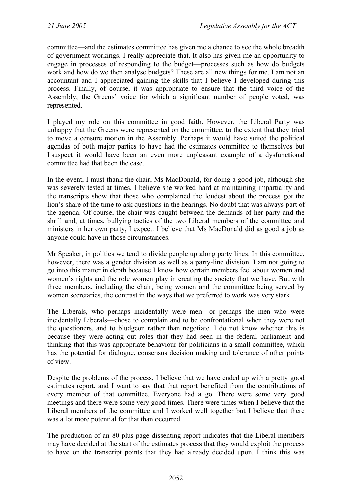committee—and the estimates committee has given me a chance to see the whole breadth of government workings. I really appreciate that. It also has given me an opportunity to engage in processes of responding to the budget—processes such as how do budgets work and how do we then analyse budgets? These are all new things for me. I am not an accountant and I appreciated gaining the skills that I believe I developed during this process. Finally, of course, it was appropriate to ensure that the third voice of the Assembly, the Greens' voice for which a significant number of people voted, was represented.

I played my role on this committee in good faith. However, the Liberal Party was unhappy that the Greens were represented on the committee, to the extent that they tried to move a censure motion in the Assembly. Perhaps it would have suited the political agendas of both major parties to have had the estimates committee to themselves but I suspect it would have been an even more unpleasant example of a dysfunctional committee had that been the case.

In the event, I must thank the chair, Ms MacDonald, for doing a good job, although she was severely tested at times. I believe she worked hard at maintaining impartiality and the transcripts show that those who complained the loudest about the process got the lion's share of the time to ask questions in the hearings. No doubt that was always part of the agenda. Of course, the chair was caught between the demands of her party and the shrill and, at times, bullying tactics of the two Liberal members of the committee and ministers in her own party, I expect. I believe that Ms MacDonald did as good a job as anyone could have in those circumstances.

Mr Speaker, in politics we tend to divide people up along party lines. In this committee, however, there was a gender division as well as a party-line division. I am not going to go into this matter in depth because I know how certain members feel about women and women's rights and the role women play in creating the society that we have. But with three members, including the chair, being women and the committee being served by women secretaries, the contrast in the ways that we preferred to work was very stark.

The Liberals, who perhaps incidentally were men—or perhaps the men who were incidentally Liberals—chose to complain and to be confrontational when they were not the questioners, and to bludgeon rather than negotiate. I do not know whether this is because they were acting out roles that they had seen in the federal parliament and thinking that this was appropriate behaviour for politicians in a small committee, which has the potential for dialogue, consensus decision making and tolerance of other points of view.

Despite the problems of the process, I believe that we have ended up with a pretty good estimates report, and I want to say that that report benefited from the contributions of every member of that committee. Everyone had a go. There were some very good meetings and there were some very good times. There were times when I believe that the Liberal members of the committee and I worked well together but I believe that there was a lot more potential for that than occurred.

The production of an 80-plus page dissenting report indicates that the Liberal members may have decided at the start of the estimates process that they would exploit the process to have on the transcript points that they had already decided upon. I think this was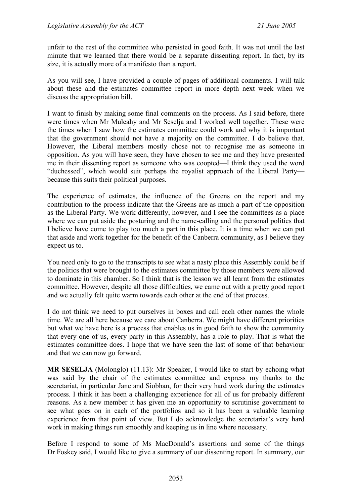unfair to the rest of the committee who persisted in good faith. It was not until the last minute that we learned that there would be a separate dissenting report. In fact, by its size, it is actually more of a manifesto than a report.

As you will see, I have provided a couple of pages of additional comments. I will talk about these and the estimates committee report in more depth next week when we discuss the appropriation bill.

I want to finish by making some final comments on the process. As I said before, there were times when Mr Mulcahy and Mr Seselja and I worked well together. These were the times when I saw how the estimates committee could work and why it is important that the government should not have a majority on the committee. I do believe that. However, the Liberal members mostly chose not to recognise me as someone in opposition. As you will have seen, they have chosen to see me and they have presented me in their dissenting report as someone who was coopted—I think they used the word "duchessed", which would suit perhaps the royalist approach of the Liberal Party because this suits their political purposes.

The experience of estimates, the influence of the Greens on the report and my contribution to the process indicate that the Greens are as much a part of the opposition as the Liberal Party. We work differently, however, and I see the committees as a place where we can put aside the posturing and the name-calling and the personal politics that I believe have come to play too much a part in this place. It is a time when we can put that aside and work together for the benefit of the Canberra community, as I believe they expect us to.

You need only to go to the transcripts to see what a nasty place this Assembly could be if the politics that were brought to the estimates committee by those members were allowed to dominate in this chamber. So I think that is the lesson we all learnt from the estimates committee. However, despite all those difficulties, we came out with a pretty good report and we actually felt quite warm towards each other at the end of that process.

I do not think we need to put ourselves in boxes and call each other names the whole time. We are all here because we care about Canberra. We might have different priorities but what we have here is a process that enables us in good faith to show the community that every one of us, every party in this Assembly, has a role to play. That is what the estimates committee does. I hope that we have seen the last of some of that behaviour and that we can now go forward.

**MR SESELJA** (Molonglo) (11.13): Mr Speaker, I would like to start by echoing what was said by the chair of the estimates committee and express my thanks to the secretariat, in particular Jane and Siobhan, for their very hard work during the estimates process. I think it has been a challenging experience for all of us for probably different reasons. As a new member it has given me an opportunity to scrutinise government to see what goes on in each of the portfolios and so it has been a valuable learning experience from that point of view. But I do acknowledge the secretariat's very hard work in making things run smoothly and keeping us in line where necessary.

Before I respond to some of Ms MacDonald's assertions and some of the things Dr Foskey said, I would like to give a summary of our dissenting report. In summary, our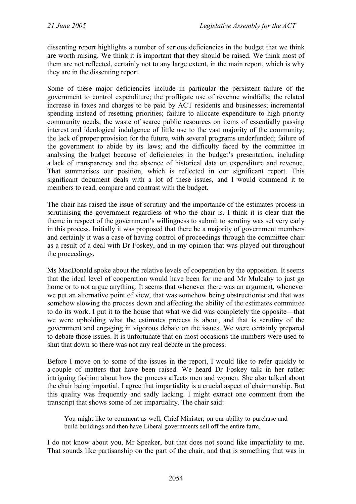dissenting report highlights a number of serious deficiencies in the budget that we think are worth raising. We think it is important that they should be raised. We think most of them are not reflected, certainly not to any large extent, in the main report, which is why they are in the dissenting report.

Some of these major deficiencies include in particular the persistent failure of the government to control expenditure; the profligate use of revenue windfalls; the related increase in taxes and charges to be paid by ACT residents and businesses; incremental spending instead of resetting priorities; failure to allocate expenditure to high priority community needs; the waste of scarce public resources on items of essentially passing interest and ideological indulgence of little use to the vast majority of the community; the lack of proper provision for the future, with several programs underfunded; failure of the government to abide by its laws; and the difficulty faced by the committee in analysing the budget because of deficiencies in the budget's presentation, including a lack of transparency and the absence of historical data on expenditure and revenue. That summarises our position, which is reflected in our significant report. This significant document deals with a lot of these issues, and I would commend it to members to read, compare and contrast with the budget.

The chair has raised the issue of scrutiny and the importance of the estimates process in scrutinising the government regardless of who the chair is. I think it is clear that the theme in respect of the government's willingness to submit to scrutiny was set very early in this process. Initially it was proposed that there be a majority of government members and certainly it was a case of having control of proceedings through the committee chair as a result of a deal with Dr Foskey, and in my opinion that was played out throughout the proceedings.

Ms MacDonald spoke about the relative levels of cooperation by the opposition. It seems that the ideal level of cooperation would have been for me and Mr Mulcahy to just go home or to not argue anything. It seems that whenever there was an argument, whenever we put an alternative point of view, that was somehow being obstructionist and that was somehow slowing the process down and affecting the ability of the estimates committee to do its work. I put it to the house that what we did was completely the opposite—that we were upholding what the estimates process is about, and that is scrutiny of the government and engaging in vigorous debate on the issues. We were certainly prepared to debate those issues. It is unfortunate that on most occasions the numbers were used to shut that down so there was not any real debate in the process.

Before I move on to some of the issues in the report, I would like to refer quickly to a couple of matters that have been raised. We heard Dr Foskey talk in her rather intriguing fashion about how the process affects men and women. She also talked about the chair being impartial. I agree that impartiality is a crucial aspect of chairmanship. But this quality was frequently and sadly lacking. I might extract one comment from the transcript that shows some of her impartiality. The chair said:

You might like to comment as well, Chief Minister, on our ability to purchase and build buildings and then have Liberal governments sell off the entire farm.

I do not know about you, Mr Speaker, but that does not sound like impartiality to me. That sounds like partisanship on the part of the chair, and that is something that was in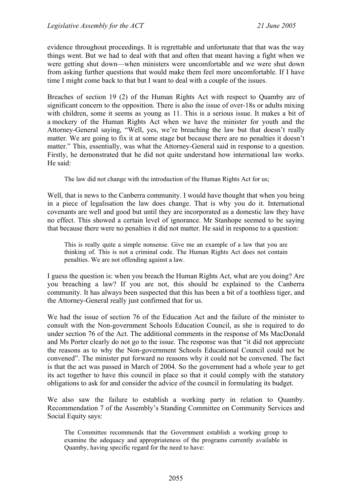evidence throughout proceedings. It is regrettable and unfortunate that that was the way things went. But we had to deal with that and often that meant having a fight when we were getting shut down—when ministers were uncomfortable and we were shut down from asking further questions that would make them feel more uncomfortable. If I have time I might come back to that but I want to deal with a couple of the issues.

Breaches of section 19 (2) of the Human Rights Act with respect to Quamby are of significant concern to the opposition. There is also the issue of over-18s or adults mixing with children, some it seems as young as 11. This is a serious issue. It makes a bit of a mockery of the Human Rights Act when we have the minister for youth and the Attorney-General saying, "Well, yes, we're breaching the law but that doesn't really matter. We are going to fix it at some stage but because there are no penalties it doesn't matter." This, essentially, was what the Attorney-General said in response to a question. Firstly, he demonstrated that he did not quite understand how international law works. He said:

The law did not change with the introduction of the Human Rights Act for us;

Well, that is news to the Canberra community. I would have thought that when you bring in a piece of legalisation the law does change. That is why you do it. International covenants are well and good but until they are incorporated as a domestic law they have no effect. This showed a certain level of ignorance. Mr Stanhope seemed to be saying that because there were no penalties it did not matter. He said in response to a question:

This is really quite a simple nonsense. Give me an example of a law that you are thinking of. This is not a criminal code. The Human Rights Act does not contain penalties. We are not offending against a law.

I guess the question is: when you breach the Human Rights Act, what are you doing? Are you breaching a law? If you are not, this should be explained to the Canberra community. It has always been suspected that this has been a bit of a toothless tiger, and the Attorney-General really just confirmed that for us.

We had the issue of section 76 of the Education Act and the failure of the minister to consult with the Non-government Schools Education Council, as she is required to do under section 76 of the Act. The additional comments in the response of Ms MacDonald and Ms Porter clearly do not go to the issue. The response was that "it did not appreciate the reasons as to why the Non-government Schools Educational Council could not be convened". The minister put forward no reasons why it could not be convened. The fact is that the act was passed in March of 2004. So the government had a whole year to get its act together to have this council in place so that it could comply with the statutory obligations to ask for and consider the advice of the council in formulating its budget.

We also saw the failure to establish a working party in relation to Quamby. Recommendation 7 of the Assembly's Standing Committee on Community Services and Social Equity says:

The Committee recommends that the Government establish a working group to examine the adequacy and appropriateness of the programs currently available in Quamby, having specific regard for the need to have: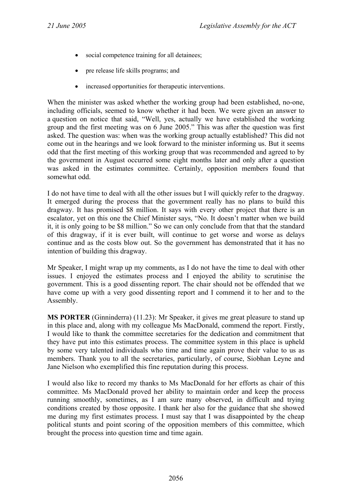- social competence training for all detainees;
- pre release life skills programs; and
- increased opportunities for therapeutic interventions.

When the minister was asked whether the working group had been established, no-one, including officials, seemed to know whether it had been. We were given an answer to a question on notice that said, "Well, yes, actually we have established the working group and the first meeting was on 6 June 2005." This was after the question was first asked. The question was: when was the working group actually established? This did not come out in the hearings and we look forward to the minister informing us. But it seems odd that the first meeting of this working group that was recommended and agreed to by the government in August occurred some eight months later and only after a question was asked in the estimates committee. Certainly, opposition members found that somewhat odd.

I do not have time to deal with all the other issues but I will quickly refer to the dragway. It emerged during the process that the government really has no plans to build this dragway. It has promised \$8 million. It says with every other project that there is an escalator, yet on this one the Chief Minister says, "No. It doesn't matter when we build it, it is only going to be \$8 million." So we can only conclude from that that the standard of this dragway, if it is ever built, will continue to get worse and worse as delays continue and as the costs blow out. So the government has demonstrated that it has no intention of building this dragway.

Mr Speaker, I might wrap up my comments, as I do not have the time to deal with other issues. I enjoyed the estimates process and I enjoyed the ability to scrutinise the government. This is a good dissenting report. The chair should not be offended that we have come up with a very good dissenting report and I commend it to her and to the Assembly.

**MS PORTER** (Ginninderra) (11.23): Mr Speaker, it gives me great pleasure to stand up in this place and, along with my colleague Ms MacDonald, commend the report. Firstly, I would like to thank the committee secretaries for the dedication and commitment that they have put into this estimates process. The committee system in this place is upheld by some very talented individuals who time and time again prove their value to us as members. Thank you to all the secretaries, particularly, of course, Siobhan Leyne and Jane Nielson who exemplified this fine reputation during this process.

I would also like to record my thanks to Ms MacDonald for her efforts as chair of this committee. Ms MacDonald proved her ability to maintain order and keep the process running smoothly, sometimes, as I am sure many observed, in difficult and trying conditions created by those opposite. I thank her also for the guidance that she showed me during my first estimates process. I must say that I was disappointed by the cheap political stunts and point scoring of the opposition members of this committee, which brought the process into question time and time again.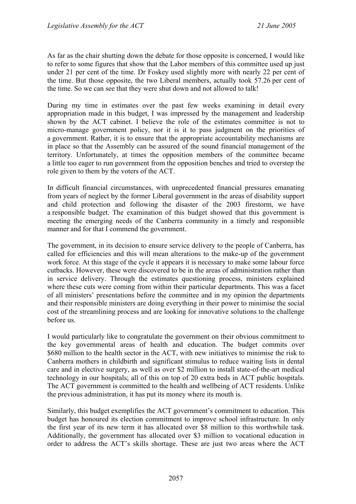As far as the chair shutting down the debate for those opposite is concerned, I would like to refer to some figures that show that the Labor members of this committee used up just under 21 per cent of the time. Dr Foskey used slightly more with nearly 22 per cent of the time. But those opposite, the two Liberal members, actually took 57.26 per cent of the time. So we can see that they were shut down and not allowed to talk!

During my time in estimates over the past few weeks examining in detail every appropriation made in this budget, I was impressed by the management and leadership shown by the ACT cabinet. I believe the role of the estimates committee is not to micro-manage government policy, nor it is it to pass judgment on the priorities of a government. Rather, it is to ensure that the appropriate accountability mechanisms are in place so that the Assembly can be assured of the sound financial management of the territory. Unfortunately, at times the opposition members of the committee became a little too eager to run government from the opposition benches and tried to overstep the role given to them by the voters of the ACT.

In difficult financial circumstances, with unprecedented financial pressures emanating from years of neglect by the former Liberal government in the areas of disability support and child protection and following the disaster of the 2003 firestorm, we have a responsible budget. The examination of this budget showed that this government is meeting the emerging needs of the Canberra community in a timely and responsible manner and for that I commend the government.

The government, in its decision to ensure service delivery to the people of Canberra, has called for efficiencies and this will mean alterations to the make-up of the government work force. At this stage of the cycle it appears it is necessary to make some labour force cutbacks. However, these were discovered to be in the areas of administration rather than in service delivery. Through the estimates questioning process, ministers explained where these cuts were coming from within their particular departments. This was a facet of all ministers' presentations before the committee and in my opinion the departments and their responsible ministers are doing everything in their power to minimise the social cost of the streamlining process and are looking for innovative solutions to the challenge before us.

I would particularly like to congratulate the government on their obvious commitment to the key governmental areas of health and education. The budget commits over \$680 million to the health sector in the ACT, with new initiatives to minimise the risk to Canberra mothers in childbirth and significant stimulus to reduce waiting lists in dental care and in elective surgery, as well as over \$2 million to install state-of-the-art medical technology in our hospitals; all of this on top of 20 extra beds in ACT public hospitals. The ACT government is committed to the health and wellbeing of ACT residents. Unlike the previous administration, it has put its money where its mouth is.

Similarly, this budget exemplifies the ACT government's commitment to education. This budget has honoured its election commitment to improve school infrastructure. In only the first year of its new term it has allocated over \$8 million to this worthwhile task. Additionally, the government has allocated over \$3 million to vocational education in order to address the ACT's skills shortage. These are just two areas where the ACT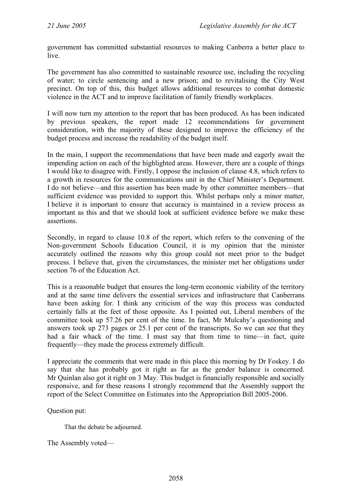government has committed substantial resources to making Canberra a better place to live.

The government has also committed to sustainable resource use, including the recycling of water; to circle sentencing and a new prison; and to revitalising the City West precinct. On top of this, this budget allows additional resources to combat domestic violence in the ACT and to improve facilitation of family friendly workplaces.

I will now turn my attention to the report that has been produced. As has been indicated by previous speakers, the report made 12 recommendations for government consideration, with the majority of these designed to improve the efficiency of the budget process and increase the readability of the budget itself.

In the main, I support the recommendations that have been made and eagerly await the impending action on each of the highlighted areas. However, there are a couple of things I would like to disagree with. Firstly, I oppose the inclusion of clause 4.8, which refers to a growth in resources for the communications unit in the Chief Minister's Department. I do not believe—and this assertion has been made by other committee members—that sufficient evidence was provided to support this. Whilst perhaps only a minor matter, I believe it is important to ensure that accuracy is maintained in a review process as important as this and that we should look at sufficient evidence before we make these assertions.

Secondly, in regard to clause 10.8 of the report, which refers to the convening of the Non-government Schools Education Council, it is my opinion that the minister accurately outlined the reasons why this group could not meet prior to the budget process. I believe that, given the circumstances, the minister met her obligations under section 76 of the Education Act.

This is a reasonable budget that ensures the long-term economic viability of the territory and at the same time delivers the essential services and infrastructure that Canberrans have been asking for. I think any criticism of the way this process was conducted certainly falls at the feet of those opposite. As I pointed out, Liberal members of the committee took up 57.26 per cent of the time. In fact, Mr Mulcahy's questioning and answers took up 273 pages or 25.1 per cent of the transcripts. So we can see that they had a fair whack of the time. I must say that from time to time—in fact, quite frequently—they made the process extremely difficult.

I appreciate the comments that were made in this place this morning by Dr Foskey. I do say that she has probably got it right as far as the gender balance is concerned. Mr Quinlan also got it right on 3 May. This budget is financially responsible and socially responsive, and for these reasons I strongly recommend that the Assembly support the report of the Select Committee on Estimates into the Appropriation Bill 2005-2006.

Question put:

That the debate be adjourned.

The Assembly voted—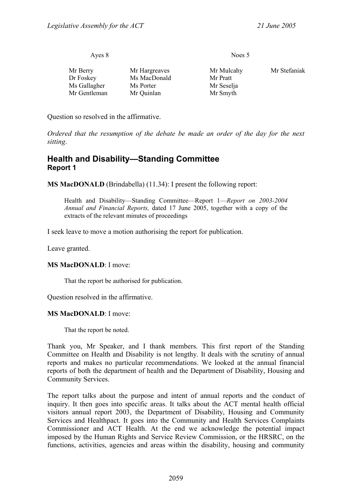|               | Noes 5     |              |
|---------------|------------|--------------|
| Mr Hargreaves | Mr Mulcahy | Mr Stefaniak |
| Ms MacDonald  | Mr Pratt   |              |
| Ms Porter     | Mr Seselja |              |
| Mr Quinlan    | Mr Smyth   |              |
|               |            |              |

Question so resolved in the affirmative.

*Ordered that the resumption of the debate be made an order of the day for the next sitting*.

#### <span id="page-18-0"></span>**Health and Disability—Standing Committee Report 1**

**MS MacDONALD** (Brindabella) (11.34): I present the following report:

Health and Disability—Standing Committee—Report 1—*Report on 2003-2004 Annual and Financial Reports,* dated 17 June 2005, together with a copy of the extracts of the relevant minutes of proceedings

I seek leave to move a motion authorising the report for publication.

Leave granted.

#### **MS MacDONALD**: I move:

That the report be authorised for publication.

Question resolved in the affirmative.

#### **MS MacDONALD**: I move:

That the report be noted.

Thank you, Mr Speaker, and I thank members. This first report of the Standing Committee on Health and Disability is not lengthy. It deals with the scrutiny of annual reports and makes no particular recommendations. We looked at the annual financial reports of both the department of health and the Department of Disability, Housing and Community Services.

The report talks about the purpose and intent of annual reports and the conduct of inquiry. It then goes into specific areas. It talks about the ACT mental health official visitors annual report 2003, the Department of Disability, Housing and Community Services and Healthpact. It goes into the Community and Health Services Complaints Commissioner and ACT Health. At the end we acknowledge the potential impact imposed by the Human Rights and Service Review Commission, or the HRSRC, on the functions, activities, agencies and areas within the disability, housing and community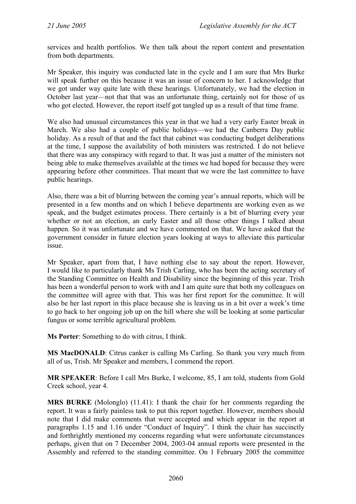services and health portfolios. We then talk about the report content and presentation from both departments.

Mr Speaker, this inquiry was conducted late in the cycle and I am sure that Mrs Burke will speak further on this because it was an issue of concern to her. I acknowledge that we got under way quite late with these hearings. Unfortunately, we had the election in October last year—not that that was an unfortunate thing, certainly not for those of us who got elected. However, the report itself got tangled up as a result of that time frame.

We also had unusual circumstances this year in that we had a very early Easter break in March. We also had a couple of public holidays—we had the Canberra Day public holiday. As a result of that and the fact that cabinet was conducting budget deliberations at the time, I suppose the availability of both ministers was restricted. I do not believe that there was any conspiracy with regard to that. It was just a matter of the ministers not being able to make themselves available at the times we had hoped for because they were appearing before other committees. That meant that we were the last committee to have public hearings.

Also, there was a bit of blurring between the coming year's annual reports, which will be presented in a few months and on which I believe departments are working even as we speak, and the budget estimates process. There certainly is a bit of blurring every year whether or not an election, an early Easter and all those other things I talked about happen. So it was unfortunate and we have commented on that. We have asked that the government consider in future election years looking at ways to alleviate this particular issue.

Mr Speaker, apart from that, I have nothing else to say about the report. However, I would like to particularly thank Ms Trish Carling, who has been the acting secretary of the Standing Committee on Health and Disability since the beginning of this year. Trish has been a wonderful person to work with and I am quite sure that both my colleagues on the committee will agree with that. This was her first report for the committee. It will also be her last report in this place because she is leaving us in a bit over a week's time to go back to her ongoing job up on the hill where she will be looking at some particular fungus or some terrible agricultural problem.

**Ms Porter**: Something to do with citrus, I think.

**MS MacDONALD**: Citrus canker is calling Ms Carling. So thank you very much from all of us, Trish. Mr Speaker and members, I commend the report.

**MR SPEAKER**: Before I call Mrs Burke, I welcome, 85, I am told, students from Gold Creek school, year 4.

**MRS BURKE** (Molonglo) (11.41): I thank the chair for her comments regarding the report. It was a fairly painless task to put this report together. However, members should note that I did make comments that were accepted and which appear in the report at paragraphs 1.15 and 1.16 under "Conduct of Inquiry". I think the chair has succinctly and forthrightly mentioned my concerns regarding what were unfortunate circumstances perhaps, given that on 7 December 2004, 2003-04 annual reports were presented in the Assembly and referred to the standing committee. On 1 February 2005 the committee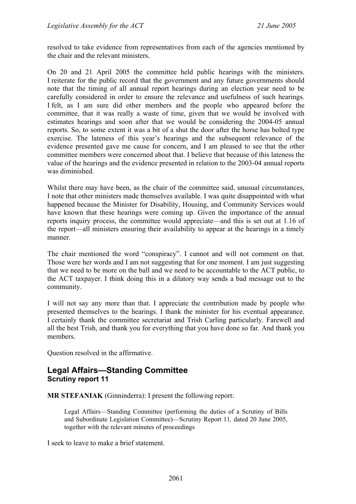resolved to take evidence from representatives from each of the agencies mentioned by the chair and the relevant ministers.

On 20 and 21 April 2005 the committee held public hearings with the ministers. I reiterate for the public record that the government and any future governments should note that the timing of all annual report hearings during an election year need to be carefully considered in order to ensure the relevance and usefulness of such hearings. I felt, as I am sure did other members and the people who appeared before the committee, that it was really a waste of time, given that we would be involved with estimates hearings and soon after that we would be considering the 2004-05 annual reports. So, to some extent it was a bit of a shut the door after the horse has bolted type exercise. The lateness of this year's hearings and the subsequent relevance of the evidence presented gave me cause for concern, and I am pleased to see that the other committee members were concerned about that. I believe that because of this lateness the value of the hearings and the evidence presented in relation to the 2003-04 annual reports was diminished.

Whilst there may have been, as the chair of the committee said, unusual circumstances, I note that other ministers made themselves available. I was quite disappointed with what happened because the Minister for Disability, Housing, and Community Services would have known that these hearings were coming up. Given the importance of the annual reports inquiry process, the committee would appreciate—and this is set out at 1.16 of the report—all ministers ensuring their availability to appear at the hearings in a timely manner.

The chair mentioned the word "conspiracy". I cannot and will not comment on that. Those were her words and I am not suggesting that for one moment. I am just suggesting that we need to be more on the ball and we need to be accountable to the ACT public, to the ACT taxpayer. I think doing this in a dilatory way sends a bad message out to the community.

I will not say any more than that. I appreciate the contribution made by people who presented themselves to the hearings. I thank the minister for his eventual appearance. I certainly thank the committee secretariat and Trish Carling particularly. Farewell and all the best Trish, and thank you for everything that you have done so far. And thank you members.

Question resolved in the affirmative.

### <span id="page-20-0"></span>**Legal Affairs—Standing Committee Scrutiny report 11**

**MR STEFANIAK** (Ginninderra): I present the following report:

Legal Affairs—Standing Committee (performing the duties of a Scrutiny of Bills and Subordinate Legislation Committee)—Scrutiny Report 11*,* dated 20 June 2005, together with the relevant minutes of proceedings

I seek to leave to make a brief statement.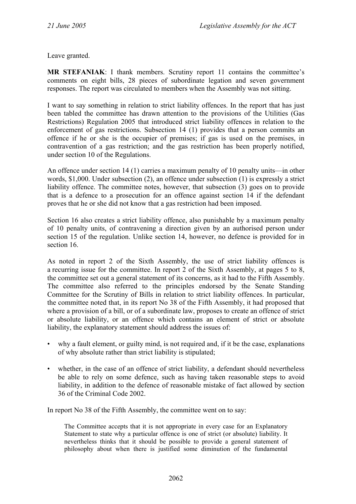Leave granted.

**MR STEFANIAK**: I thank members. Scrutiny report 11 contains the committee's comments on eight bills, 28 pieces of subordinate legation and seven government responses. The report was circulated to members when the Assembly was not sitting.

I want to say something in relation to strict liability offences. In the report that has just been tabled the committee has drawn attention to the provisions of the Utilities (Gas Restrictions) Regulation 2005 that introduced strict liability offences in relation to the enforcement of gas restrictions. Subsection 14 (1) provides that a person commits an offence if he or she is the occupier of premises; if gas is used on the premises, in contravention of a gas restriction; and the gas restriction has been properly notified, under section 10 of the Regulations.

An offence under section 14 (1) carries a maximum penalty of 10 penalty units—in other words, \$1,000. Under subsection (2), an offence under subsection (1) is expressly a strict liability offence. The committee notes, however, that subsection (3) goes on to provide that is a defence to a prosecution for an offence against section 14 if the defendant proves that he or she did not know that a gas restriction had been imposed.

Section 16 also creates a strict liability offence, also punishable by a maximum penalty of 10 penalty units, of contravening a direction given by an authorised person under section 15 of the regulation. Unlike section 14, however, no defence is provided for in section 16.

As noted in report 2 of the Sixth Assembly, the use of strict liability offences is a recurring issue for the committee. In report 2 of the Sixth Assembly, at pages 5 to 8, the committee set out a general statement of its concerns, as it had to the Fifth Assembly. The committee also referred to the principles endorsed by the Senate Standing Committee for the Scrutiny of Bills in relation to strict liability offences. In particular, the committee noted that, in its report No 38 of the Fifth Assembly, it had proposed that where a provision of a bill, or of a subordinate law, proposes to create an offence of strict or absolute liability, or an offence which contains an element of strict or absolute liability, the explanatory statement should address the issues of:

- why a fault element, or guilty mind, is not required and, if it be the case, explanations of why absolute rather than strict liability is stipulated;
- whether, in the case of an offence of strict liability, a defendant should nevertheless be able to rely on some defence, such as having taken reasonable steps to avoid liability, in addition to the defence of reasonable mistake of fact allowed by section 36 of the Criminal Code 2002.

In report No 38 of the Fifth Assembly, the committee went on to say:

The Committee accepts that it is not appropriate in every case for an Explanatory Statement to state why a particular offence is one of strict (or absolute) liability. It nevertheless thinks that it should be possible to provide a general statement of philosophy about when there is justified some diminution of the fundamental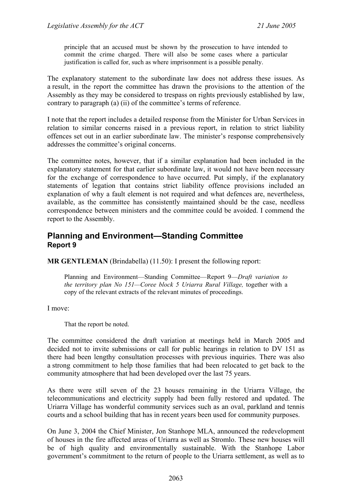principle that an accused must be shown by the prosecution to have intended to commit the crime charged. There will also be some cases where a particular justification is called for, such as where imprisonment is a possible penalty.

The explanatory statement to the subordinate law does not address these issues. As a result, in the report the committee has drawn the provisions to the attention of the Assembly as they may be considered to trespass on rights previously established by law, contrary to paragraph (a) (ii) of the committee's terms of reference.

I note that the report includes a detailed response from the Minister for Urban Services in relation to similar concerns raised in a previous report, in relation to strict liability offences set out in an earlier subordinate law. The minister's response comprehensively addresses the committee's original concerns.

The committee notes, however, that if a similar explanation had been included in the explanatory statement for that earlier subordinate law, it would not have been necessary for the exchange of correspondence to have occurred. Put simply, if the explanatory statements of legation that contains strict liability offence provisions included an explanation of why a fault element is not required and what defences are, nevertheless, available, as the committee has consistently maintained should be the case, needless correspondence between ministers and the committee could be avoided. I commend the report to the Assembly.

### <span id="page-22-0"></span>**Planning and Environment—Standing Committee Report 9**

**MR GENTLEMAN** (Brindabella) (11.50): I present the following report:

Planning and Environment—Standing Committee—Report 9—*Draft variation to the territory plan No 151—Coree block 5 Uriarra Rural Village,* together with a copy of the relevant extracts of the relevant minutes of proceedings.

I move:

That the report be noted.

The committee considered the draft variation at meetings held in March 2005 and decided not to invite submissions or call for public hearings in relation to DV 151 as there had been lengthy consultation processes with previous inquiries. There was also a strong commitment to help those families that had been relocated to get back to the community atmosphere that had been developed over the last 75 years.

As there were still seven of the 23 houses remaining in the Uriarra Village, the telecommunications and electricity supply had been fully restored and updated. The Uriarra Village has wonderful community services such as an oval, parkland and tennis courts and a school building that has in recent years been used for community purposes.

On June 3, 2004 the Chief Minister, Jon Stanhope MLA, announced the redevelopment of houses in the fire affected areas of Uriarra as well as Stromlo. These new houses will be of high quality and environmentally sustainable. With the Stanhope Labor government's commitment to the return of people to the Uriarra settlement, as well as to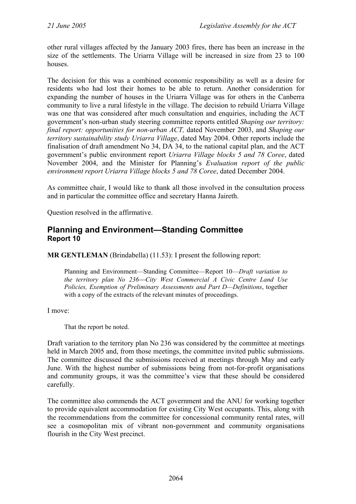other rural villages affected by the January 2003 fires, there has been an increase in the size of the settlements. The Uriarra Village will be increased in size from 23 to 100 houses.

The decision for this was a combined economic responsibility as well as a desire for residents who had lost their homes to be able to return. Another consideration for expanding the number of houses in the Uriarra Village was for others in the Canberra community to live a rural lifestyle in the village. The decision to rebuild Uriarra Village was one that was considered after much consultation and enquiries, including the ACT government's non-urban study steering committee reports entitled *Shaping our territory: final report: opportunities for non-urban ACT,* dated November 2003, and *Shaping our territory sustainability study Uriarra Village*, dated May 2004. Other reports include the finalisation of draft amendment No 34, DA 34, to the national capital plan, and the ACT government's public environment report *Uriarra Village blocks 5 and 78 Coree*, dated November 2004, and the Minister for Planning's *Evaluation report of the public environment report Uriarra Village blocks 5 and 78 Coree*, dated December 2004.

As committee chair, I would like to thank all those involved in the consultation process and in particular the committee office and secretary Hanna Jaireth.

Question resolved in the affirmative.

### <span id="page-23-0"></span>**Planning and Environment—Standing Committee Report 10**

**MR GENTLEMAN** *(Brindabella)* (11.53): I present the following report:

Planning and Environment—Standing Committee—Report 10—*Draft variation to the territory plan No 236*⎯*City West Commercial A Civic Centre Land Use Policies, Exemption of Preliminary Assessments and Part D—Definitions*, together with a copy of the extracts of the relevant minutes of proceedings.

I move:

That the report be noted.

Draft variation to the territory plan No 236 was considered by the committee at meetings held in March 2005 and, from those meetings, the committee invited public submissions. The committee discussed the submissions received at meetings through May and early June. With the highest number of submissions being from not-for-profit organisations and community groups, it was the committee's view that these should be considered carefully.

The committee also commends the ACT government and the ANU for working together to provide equivalent accommodation for existing City West occupants. This, along with the recommendations from the committee for concessional community rental rates, will see a cosmopolitan mix of vibrant non-government and community organisations flourish in the City West precinct.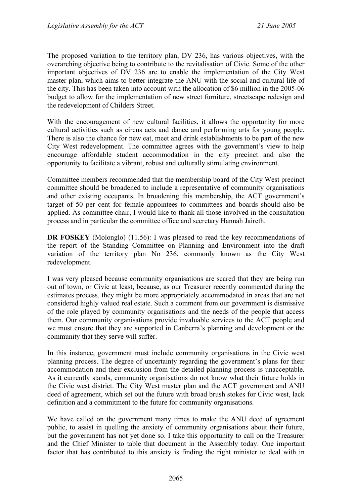The proposed variation to the territory plan, DV 236, has various objectives, with the overarching objective being to contribute to the revitalisation of Civic. Some of the other important objectives of DV 236 are to enable the implementation of the City West master plan, which aims to better integrate the ANU with the social and cultural life of the city. This has been taken into account with the allocation of \$6 million in the 2005-06 budget to allow for the implementation of new street furniture, streetscape redesign and the redevelopment of Childers Street.

With the encouragement of new cultural facilities, it allows the opportunity for more cultural activities such as circus acts and dance and performing arts for young people. There is also the chance for new eat, meet and drink establishments to be part of the new City West redevelopment. The committee agrees with the government's view to help encourage affordable student accommodation in the city precinct and also the opportunity to facilitate a vibrant, robust and culturally stimulating environment.

Committee members recommended that the membership board of the City West precinct committee should be broadened to include a representative of community organisations and other existing occupants. In broadening this membership, the ACT government's target of 50 per cent for female appointees to committees and boards should also be applied. As committee chair, I would like to thank all those involved in the consultation process and in particular the committee office and secretary Hannah Jaireth.

**DR FOSKEY** (Molonglo) (11.56): I was pleased to read the key recommendations of the report of the Standing Committee on Planning and Environment into the draft variation of the territory plan No 236, commonly known as the City West redevelopment.

I was very pleased because community organisations are scared that they are being run out of town, or Civic at least, because, as our Treasurer recently commented during the estimates process, they might be more appropriately accommodated in areas that are not considered highly valued real estate. Such a comment from our government is dismissive of the role played by community organisations and the needs of the people that access them. Our community organisations provide invaluable services to the ACT people and we must ensure that they are supported in Canberra's planning and development or the community that they serve will suffer.

In this instance, government must include community organisations in the Civic west planning process. The degree of uncertainty regarding the government's plans for their accommodation and their exclusion from the detailed planning process is unacceptable. As it currently stands, community organisations do not know what their future holds in the Civic west district. The City West master plan and the ACT government and ANU deed of agreement, which set out the future with broad brush stokes for Civic west, lack definition and a commitment to the future for community organisations.

We have called on the government many times to make the ANU deed of agreement public, to assist in quelling the anxiety of community organisations about their future, but the government has not yet done so. I take this opportunity to call on the Treasurer and the Chief Minister to table that document in the Assembly today. One important factor that has contributed to this anxiety is finding the right minister to deal with in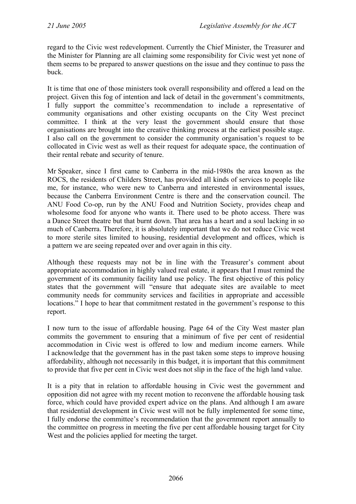regard to the Civic west redevelopment. Currently the Chief Minister, the Treasurer and the Minister for Planning are all claiming some responsibility for Civic west yet none of them seems to be prepared to answer questions on the issue and they continue to pass the buck.

It is time that one of those ministers took overall responsibility and offered a lead on the project. Given this fog of intention and lack of detail in the government's commitments, I fully support the committee's recommendation to include a representative of community organisations and other existing occupants on the City West precinct committee. I think at the very least the government should ensure that those organisations are brought into the creative thinking process at the earliest possible stage. I also call on the government to consider the community organisation's request to be collocated in Civic west as well as their request for adequate space, the continuation of their rental rebate and security of tenure.

Mr Speaker, since I first came to Canberra in the mid-1980s the area known as the ROCS, the residents of Childers Street, has provided all kinds of services to people like me, for instance, who were new to Canberra and interested in environmental issues, because the Canberra Environment Centre is there and the conservation council. The ANU Food Co-op, run by the ANU Food and Nutrition Society, provides cheap and wholesome food for anyone who wants it. There used to be photo access. There was a Dance Street theatre but that burnt down. That area has a heart and a soul lacking in so much of Canberra. Therefore, it is absolutely important that we do not reduce Civic west to more sterile sites limited to housing, residential development and offices, which is a pattern we are seeing repeated over and over again in this city.

Although these requests may not be in line with the Treasurer's comment about appropriate accommodation in highly valued real estate, it appears that I must remind the government of its community facility land use policy. The first objective of this policy states that the government will "ensure that adequate sites are available to meet community needs for community services and facilities in appropriate and accessible locations." I hope to hear that commitment restated in the government's response to this report.

I now turn to the issue of affordable housing. Page 64 of the City West master plan commits the government to ensuring that a minimum of five per cent of residential accommodation in Civic west is offered to low and medium income earners. While I acknowledge that the government has in the past taken some steps to improve housing affordability, although not necessarily in this budget, it is important that this commitment to provide that five per cent in Civic west does not slip in the face of the high land value.

It is a pity that in relation to affordable housing in Civic west the government and opposition did not agree with my recent motion to reconvene the affordable housing task force, which could have provided expert advice on the plans. And although I am aware that residential development in Civic west will not be fully implemented for some time, I fully endorse the committee's recommendation that the government report annually to the committee on progress in meeting the five per cent affordable housing target for City West and the policies applied for meeting the target.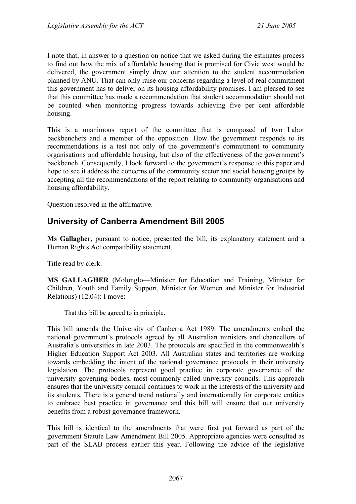I note that, in answer to a question on notice that we asked during the estimates process to find out how the mix of affordable housing that is promised for Civic west would be delivered, the government simply drew our attention to the student accommodation planned by ANU. That can only raise our concerns regarding a level of real commitment this government has to deliver on its housing affordability promises. I am pleased to see that this committee has made a recommendation that student accommodation should not be counted when monitoring progress towards achieving five per cent affordable housing.

This is a unanimous report of the committee that is composed of two Labor backbenchers and a member of the opposition. How the government responds to its recommendations is a test not only of the government's commitment to community organisations and affordable housing, but also of the effectiveness of the government's backbench. Consequently, I look forward to the government's response to this paper and hope to see it address the concerns of the community sector and social housing groups by accepting all the recommendations of the report relating to community organisations and housing affordability.

Question resolved in the affirmative.

## <span id="page-26-0"></span>**University of Canberra Amendment Bill 2005**

**Ms Gallagher**, pursuant to notice, presented the bill, its explanatory statement and a Human Rights Act compatibility statement.

Title read by clerk.

**MS GALLAGHER** (Molonglo—Minister for Education and Training, Minister for Children, Youth and Family Support, Minister for Women and Minister for Industrial Relations) (12.04): I move:

That this bill be agreed to in principle.

This bill amends the University of Canberra Act 1989. The amendments embed the national government's protocols agreed by all Australian ministers and chancellors of Australia's universities in late 2003. The protocols are specified in the commonwealth's Higher Education Support Act 2003. All Australian states and territories are working towards embedding the intent of the national governance protocols in their university legislation. The protocols represent good practice in corporate governance of the university governing bodies, most commonly called university councils. This approach ensures that the university council continues to work in the interests of the university and its students. There is a general trend nationally and internationally for corporate entities to embrace best practice in governance and this bill will ensure that our university benefits from a robust governance framework.

This bill is identical to the amendments that were first put forward as part of the government Statute Law Amendment Bill 2005. Appropriate agencies were consulted as part of the SLAB process earlier this year. Following the advice of the legislative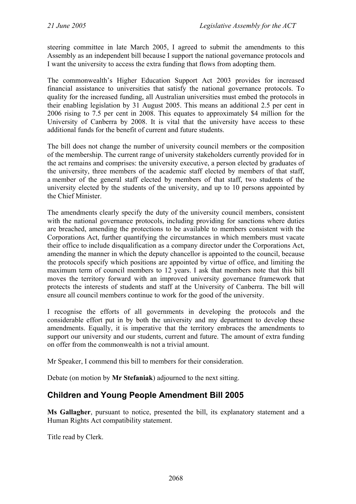steering committee in late March 2005, I agreed to submit the amendments to this Assembly as an independent bill because I support the national governance protocols and I want the university to access the extra funding that flows from adopting them.

The commonwealth's Higher Education Support Act 2003 provides for increased financial assistance to universities that satisfy the national governance protocols. To quality for the increased funding, all Australian universities must embed the protocols in their enabling legislation by 31 August 2005. This means an additional 2.5 per cent in 2006 rising to 7.5 per cent in 2008. This equates to approximately \$4 million for the University of Canberra by 2008. It is vital that the university have access to these additional funds for the benefit of current and future students.

The bill does not change the number of university council members or the composition of the membership. The current range of university stakeholders currently provided for in the act remains and comprises: the university executive, a person elected by graduates of the university, three members of the academic staff elected by members of that staff, a member of the general staff elected by members of that staff, two students of the university elected by the students of the university, and up to 10 persons appointed by the Chief Minister.

The amendments clearly specify the duty of the university council members, consistent with the national governance protocols, including providing for sanctions where duties are breached, amending the protections to be available to members consistent with the Corporations Act, further quantifying the circumstances in which members must vacate their office to include disqualification as a company director under the Corporations Act, amending the manner in which the deputy chancellor is appointed to the council, because the protocols specify which positions are appointed by virtue of office, and limiting the maximum term of council members to 12 years. I ask that members note that this bill moves the territory forward with an improved university governance framework that protects the interests of students and staff at the University of Canberra. The bill will ensure all council members continue to work for the good of the university.

I recognise the efforts of all governments in developing the protocols and the considerable effort put in by both the university and my department to develop these amendments. Equally, it is imperative that the territory embraces the amendments to support our university and our students, current and future. The amount of extra funding on offer from the commonwealth is not a trivial amount.

Mr Speaker, I commend this bill to members for their consideration.

Debate (on motion by **Mr Stefaniak**) adjourned to the next sitting.

## <span id="page-27-0"></span>**Children and Young People Amendment Bill 2005**

**Ms Gallagher**, pursuant to notice, presented the bill, its explanatory statement and a Human Rights Act compatibility statement.

Title read by Clerk.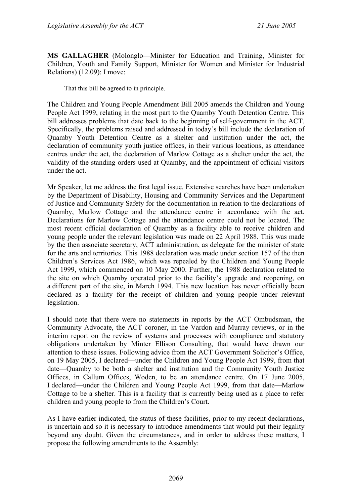**MS GALLAGHER** (Molonglo—Minister for Education and Training, Minister for Children, Youth and Family Support, Minister for Women and Minister for Industrial Relations) (12.09): I move:

That this bill be agreed to in principle.

The Children and Young People Amendment Bill 2005 amends the Children and Young People Act 1999, relating in the most part to the Quamby Youth Detention Centre. This bill addresses problems that date back to the beginning of self-government in the ACT. Specifically, the problems raised and addressed in today's bill include the declaration of Quamby Youth Detention Centre as a shelter and institution under the act, the declaration of community youth justice offices, in their various locations, as attendance centres under the act, the declaration of Marlow Cottage as a shelter under the act, the validity of the standing orders used at Quamby, and the appointment of official visitors under the act.

Mr Speaker, let me address the first legal issue. Extensive searches have been undertaken by the Department of Disability, Housing and Community Services and the Department of Justice and Community Safety for the documentation in relation to the declarations of Quamby, Marlow Cottage and the attendance centre in accordance with the act. Declarations for Marlow Cottage and the attendance centre could not be located. The most recent official declaration of Quamby as a facility able to receive children and young people under the relevant legislation was made on 22 April 1988. This was made by the then associate secretary, ACT administration, as delegate for the minister of state for the arts and territories. This 1988 declaration was made under section 157 of the then Children's Services Act 1986, which was repealed by the Children and Young People Act 1999, which commenced on 10 May 2000. Further, the 1988 declaration related to the site on which Quamby operated prior to the facility's upgrade and reopening, on a different part of the site, in March 1994. This new location has never officially been declared as a facility for the receipt of children and young people under relevant legislation.

I should note that there were no statements in reports by the ACT Ombudsman, the Community Advocate, the ACT coroner, in the Vardon and Murray reviews, or in the interim report on the review of systems and processes with compliance and statutory obligations undertaken by Minter Ellison Consulting, that would have drawn our attention to these issues. Following advice from the ACT Government Solicitor's Office, on 19 May 2005, I declared—under the Children and Young People Act 1999, from that date—Quamby to be both a shelter and institution and the Community Youth Justice Offices, in Callum Offices, Woden, to be an attendance centre. On 17 June 2005, I declared—under the Children and Young People Act 1999, from that date—Marlow Cottage to be a shelter. This is a facility that is currently being used as a place to refer children and young people to from the Children's Court.

As I have earlier indicated, the status of these facilities, prior to my recent declarations, is uncertain and so it is necessary to introduce amendments that would put their legality beyond any doubt. Given the circumstances, and in order to address these matters, I propose the following amendments to the Assembly: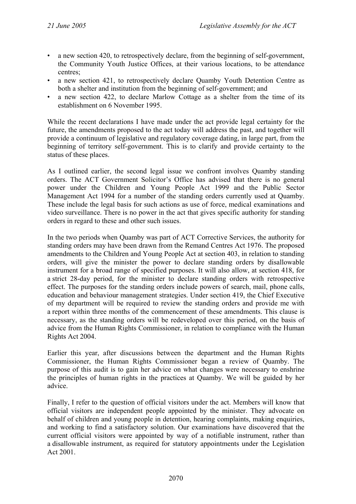- a new section 420, to retrospectively declare, from the beginning of self-government, the Community Youth Justice Offices, at their various locations, to be attendance centres;
- a new section 421, to retrospectively declare Quamby Youth Detention Centre as both a shelter and institution from the beginning of self-government; and
- a new section 422, to declare Marlow Cottage as a shelter from the time of its establishment on 6 November 1995.

While the recent declarations I have made under the act provide legal certainty for the future, the amendments proposed to the act today will address the past, and together will provide a continuum of legislative and regulatory coverage dating, in large part, from the beginning of territory self-government. This is to clarify and provide certainty to the status of these places.

As I outlined earlier, the second legal issue we confront involves Quamby standing orders. The ACT Government Solicitor's Office has advised that there is no general power under the Children and Young People Act 1999 and the Public Sector Management Act 1994 for a number of the standing orders currently used at Quamby. These include the legal basis for such actions as use of force, medical examinations and video surveillance. There is no power in the act that gives specific authority for standing orders in regard to these and other such issues.

In the two periods when Quamby was part of ACT Corrective Services, the authority for standing orders may have been drawn from the Remand Centres Act 1976. The proposed amendments to the Children and Young People Act at section 403, in relation to standing orders, will give the minister the power to declare standing orders by disallowable instrument for a broad range of specified purposes. It will also allow, at section 418, for a strict 28-day period, for the minister to declare standing orders with retrospective effect. The purposes for the standing orders include powers of search, mail, phone calls, education and behaviour management strategies. Under section 419, the Chief Executive of my department will be required to review the standing orders and provide me with a report within three months of the commencement of these amendments. This clause is necessary, as the standing orders will be redeveloped over this period, on the basis of advice from the Human Rights Commissioner, in relation to compliance with the Human Rights Act 2004.

Earlier this year, after discussions between the department and the Human Rights Commissioner, the Human Rights Commissioner began a review of Quamby. The purpose of this audit is to gain her advice on what changes were necessary to enshrine the principles of human rights in the practices at Quamby. We will be guided by her advice.

Finally, I refer to the question of official visitors under the act. Members will know that official visitors are independent people appointed by the minister. They advocate on behalf of children and young people in detention, hearing complaints, making enquiries, and working to find a satisfactory solution. Our examinations have discovered that the current official visitors were appointed by way of a notifiable instrument, rather than a disallowable instrument, as required for statutory appointments under the Legislation Act 2001.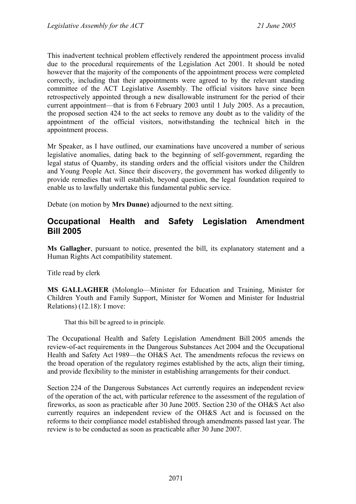This inadvertent technical problem effectively rendered the appointment process invalid due to the procedural requirements of the Legislation Act 2001. It should be noted however that the majority of the components of the appointment process were completed correctly, including that their appointments were agreed to by the relevant standing committee of the ACT Legislative Assembly. The official visitors have since been retrospectively appointed through a new disallowable instrument for the period of their current appointment—that is from 6 February 2003 until 1 July 2005. As a precaution, the proposed section 424 to the act seeks to remove any doubt as to the validity of the appointment of the official visitors, notwithstanding the technical hitch in the appointment process.

Mr Speaker, as I have outlined, our examinations have uncovered a number of serious legislative anomalies, dating back to the beginning of self-government, regarding the legal status of Quamby, its standing orders and the official visitors under the Children and Young People Act. Since their discovery, the government has worked diligently to provide remedies that will establish, beyond question, the legal foundation required to enable us to lawfully undertake this fundamental public service.

Debate (on motion by **Mrs Dunne)** adjourned to the next sitting.

## <span id="page-30-0"></span>**Occupational Health and Safety Legislation Amendment Bill 2005**

**Ms Gallagher**, pursuant to notice, presented the bill, its explanatory statement and a Human Rights Act compatibility statement.

Title read by clerk

**MS GALLAGHER** (Molonglo—Minister for Education and Training, Minister for Children Youth and Family Support, Minister for Women and Minister for Industrial Relations) (12.18): I move:

That this bill be agreed to in principle.

The Occupational Health and Safety Legislation Amendment Bill 2005 amends the review-of-act requirements in the Dangerous Substances Act 2004 and the Occupational Health and Safety Act 1989—the OH&S Act. The amendments refocus the reviews on the broad operation of the regulatory regimes established by the acts, align their timing, and provide flexibility to the minister in establishing arrangements for their conduct.

Section 224 of the Dangerous Substances Act currently requires an independent review of the operation of the act, with particular reference to the assessment of the regulation of fireworks, as soon as practicable after 30 June 2005. Section 230 of the OH&S Act also currently requires an independent review of the OH&S Act and is focussed on the reforms to their compliance model established through amendments passed last year. The review is to be conducted as soon as practicable after 30 June 2007.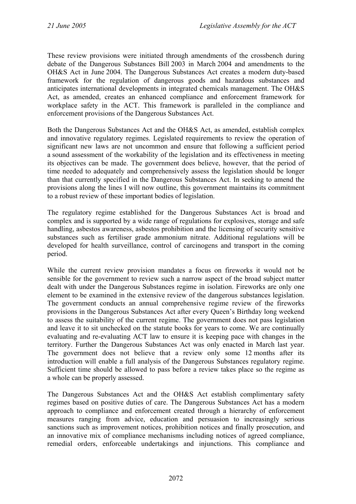These review provisions were initiated through amendments of the crossbench during debate of the Dangerous Substances Bill 2003 in March 2004 and amendments to the OH&S Act in June 2004. The Dangerous Substances Act creates a modern duty-based framework for the regulation of dangerous goods and hazardous substances and anticipates international developments in integrated chemicals management. The OH&S Act, as amended, creates an enhanced compliance and enforcement framework for workplace safety in the ACT. This framework is paralleled in the compliance and enforcement provisions of the Dangerous Substances Act.

Both the Dangerous Substances Act and the OH&S Act, as amended, establish complex and innovative regulatory regimes. Legislated requirements to review the operation of significant new laws are not uncommon and ensure that following a sufficient period a sound assessment of the workability of the legislation and its effectiveness in meeting its objectives can be made. The government does believe, however, that the period of time needed to adequately and comprehensively assess the legislation should be longer than that currently specified in the Dangerous Substances Act. In seeking to amend the provisions along the lines I will now outline, this government maintains its commitment to a robust review of these important bodies of legislation.

The regulatory regime established for the Dangerous Substances Act is broad and complex and is supported by a wide range of regulations for explosives, storage and safe handling, asbestos awareness, asbestos prohibition and the licensing of security sensitive substances such as fertiliser grade ammonium nitrate. Additional regulations will be developed for health surveillance, control of carcinogens and transport in the coming period.

While the current review provision mandates a focus on fireworks it would not be sensible for the government to review such a narrow aspect of the broad subject matter dealt with under the Dangerous Substances regime in isolation. Fireworks are only one element to be examined in the extensive review of the dangerous substances legislation. The government conducts an annual comprehensive regime review of the fireworks provisions in the Dangerous Substances Act after every Queen's Birthday long weekend to assess the suitability of the current regime. The government does not pass legislation and leave it to sit unchecked on the statute books for years to come. We are continually evaluating and re-evaluating ACT law to ensure it is keeping pace with changes in the territory. Further the Dangerous Substances Act was only enacted in March last year. The government does not believe that a review only some 12 months after its introduction will enable a full analysis of the Dangerous Substances regulatory regime. Sufficient time should be allowed to pass before a review takes place so the regime as a whole can be properly assessed.

The Dangerous Substances Act and the OH&S Act establish complimentary safety regimes based on positive duties of care. The Dangerous Substances Act has a modern approach to compliance and enforcement created through a hierarchy of enforcement measures ranging from advice, education and persuasion to increasingly serious sanctions such as improvement notices, prohibition notices and finally prosecution, and an innovative mix of compliance mechanisms including notices of agreed compliance, remedial orders, enforceable undertakings and injunctions. This compliance and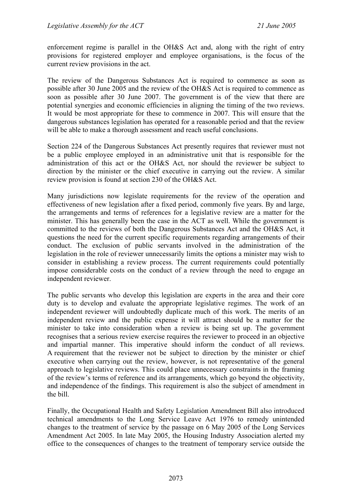enforcement regime is parallel in the OH&S Act and, along with the right of entry provisions for registered employer and employee organisations, is the focus of the current review provisions in the act.

The review of the Dangerous Substances Act is required to commence as soon as possible after 30 June 2005 and the review of the OH&S Act is required to commence as soon as possible after 30 June 2007. The government is of the view that there are potential synergies and economic efficiencies in aligning the timing of the two reviews. It would be most appropriate for these to commence in 2007. This will ensure that the dangerous substances legislation has operated for a reasonable period and that the review will be able to make a thorough assessment and reach useful conclusions.

Section 224 of the Dangerous Substances Act presently requires that reviewer must not be a public employee employed in an administrative unit that is responsible for the administration of this act or the OH&S Act, nor should the reviewer be subject to direction by the minister or the chief executive in carrying out the review. A similar review provision is found at section 230 of the OH&S Act.

Many jurisdictions now legislate requirements for the review of the operation and effectiveness of new legislation after a fixed period, commonly five years. By and large, the arrangements and terms of references for a legislative review are a matter for the minister. This has generally been the case in the ACT as well. While the government is committed to the reviews of both the Dangerous Substances Act and the OH&S Act, it questions the need for the current specific requirements regarding arrangements of their conduct. The exclusion of public servants involved in the administration of the legislation in the role of reviewer unnecessarily limits the options a minister may wish to consider in establishing a review process. The current requirements could potentially impose considerable costs on the conduct of a review through the need to engage an independent reviewer.

The public servants who develop this legislation are experts in the area and their core duty is to develop and evaluate the appropriate legislative regimes. The work of an independent reviewer will undoubtedly duplicate much of this work. The merits of an independent review and the public expense it will attract should be a matter for the minister to take into consideration when a review is being set up. The government recognises that a serious review exercise requires the reviewer to proceed in an objective and impartial manner. This imperative should inform the conduct of all reviews. A requirement that the reviewer not be subject to direction by the minister or chief executive when carrying out the review, however, is not representative of the general approach to legislative reviews. This could place unnecessary constraints in the framing of the review's terms of reference and its arrangements, which go beyond the objectivity, and independence of the findings. This requirement is also the subject of amendment in the bill.

Finally, the Occupational Health and Safety Legislation Amendment Bill also introduced technical amendments to the Long Service Leave Act 1976 to remedy unintended changes to the treatment of service by the passage on 6 May 2005 of the Long Services Amendment Act 2005. In late May 2005, the Housing Industry Association alerted my office to the consequences of changes to the treatment of temporary service outside the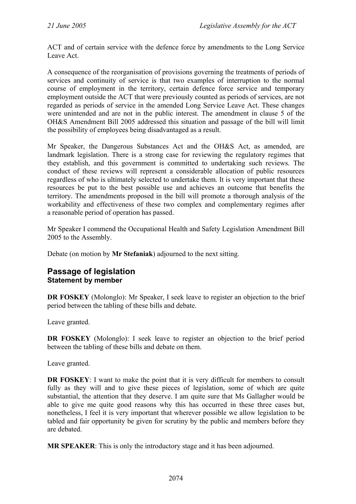ACT and of certain service with the defence force by amendments to the Long Service Leave Act.

A consequence of the reorganisation of provisions governing the treatments of periods of services and continuity of service is that two examples of interruption to the normal course of employment in the territory, certain defence force service and temporary employment outside the ACT that were previously counted as periods of services, are not regarded as periods of service in the amended Long Service Leave Act. These changes were unintended and are not in the public interest. The amendment in clause 5 of the OH&S Amendment Bill 2005 addressed this situation and passage of the bill will limit the possibility of employees being disadvantaged as a result.

Mr Speaker, the Dangerous Substances Act and the OH&S Act, as amended, are landmark legislation. There is a strong case for reviewing the regulatory regimes that they establish, and this government is committed to undertaking such reviews. The conduct of these reviews will represent a considerable allocation of public resources regardless of who is ultimately selected to undertake them. It is very important that these resources be put to the best possible use and achieves an outcome that benefits the territory. The amendments proposed in the bill will promote a thorough analysis of the workability and effectiveness of these two complex and complementary regimes after a reasonable period of operation has passed.

Mr Speaker I commend the Occupational Health and Safety Legislation Amendment Bill 2005 to the Assembly.

Debate (on motion by **Mr Stefaniak**) adjourned to the next sitting.

#### <span id="page-33-0"></span>**Passage of legislation Statement by member**

**DR FOSKEY** (Molonglo): Mr Speaker, I seek leave to register an objection to the brief period between the tabling of these bills and debate.

Leave granted.

**DR FOSKEY** (Molonglo): I seek leave to register an objection to the brief period between the tabling of these bills and debate on them.

Leave granted.

**DR FOSKEY**: I want to make the point that it is very difficult for members to consult fully as they will and to give these pieces of legislation, some of which are quite substantial, the attention that they deserve. I am quite sure that Ms Gallagher would be able to give me quite good reasons why this has occurred in these three cases but, nonetheless, I feel it is very important that wherever possible we allow legislation to be tabled and fair opportunity be given for scrutiny by the public and members before they are debated.

**MR SPEAKER**: This is only the introductory stage and it has been adjourned.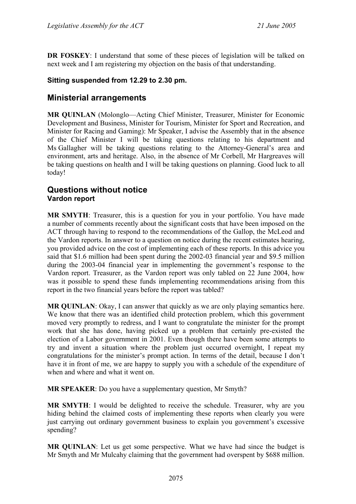**DR FOSKEY**: I understand that some of these pieces of legislation will be talked on next week and I am registering my objection on the basis of that understanding.

#### **Sitting suspended from 12.29 to 2.30 pm.**

## <span id="page-34-0"></span>**Ministerial arrangements**

**MR QUINLAN** (Molonglo—Acting Chief Minister, Treasurer, Minister for Economic Development and Business, Minister for Tourism, Minister for Sport and Recreation, and Minister for Racing and Gaming): Mr Speaker, I advise the Assembly that in the absence of the Chief Minister I will be taking questions relating to his department and Ms Gallagher will be taking questions relating to the Attorney-General's area and environment, arts and heritage. Also, in the absence of Mr Corbell, Mr Hargreaves will be taking questions on health and I will be taking questions on planning. Good luck to all today!

### <span id="page-34-1"></span>**Questions without notice Vardon report**

**MR SMYTH**: Treasurer, this is a question for you in your portfolio. You have made a number of comments recently about the significant costs that have been imposed on the ACT through having to respond to the recommendations of the Gallop, the McLeod and the Vardon reports. In answer to a question on notice during the recent estimates hearing, you provided advice on the cost of implementing each of these reports. In this advice you said that \$1.6 million had been spent during the 2002-03 financial year and \$9.5 million during the 2003-04 financial year in implementing the government's response to the Vardon report. Treasurer, as the Vardon report was only tabled on 22 June 2004, how was it possible to spend these funds implementing recommendations arising from this report in the two financial years before the report was tabled?

**MR QUINLAN**: Okay, I can answer that quickly as we are only playing semantics here. We know that there was an identified child protection problem, which this government moved very promptly to redress, and I want to congratulate the minister for the prompt work that she has done, having picked up a problem that certainly pre-existed the election of a Labor government in 2001. Even though there have been some attempts to try and invent a situation where the problem just occurred overnight, I repeat my congratulations for the minister's prompt action. In terms of the detail, because I don't have it in front of me, we are happy to supply you with a schedule of the expenditure of when and where and what it went on.

**MR SPEAKER**: Do you have a supplementary question, Mr Smyth?

**MR SMYTH**: I would be delighted to receive the schedule. Treasurer, why are you hiding behind the claimed costs of implementing these reports when clearly you were just carrying out ordinary government business to explain you government's excessive spending?

**MR QUINLAN**: Let us get some perspective. What we have had since the budget is Mr Smyth and Mr Mulcahy claiming that the government had overspent by \$688 million.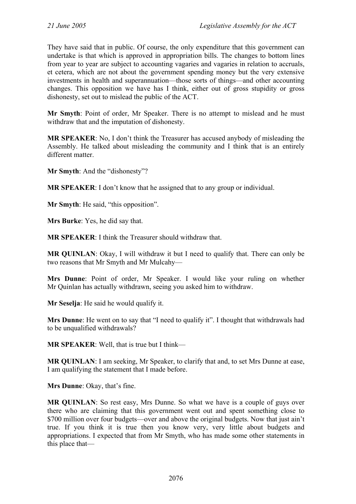They have said that in public. Of course, the only expenditure that this government can undertake is that which is approved in appropriation bills. The changes to bottom lines from year to year are subject to accounting vagaries and vagaries in relation to accruals, et cetera, which are not about the government spending money but the very extensive investments in health and superannuation—those sorts of things—and other accounting changes. This opposition we have has I think, either out of gross stupidity or gross dishonesty, set out to mislead the public of the ACT.

**Mr Smyth**: Point of order, Mr Speaker. There is no attempt to mislead and he must withdraw that and the imputation of dishonesty.

**MR SPEAKER**: No, I don't think the Treasurer has accused anybody of misleading the Assembly. He talked about misleading the community and I think that is an entirely different matter.

**Mr Smyth**: And the "dishonesty"?

**MR SPEAKER**: I don't know that he assigned that to any group or individual.

**Mr Smyth**: He said, "this opposition".

**Mrs Burke**: Yes, he did say that.

**MR SPEAKER**: I think the Treasurer should withdraw that.

**MR QUINLAN**: Okay, I will withdraw it but I need to qualify that. There can only be two reasons that Mr Smyth and Mr Mulcahy—

**Mrs Dunne**: Point of order, Mr Speaker. I would like your ruling on whether Mr Quinlan has actually withdrawn, seeing you asked him to withdraw.

**Mr Seselja**: He said he would qualify it.

**Mrs Dunne**: He went on to say that "I need to qualify it". I thought that withdrawals had to be unqualified withdrawals?

**MR SPEAKER**: Well, that is true but I think—

**MR QUINLAN**: I am seeking, Mr Speaker, to clarify that and, to set Mrs Dunne at ease, I am qualifying the statement that I made before.

**Mrs Dunne**: Okay, that's fine.

**MR QUINLAN**: So rest easy, Mrs Dunne. So what we have is a couple of guys over there who are claiming that this government went out and spent something close to \$700 million over four budgets—over and above the original budgets. Now that just ain't true. If you think it is true then you know very, very little about budgets and appropriations. I expected that from Mr Smyth, who has made some other statements in this place that—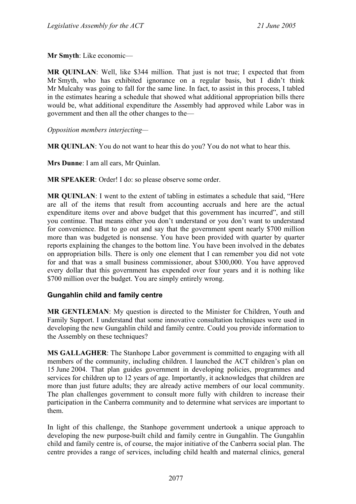**Mr Smyth**: Like economic—

**MR QUINLAN**: Well, like \$344 million. That just is not true; I expected that from Mr Smyth, who has exhibited ignorance on a regular basis, but I didn't think Mr Mulcahy was going to fall for the same line. In fact, to assist in this process, I tabled in the estimates hearing a schedule that showed what additional appropriation bills there would be, what additional expenditure the Assembly had approved while Labor was in government and then all the other changes to the—

*Opposition members interjecting—* 

**MR QUINLAN**: You do not want to hear this do you? You do not what to hear this.

**Mrs Dunne**: I am all ears, Mr Quinlan.

**MR SPEAKER**: Order! I do: so please observe some order.

**MR QUINLAN**: I went to the extent of tabling in estimates a schedule that said, "Here are all of the items that result from accounting accruals and here are the actual expenditure items over and above budget that this government has incurred", and still you continue. That means either you don't understand or you don't want to understand for convenience. But to go out and say that the government spent nearly \$700 million more than was budgeted is nonsense. You have been provided with quarter by quarter reports explaining the changes to the bottom line. You have been involved in the debates on appropriation bills. There is only one element that I can remember you did not vote for and that was a small business commissioner, about \$300,000. You have approved every dollar that this government has expended over four years and it is nothing like \$700 million over the budget. You are simply entirely wrong.

# **Gungahlin child and family centre**

**MR GENTLEMAN**: My question is directed to the Minister for Children, Youth and Family Support. I understand that some innovative consultation techniques were used in developing the new Gungahlin child and family centre. Could you provide information to the Assembly on these techniques?

**MS GALLAGHER**: The Stanhope Labor government is committed to engaging with all members of the community, including children. I launched the ACT children's plan on 15 June 2004. That plan guides government in developing policies, programmes and services for children up to 12 years of age. Importantly, it acknowledges that children are more than just future adults; they are already active members of our local community. The plan challenges government to consult more fully with children to increase their participation in the Canberra community and to determine what services are important to them.

In light of this challenge, the Stanhope government undertook a unique approach to developing the new purpose-built child and family centre in Gungahlin. The Gungahlin child and family centre is, of course, the major initiative of the Canberra social plan. The centre provides a range of services, including child health and maternal clinics, general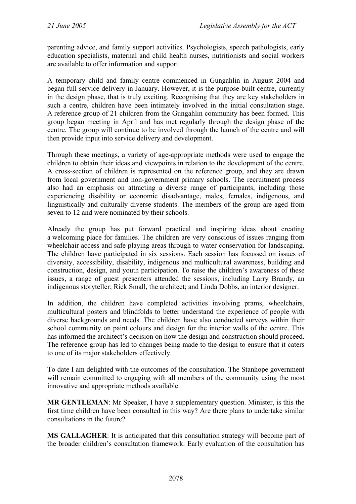parenting advice, and family support activities. Psychologists, speech pathologists, early education specialists, maternal and child health nurses, nutritionists and social workers are available to offer information and support.

A temporary child and family centre commenced in Gungahlin in August 2004 and began full service delivery in January. However, it is the purpose-built centre, currently in the design phase, that is truly exciting. Recognising that they are key stakeholders in such a centre, children have been intimately involved in the initial consultation stage. A reference group of 21 children from the Gungahlin community has been formed. This group began meeting in April and has met regularly through the design phase of the centre. The group will continue to be involved through the launch of the centre and will then provide input into service delivery and development.

Through these meetings, a variety of age-appropriate methods were used to engage the children to obtain their ideas and viewpoints in relation to the development of the centre. A cross-section of children is represented on the reference group, and they are drawn from local government and non-government primary schools. The recruitment process also had an emphasis on attracting a diverse range of participants, including those experiencing disability or economic disadvantage, males, females, indigenous, and linguistically and culturally diverse students. The members of the group are aged from seven to 12 and were nominated by their schools.

Already the group has put forward practical and inspiring ideas about creating a welcoming place for families. The children are very conscious of issues ranging from wheelchair access and safe playing areas through to water conservation for landscaping. The children have participated in six sessions. Each session has focussed on issues of diversity, accessibility, disability, indigenous and multicultural awareness, building and construction, design, and youth participation. To raise the children's awareness of these issues, a range of guest presenters attended the sessions, including Larry Brandy, an indigenous storyteller; Rick Small, the architect; and Linda Dobbs, an interior designer.

In addition, the children have completed activities involving prams, wheelchairs, multicultural posters and blindfolds to better understand the experience of people with diverse backgrounds and needs. The children have also conducted surveys within their school community on paint colours and design for the interior walls of the centre. This has informed the architect's decision on how the design and construction should proceed. The reference group has led to changes being made to the design to ensure that it caters to one of its major stakeholders effectively.

To date I am delighted with the outcomes of the consultation. The Stanhope government will remain committed to engaging with all members of the community using the most innovative and appropriate methods available.

**MR GENTLEMAN**: Mr Speaker, I have a supplementary question. Minister, is this the first time children have been consulted in this way? Are there plans to undertake similar consultations in the future?

**MS GALLAGHER**: It is anticipated that this consultation strategy will become part of the broader children's consultation framework. Early evaluation of the consultation has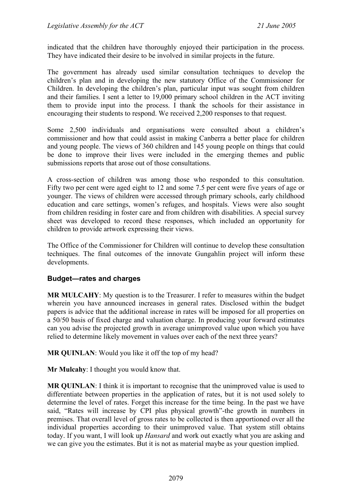indicated that the children have thoroughly enjoyed their participation in the process. They have indicated their desire to be involved in similar projects in the future.

The government has already used similar consultation techniques to develop the children's plan and in developing the new statutory Office of the Commissioner for Children. In developing the children's plan, particular input was sought from children and their families. I sent a letter to 19,000 primary school children in the ACT inviting them to provide input into the process. I thank the schools for their assistance in encouraging their students to respond. We received 2,200 responses to that request.

Some 2,500 individuals and organisations were consulted about a children's commissioner and how that could assist in making Canberra a better place for children and young people. The views of 360 children and 145 young people on things that could be done to improve their lives were included in the emerging themes and public submissions reports that arose out of those consultations.

A cross-section of children was among those who responded to this consultation. Fifty two per cent were aged eight to 12 and some 7.5 per cent were five years of age or younger. The views of children were accessed through primary schools, early childhood education and care settings, women's refuges, and hospitals. Views were also sought from children residing in foster care and from children with disabilities. A special survey sheet was developed to record these responses, which included an opportunity for children to provide artwork expressing their views.

The Office of the Commissioner for Children will continue to develop these consultation techniques. The final outcomes of the innovate Gungahlin project will inform these developments.

# **Budget—rates and charges**

**MR MULCAHY**: My question is to the Treasurer. I refer to measures within the budget wherein you have announced increases in general rates. Disclosed within the budget papers is advice that the additional increase in rates will be imposed for all properties on a 50/50 basis of fixed charge and valuation charge. In producing your forward estimates can you advise the projected growth in average unimproved value upon which you have relied to determine likely movement in values over each of the next three years?

**MR QUINLAN**: Would you like it off the top of my head?

**Mr Mulcahy**: I thought you would know that.

**MR QUINLAN**: I think it is important to recognise that the unimproved value is used to differentiate between properties in the application of rates, but it is not used solely to determine the level of rates. Forget this increase for the time being. In the past we have said, "Rates will increase by CPI plus physical growth"-the growth in numbers in premises. That overall level of gross rates to be collected is then apportioned over all the individual properties according to their unimproved value. That system still obtains today. If you want, I will look up *Hansard* and work out exactly what you are asking and we can give you the estimates. But it is not as material maybe as your question implied.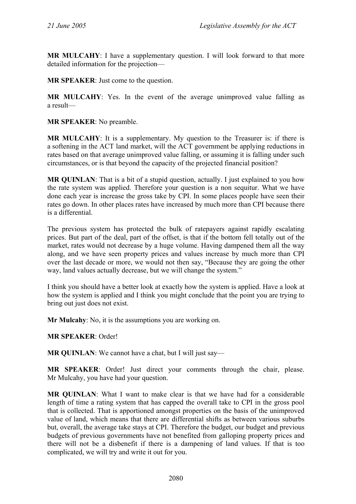**MR MULCAHY**: I have a supplementary question. I will look forward to that more detailed information for the projection—

**MR SPEAKER**: Just come to the question.

**MR MULCAHY**: Yes. In the event of the average unimproved value falling as a result—

**MR SPEAKER**: No preamble.

**MR MULCAHY**: It is a supplementary. My question to the Treasurer is: if there is a softening in the ACT land market, will the ACT government be applying reductions in rates based on that average unimproved value falling, or assuming it is falling under such circumstances, or is that beyond the capacity of the projected financial position?

**MR QUINLAN:** That is a bit of a stupid question, actually. I just explained to you how the rate system was applied. Therefore your question is a non sequitur. What we have done each year is increase the gross take by CPI. In some places people have seen their rates go down. In other places rates have increased by much more than CPI because there is a differential.

The previous system has protected the bulk of ratepayers against rapidly escalating prices. But part of the deal, part of the offset, is that if the bottom fell totally out of the market, rates would not decrease by a huge volume. Having dampened them all the way along, and we have seen property prices and values increase by much more than CPI over the last decade or more, we would not then say, "Because they are going the other way, land values actually decrease, but we will change the system."

I think you should have a better look at exactly how the system is applied. Have a look at how the system is applied and I think you might conclude that the point you are trying to bring out just does not exist.

**Mr Mulcahy**: No, it is the assumptions you are working on.

**MR SPEAKER**: Order!

**MR QUINLAN:** We cannot have a chat, but I will just say—

**MR SPEAKER**: Order! Just direct your comments through the chair, please. Mr Mulcahy, you have had your question.

**MR QUINLAN**: What I want to make clear is that we have had for a considerable length of time a rating system that has capped the overall take to CPI in the gross pool that is collected. That is apportioned amongst properties on the basis of the unimproved value of land, which means that there are differential shifts as between various suburbs but, overall, the average take stays at CPI. Therefore the budget, our budget and previous budgets of previous governments have not benefited from galloping property prices and there will not be a disbenefit if there is a dampening of land values. If that is too complicated, we will try and write it out for you.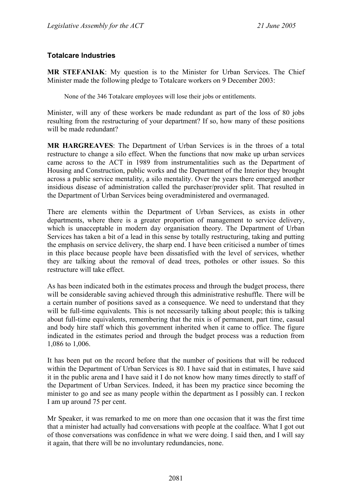# **Totalcare Industries**

**MR STEFANIAK**: My question is to the Minister for Urban Services. The Chief Minister made the following pledge to Totalcare workers on 9 December 2003:

None of the 346 Totalcare employees will lose their jobs or entitlements.

Minister, will any of these workers be made redundant as part of the loss of 80 jobs resulting from the restructuring of your department? If so, how many of these positions will be made redundant?

**MR HARGREAVES**: The Department of Urban Services is in the throes of a total restructure to change a silo effect. When the functions that now make up urban services came across to the ACT in 1989 from instrumentalities such as the Department of Housing and Construction, public works and the Department of the Interior they brought across a public service mentality, a silo mentality. Over the years there emerged another insidious disease of administration called the purchaser/provider split. That resulted in the Department of Urban Services being overadministered and overmanaged.

There are elements within the Department of Urban Services, as exists in other departments, where there is a greater proportion of management to service delivery, which is unacceptable in modern day organisation theory. The Department of Urban Services has taken a bit of a lead in this sense by totally restructuring, taking and putting the emphasis on service delivery, the sharp end. I have been criticised a number of times in this place because people have been dissatisfied with the level of services, whether they are talking about the removal of dead trees, potholes or other issues. So this restructure will take effect.

As has been indicated both in the estimates process and through the budget process, there will be considerable saving achieved through this administrative reshuffle. There will be a certain number of positions saved as a consequence. We need to understand that they will be full-time equivalents. This is not necessarily talking about people; this is talking about full-time equivalents, remembering that the mix is of permanent, part time, casual and body hire staff which this government inherited when it came to office. The figure indicated in the estimates period and through the budget process was a reduction from 1,086 to 1,006.

It has been put on the record before that the number of positions that will be reduced within the Department of Urban Services is 80. I have said that in estimates, I have said it in the public arena and I have said it I do not know how many times directly to staff of the Department of Urban Services. Indeed, it has been my practice since becoming the minister to go and see as many people within the department as I possibly can. I reckon I am up around 75 per cent.

Mr Speaker, it was remarked to me on more than one occasion that it was the first time that a minister had actually had conversations with people at the coalface. What I got out of those conversations was confidence in what we were doing. I said then, and I will say it again, that there will be no involuntary redundancies, none.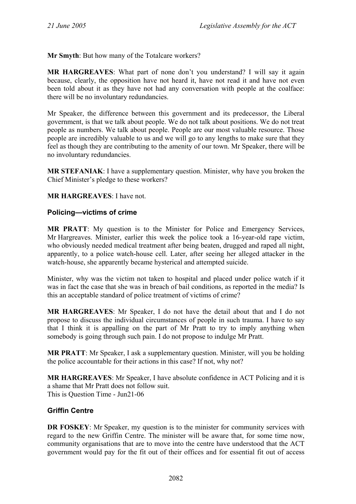**Mr Smyth**: But how many of the Totalcare workers?

**MR HARGREAVES**: What part of none don't you understand? I will say it again because, clearly, the opposition have not heard it, have not read it and have not even been told about it as they have not had any conversation with people at the coalface: there will be no involuntary redundancies.

Mr Speaker, the difference between this government and its predecessor, the Liberal government, is that we talk about people. We do not talk about positions. We do not treat people as numbers. We talk about people. People are our most valuable resource. Those people are incredibly valuable to us and we will go to any lengths to make sure that they feel as though they are contributing to the amenity of our town. Mr Speaker, there will be no involuntary redundancies.

**MR STEFANIAK**: I have a supplementary question. Minister, why have you broken the Chief Minister's pledge to these workers?

**MR HARGREAVES**: I have not.

### **Policing—victims of crime**

**MR PRATT**: My question is to the Minister for Police and Emergency Services, Mr Hargreaves. Minister, earlier this week the police took a 16-year-old rape victim, who obviously needed medical treatment after being beaten, drugged and raped all night, apparently, to a police watch-house cell. Later, after seeing her alleged attacker in the watch-house, she apparently became hysterical and attempted suicide.

Minister, why was the victim not taken to hospital and placed under police watch if it was in fact the case that she was in breach of bail conditions, as reported in the media? Is this an acceptable standard of police treatment of victims of crime?

**MR HARGREAVES**: Mr Speaker, I do not have the detail about that and I do not propose to discuss the individual circumstances of people in such trauma. I have to say that I think it is appalling on the part of Mr Pratt to try to imply anything when somebody is going through such pain. I do not propose to indulge Mr Pratt.

**MR PRATT**: Mr Speaker, I ask a supplementary question. Minister, will you be holding the police accountable for their actions in this case? If not, why not?

**MR HARGREAVES**: Mr Speaker, I have absolute confidence in ACT Policing and it is a shame that Mr Pratt does not follow suit. This is Question Time - Jun21-06

# **Griffin Centre**

**DR FOSKEY:** Mr Speaker, my question is to the minister for community services with regard to the new Griffin Centre. The minister will be aware that, for some time now, community organisations that are to move into the centre have understood that the ACT government would pay for the fit out of their offices and for essential fit out of access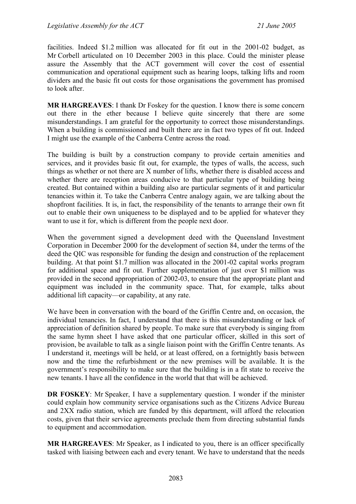facilities. Indeed \$1.2 million was allocated for fit out in the 2001-02 budget, as Mr Corbell articulated on 10 December 2003 in this place. Could the minister please assure the Assembly that the ACT government will cover the cost of essential communication and operational equipment such as hearing loops, talking lifts and room dividers and the basic fit out costs for those organisations the government has promised to look after.

**MR HARGREAVES**: I thank Dr Foskey for the question. I know there is some concern out there in the ether because I believe quite sincerely that there are some misunderstandings. I am grateful for the opportunity to correct those misunderstandings. When a building is commissioned and built there are in fact two types of fit out. Indeed I might use the example of the Canberra Centre across the road.

The building is built by a construction company to provide certain amenities and services, and it provides basic fit out, for example, the types of walls, the access, such things as whether or not there are X number of lifts, whether there is disabled access and whether there are reception areas conducive to that particular type of building being created. But contained within a building also are particular segments of it and particular tenancies within it. To take the Canberra Centre analogy again, we are talking about the shopfront facilities. It is, in fact, the responsibility of the tenants to arrange their own fit out to enable their own uniqueness to be displayed and to be applied for whatever they want to use it for, which is different from the people next door.

When the government signed a development deed with the Queensland Investment Corporation in December 2000 for the development of section 84, under the terms of the deed the QIC was responsible for funding the design and construction of the replacement building. At that point \$1.7 million was allocated in the 2001-02 capital works program for additional space and fit out. Further supplementation of just over \$1 million was provided in the second appropriation of 2002-03, to ensure that the appropriate plant and equipment was included in the community space. That, for example, talks about additional lift capacity—or capability, at any rate.

We have been in conversation with the board of the Griffin Centre and, on occasion, the individual tenancies. In fact, I understand that there is this misunderstanding or lack of appreciation of definition shared by people. To make sure that everybody is singing from the same hymn sheet I have asked that one particular officer, skilled in this sort of provision, be available to talk as a single liaison point with the Griffin Centre tenants. As I understand it, meetings will be held, or at least offered, on a fortnightly basis between now and the time the refurbishment or the new premises will be available. It is the government's responsibility to make sure that the building is in a fit state to receive the new tenants. I have all the confidence in the world that that will be achieved.

**DR FOSKEY**: Mr Speaker, I have a supplementary question. I wonder if the minister could explain how community service organisations such as the Citizens Advice Bureau and 2XX radio station, which are funded by this department, will afford the relocation costs, given that their service agreements preclude them from directing substantial funds to equipment and accommodation.

**MR HARGREAVES**: Mr Speaker, as I indicated to you, there is an officer specifically tasked with liaising between each and every tenant. We have to understand that the needs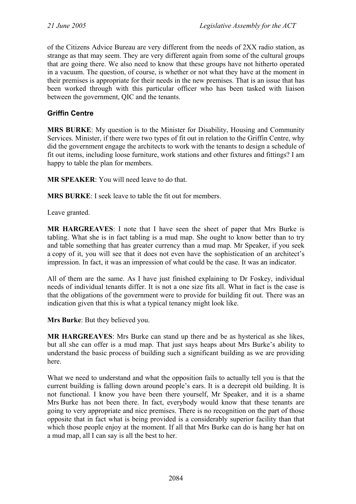of the Citizens Advice Bureau are very different from the needs of 2XX radio station, as strange as that may seem. They are very different again from some of the cultural groups that are going there. We also need to know that these groups have not hitherto operated in a vacuum. The question, of course, is whether or not what they have at the moment in their premises is appropriate for their needs in the new premises. That is an issue that has been worked through with this particular officer who has been tasked with liaison between the government, QIC and the tenants.

## **Griffin Centre**

**MRS BURKE**: My question is to the Minister for Disability, Housing and Community Services. Minister, if there were two types of fit out in relation to the Griffin Centre, why did the government engage the architects to work with the tenants to design a schedule of fit out items, including loose furniture, work stations and other fixtures and fittings? I am happy to table the plan for members.

**MR SPEAKER**: You will need leave to do that.

**MRS BURKE**: I seek leave to table the fit out for members.

Leave granted.

**MR HARGREAVES**: I note that I have seen the sheet of paper that Mrs Burke is tabling. What she is in fact tabling is a mud map. She ought to know better than to try and table something that has greater currency than a mud map. Mr Speaker, if you seek a copy of it, you will see that it does not even have the sophistication of an architect's impression. In fact, it was an impression of what could be the case. It was an indicator.

All of them are the same. As I have just finished explaining to Dr Foskey, individual needs of individual tenants differ. It is not a one size fits all. What in fact is the case is that the obligations of the government were to provide for building fit out. There was an indication given that this is what a typical tenancy might look like.

**Mrs Burke**: But they believed you.

**MR HARGREAVES**: Mrs Burke can stand up there and be as hysterical as she likes, but all she can offer is a mud map. That just says heaps about Mrs Burke's ability to understand the basic process of building such a significant building as we are providing here.

What we need to understand and what the opposition fails to actually tell you is that the current building is falling down around people's ears. It is a decrepit old building. It is not functional. I know you have been there yourself, Mr Speaker, and it is a shame Mrs Burke has not been there. In fact, everybody would know that these tenants are going to very appropriate and nice premises. There is no recognition on the part of those opposite that in fact what is being provided is a considerably superior facility than that which those people enjoy at the moment. If all that Mrs Burke can do is hang her hat on a mud map, all I can say is all the best to her.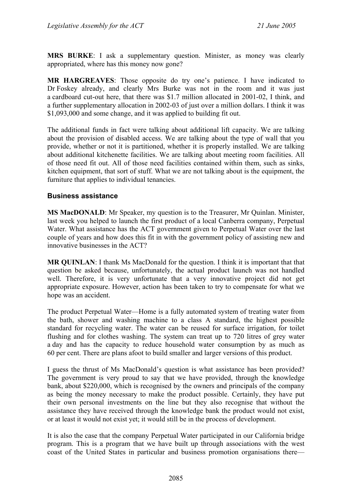**MRS BURKE**: I ask a supplementary question. Minister, as money was clearly appropriated, where has this money now gone?

**MR HARGREAVES**: Those opposite do try one's patience. I have indicated to Dr Foskey already, and clearly Mrs Burke was not in the room and it was just a cardboard cut-out here, that there was \$1.7 million allocated in 2001-02, I think, and a further supplementary allocation in 2002-03 of just over a million dollars. I think it was \$1,093,000 and some change, and it was applied to building fit out.

The additional funds in fact were talking about additional lift capacity. We are talking about the provision of disabled access. We are talking about the type of wall that you provide, whether or not it is partitioned, whether it is properly installed. We are talking about additional kitchenette facilities. We are talking about meeting room facilities. All of those need fit out. All of those need facilities contained within them, such as sinks, kitchen equipment, that sort of stuff. What we are not talking about is the equipment, the furniture that applies to individual tenancies.

### **Business assistance**

**MS MacDONALD**: Mr Speaker, my question is to the Treasurer, Mr Quinlan. Minister, last week you helped to launch the first product of a local Canberra company, Perpetual Water. What assistance has the ACT government given to Perpetual Water over the last couple of years and how does this fit in with the government policy of assisting new and innovative businesses in the ACT?

**MR QUINLAN**: I thank Ms MacDonald for the question. I think it is important that that question be asked because, unfortunately, the actual product launch was not handled well. Therefore, it is very unfortunate that a very innovative project did not get appropriate exposure. However, action has been taken to try to compensate for what we hope was an accident.

The product Perpetual Water—Home is a fully automated system of treating water from the bath, shower and washing machine to a class A standard, the highest possible standard for recycling water. The water can be reused for surface irrigation, for toilet flushing and for clothes washing. The system can treat up to 720 litres of grey water a day and has the capacity to reduce household water consumption by as much as 60 per cent. There are plans afoot to build smaller and larger versions of this product.

I guess the thrust of Ms MacDonald's question is what assistance has been provided? The government is very proud to say that we have provided, through the knowledge bank, about \$220,000, which is recognised by the owners and principals of the company as being the money necessary to make the product possible. Certainly, they have put their own personal investments on the line but they also recognise that without the assistance they have received through the knowledge bank the product would not exist, or at least it would not exist yet; it would still be in the process of development.

It is also the case that the company Perpetual Water participated in our California bridge program. This is a program that we have built up through associations with the west coast of the United States in particular and business promotion organisations there—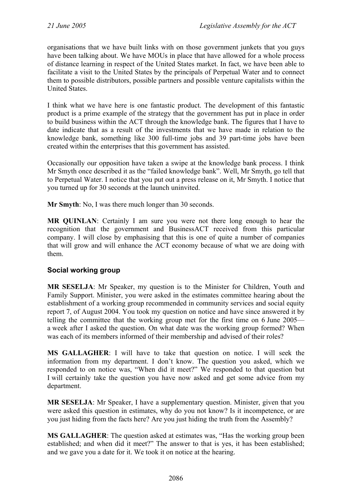organisations that we have built links with on those government junkets that you guys have been talking about. We have MOUs in place that have allowed for a whole process of distance learning in respect of the United States market. In fact, we have been able to facilitate a visit to the United States by the principals of Perpetual Water and to connect them to possible distributors, possible partners and possible venture capitalists within the United States.

I think what we have here is one fantastic product. The development of this fantastic product is a prime example of the strategy that the government has put in place in order to build business within the ACT through the knowledge bank. The figures that I have to date indicate that as a result of the investments that we have made in relation to the knowledge bank, something like 300 full-time jobs and 39 part-time jobs have been created within the enterprises that this government has assisted.

Occasionally our opposition have taken a swipe at the knowledge bank process. I think Mr Smyth once described it as the "failed knowledge bank". Well, Mr Smyth, go tell that to Perpetual Water. I notice that you put out a press release on it, Mr Smyth. I notice that you turned up for 30 seconds at the launch uninvited.

**Mr Smyth**: No, I was there much longer than 30 seconds.

**MR QUINLAN**: Certainly I am sure you were not there long enough to hear the recognition that the government and BusinessACT received from this particular company. I will close by emphasising that this is one of quite a number of companies that will grow and will enhance the ACT economy because of what we are doing with them.

# **Social working group**

**MR SESELJA**: Mr Speaker, my question is to the Minister for Children, Youth and Family Support. Minister, you were asked in the estimates committee hearing about the establishment of a working group recommended in community services and social equity report 7, of August 2004. You took my question on notice and have since answered it by telling the committee that the working group met for the first time on 6 June 2005 a week after I asked the question. On what date was the working group formed? When was each of its members informed of their membership and advised of their roles?

**MS GALLAGHER**: I will have to take that question on notice. I will seek the information from my department. I don't know. The question you asked, which we responded to on notice was, "When did it meet?" We responded to that question but I will certainly take the question you have now asked and get some advice from my department.

**MR SESELJA**: Mr Speaker, I have a supplementary question. Minister, given that you were asked this question in estimates, why do you not know? Is it incompetence, or are you just hiding from the facts here? Are you just hiding the truth from the Assembly?

**MS GALLAGHER**: The question asked at estimates was, "Has the working group been established; and when did it meet?" The answer to that is yes, it has been established; and we gave you a date for it. We took it on notice at the hearing.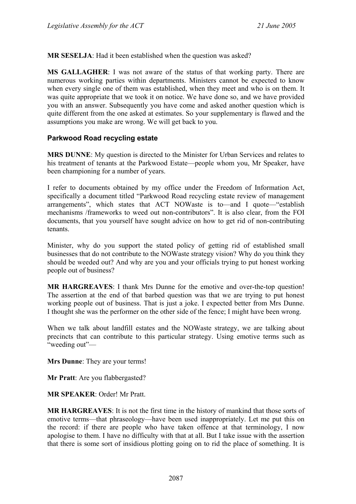**MR SESELJA**: Had it been established when the question was asked?

**MS GALLAGHER**: I was not aware of the status of that working party. There are numerous working parties within departments. Ministers cannot be expected to know when every single one of them was established, when they meet and who is on them. It was quite appropriate that we took it on notice. We have done so, and we have provided you with an answer. Subsequently you have come and asked another question which is quite different from the one asked at estimates. So your supplementary is flawed and the assumptions you make are wrong. We will get back to you.

# **Parkwood Road recycling estate**

**MRS DUNNE**: My question is directed to the Minister for Urban Services and relates to his treatment of tenants at the Parkwood Estate—people whom you, Mr Speaker, have been championing for a number of years.

I refer to documents obtained by my office under the Freedom of Information Act, specifically a document titled "Parkwood Road recycling estate review of management arrangements", which states that ACT NOWaste is to—and I quote—"establish mechanisms /frameworks to weed out non-contributors". It is also clear, from the FOI documents, that you yourself have sought advice on how to get rid of non-contributing tenants.

Minister, why do you support the stated policy of getting rid of established small businesses that do not contribute to the NOWaste strategy vision? Why do you think they should be weeded out? And why are you and your officials trying to put honest working people out of business?

**MR HARGREAVES**: I thank Mrs Dunne for the emotive and over-the-top question! The assertion at the end of that barbed question was that we are trying to put honest working people out of business. That is just a joke. I expected better from Mrs Dunne. I thought she was the performer on the other side of the fence; I might have been wrong.

When we talk about landfill estates and the NOWaste strategy, we are talking about precincts that can contribute to this particular strategy. Using emotive terms such as "weeding out"—

**Mrs Dunne**: They are your terms!

**Mr Pratt**: Are you flabbergasted?

**MR SPEAKER**: Order! Mr Pratt.

**MR HARGREAVES**: It is not the first time in the history of mankind that those sorts of emotive terms—that phraseology—have been used inappropriately. Let me put this on the record: if there are people who have taken offence at that terminology, I now apologise to them. I have no difficulty with that at all. But I take issue with the assertion that there is some sort of insidious plotting going on to rid the place of something. It is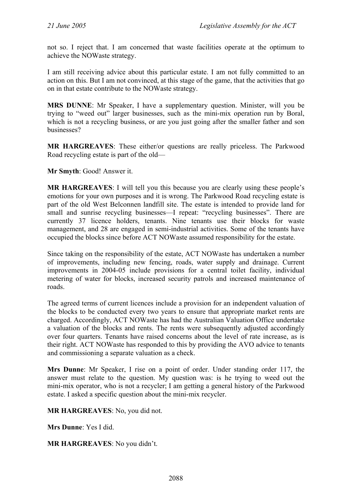not so. I reject that. I am concerned that waste facilities operate at the optimum to achieve the NOWaste strategy.

I am still receiving advice about this particular estate. I am not fully committed to an action on this. But I am not convinced, at this stage of the game, that the activities that go on in that estate contribute to the NOWaste strategy.

**MRS DUNNE**: Mr Speaker, I have a supplementary question. Minister, will you be trying to "weed out" larger businesses, such as the mini-mix operation run by Boral, which is not a recycling business, or are you just going after the smaller father and son businesses?

**MR HARGREAVES**: These either/or questions are really priceless. The Parkwood Road recycling estate is part of the old—

**Mr Smyth**: Good! Answer it.

**MR HARGREAVES**: I will tell you this because you are clearly using these people's emotions for your own purposes and it is wrong. The Parkwood Road recycling estate is part of the old West Belconnen landfill site. The estate is intended to provide land for small and sunrise recycling businesses—I repeat: "recycling businesses". There are currently 37 licence holders, tenants. Nine tenants use their blocks for waste management, and 28 are engaged in semi-industrial activities. Some of the tenants have occupied the blocks since before ACT NOWaste assumed responsibility for the estate.

Since taking on the responsibility of the estate, ACT NOWaste has undertaken a number of improvements, including new fencing, roads, water supply and drainage. Current improvements in 2004-05 include provisions for a central toilet facility, individual metering of water for blocks, increased security patrols and increased maintenance of roads.

The agreed terms of current licences include a provision for an independent valuation of the blocks to be conducted every two years to ensure that appropriate market rents are charged. Accordingly, ACT NOWaste has had the Australian Valuation Office undertake a valuation of the blocks and rents. The rents were subsequently adjusted accordingly over four quarters. Tenants have raised concerns about the level of rate increase, as is their right. ACT NOWaste has responded to this by providing the AVO advice to tenants and commissioning a separate valuation as a check.

**Mrs Dunne**: Mr Speaker, I rise on a point of order. Under standing order 117, the answer must relate to the question. My question was: is he trying to weed out the mini-mix operator, who is not a recycler; I am getting a general history of the Parkwood estate. I asked a specific question about the mini-mix recycler.

**MR HARGREAVES**: No, you did not.

**Mrs Dunne**: Yes I did.

**MR HARGREAVES**: No you didn't.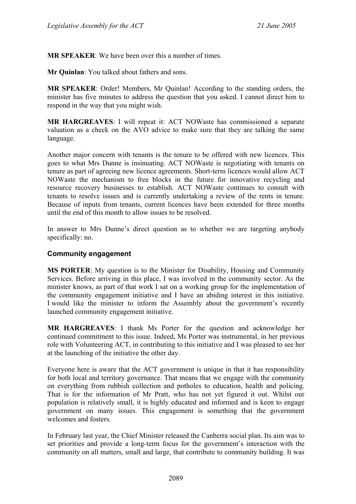**MR SPEAKER**: We have been over this a number of times.

**Mr Quinlan**: You talked about fathers and sons.

**MR SPEAKER**: Order! Members, Mr Quinlan! According to the standing orders, the minister has five minutes to address the question that you asked. I cannot direct him to respond in the way that you might wish.

**MR HARGREAVES**: I will repeat it: ACT NOWaste has commissioned a separate valuation as a check on the AVO advice to make sure that they are talking the same language.

Another major concern with tenants is the tenure to be offered with new licences. This goes to what Mrs Dunne is insinuating. ACT NOWaste is negotiating with tenants on tenure as part of agreeing new licence agreements. Short-term licences would allow ACT NOWaste the mechanism to free blocks in the future for innovative recycling and resource recovery businesses to establish. ACT NOWaste continues to consult with tenants to resolve issues and is currently undertaking a review of the rents in tenure. Because of inputs from tenants, current licences have been extended for three months until the end of this month to allow issues to be resolved.

In answer to Mrs Dunne's direct question as to whether we are targeting anybody specifically: no.

### **Community engagement**

**MS PORTER**: My question is to the Minister for Disability, Housing and Community Services. Before arriving in this place, I was involved in the community sector. As the minister knows, as part of that work I sat on a working group for the implementation of the community engagement initiative and I have an abiding interest in this initiative. I would like the minister to inform the Assembly about the government's recently launched community engagement initiative.

**MR HARGREAVES**: I thank Ms Porter for the question and acknowledge her continued commitment to this issue. Indeed, Ms Porter was instrumental, in her previous role with Volunteering ACT, in contributing to this initiative and I was pleased to see her at the launching of the initiative the other day.

Everyone here is aware that the ACT government is unique in that it has responsibility for both local and territory governance. That means that we engage with the community on everything from rubbish collection and potholes to education, health and policing. That is for the information of Mr Pratt, who has not yet figured it out. Whilst our population is relatively small, it is highly educated and informed and is keen to engage government on many issues. This engagement is something that the government welcomes and fosters.

In February last year, the Chief Minister released the Canberra social plan. Its aim was to set priorities and provide a long-term focus for the government's interaction with the community on all matters, small and large, that contribute to community building. It was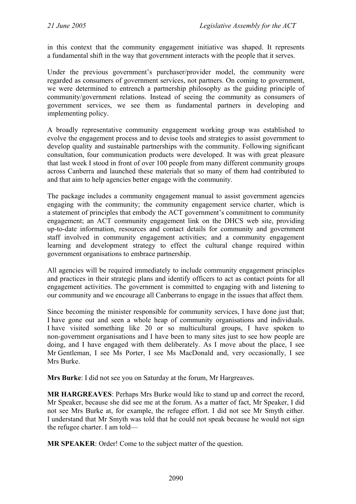in this context that the community engagement initiative was shaped. It represents a fundamental shift in the way that government interacts with the people that it serves.

Under the previous government's purchaser/provider model, the community were regarded as consumers of government services, not partners. On coming to government, we were determined to entrench a partnership philosophy as the guiding principle of community/government relations. Instead of seeing the community as consumers of government services, we see them as fundamental partners in developing and implementing policy.

A broadly representative community engagement working group was established to evolve the engagement process and to devise tools and strategies to assist government to develop quality and sustainable partnerships with the community. Following significant consultation, four communication products were developed. It was with great pleasure that last week I stood in front of over 100 people from many different community groups across Canberra and launched these materials that so many of them had contributed to and that aim to help agencies better engage with the community.

The package includes a community engagement manual to assist government agencies engaging with the community; the community engagement service charter, which is a statement of principles that embody the ACT government's commitment to community engagement; an ACT community engagement link on the DHCS web site, providing up-to-date information, resources and contact details for community and government staff involved in community engagement activities; and a community engagement learning and development strategy to effect the cultural change required within government organisations to embrace partnership.

All agencies will be required immediately to include community engagement principles and practices in their strategic plans and identify officers to act as contact points for all engagement activities. The government is committed to engaging with and listening to our community and we encourage all Canberrans to engage in the issues that affect them.

Since becoming the minister responsible for community services, I have done just that; I have gone out and seen a whole heap of community organisations and individuals. I have visited something like 20 or so multicultural groups, I have spoken to non-government organisations and I have been to many sites just to see how people are doing, and I have engaged with them deliberately. As I move about the place, I see Mr Gentleman, I see Ms Porter, I see Ms MacDonald and, very occasionally, I see Mrs Burke.

**Mrs Burke**: I did not see you on Saturday at the forum, Mr Hargreaves.

**MR HARGREAVES**: Perhaps Mrs Burke would like to stand up and correct the record, Mr Speaker, because she did see me at the forum. As a matter of fact, Mr Speaker, I did not see Mrs Burke at, for example, the refugee effort. I did not see Mr Smyth either. I understand that Mr Smyth was told that he could not speak because he would not sign the refugee charter. I am told—

**MR SPEAKER**: Order! Come to the subject matter of the question.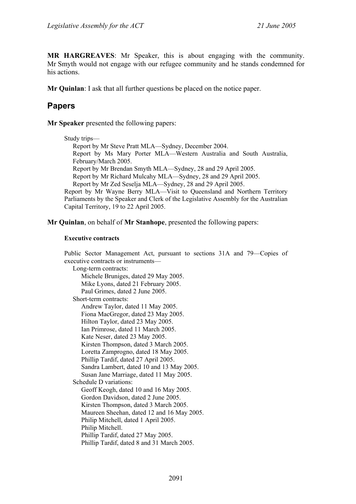**MR HARGREAVES**: Mr Speaker, this is about engaging with the community. Mr Smyth would not engage with our refugee community and he stands condemned for his actions.

**Mr Quinlan**: I ask that all further questions be placed on the notice paper.

# **Papers**

**Mr Speaker** presented the following papers:

```
Study trips— 
  Report by Mr Steve Pratt MLA—Sydney, December 2004. 
  Report by Ms Mary Porter MLA—Western Australia and South Australia, 
  February/March 2005. 
  Report by Mr Brendan Smyth MLA—Sydney, 28 and 29 April 2005. 
  Report by Mr Richard Mulcahy MLA—Sydney, 28 and 29 April 2005. 
  Report by Mr Zed Seselja MLA—Sydney, 28 and 29 April 2005. 
Report by Mr Wayne Berry MLA—Visit to Queensland and Northern Territory 
Parliaments by the Speaker and Clerk of the Legislative Assembly for the Australian 
Capital Territory, 19 to 22 April 2005.
```
#### **Mr Quinlan**, on behalf of **Mr Stanhope**, presented the following papers:

#### **Executive contracts**

Public Sector Management Act, pursuant to sections 31A and 79—Copies of executive contracts or instruments— Long-term contracts: Michele Bruniges, dated 29 May 2005. Mike Lyons, dated 21 February 2005. Paul Grimes, dated 2 June 2005. Short-term contracts: Andrew Taylor, dated 11 May 2005. Fiona MacGregor, dated 23 May 2005. Hilton Taylor, dated 23 May 2005. Ian Primrose, dated 11 March 2005. Kate Neser, dated 23 May 2005. Kirsten Thompson, dated 3 March 2005. Loretta Zamprogno, dated 18 May 2005. Phillip Tardif, dated 27 April 2005. Sandra Lambert, dated 10 and 13 May 2005. Susan Jane Marriage, dated 11 May 2005. Schedule D variations: Geoff Keogh, dated 10 and 16 May 2005. Gordon Davidson, dated 2 June 2005. Kirsten Thompson, dated 3 March 2005. Maureen Sheehan, dated 12 and 16 May 2005. Philip Mitchell, dated 1 April 2005. Philip Mitchell. Phillip Tardif, dated 27 May 2005. Phillip Tardif, dated 8 and 31 March 2005.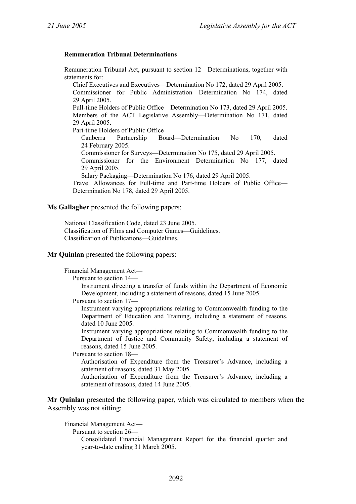#### **Remuneration Tribunal Determinations**

Remuneration Tribunal Act, pursuant to section 12—Determinations, together with statements for:

Chief Executives and Executives—Determination No 172, dated 29 April 2005. Commissioner for Public Administration—Determination No 174, dated 29 April 2005. Full-time Holders of Public Office—Determination No 173, dated 29 April 2005. Members of the ACT Legislative Assembly—Determination No 171, dated 29 April 2005. Part-time Holders of Public Office— Canberra Partnership Board—Determination No 170, dated 24 February 2005. Commissioner for Surveys—Determination No 175, dated 29 April 2005.

Commissioner for the Environment—Determination No 177, dated 29 April 2005.

Salary Packaging—Determination No 176, dated 29 April 2005.

Travel Allowances for Full-time and Part-time Holders of Public Office— Determination No 178, dated 29 April 2005.

#### **Ms Gallagher** presented the following papers:

National Classification Code, dated 23 June 2005. Classification of Films and Computer Games—Guidelines. Classification of Publications—Guidelines.

**Mr Quinlan** presented the following papers:

Financial Management Act—

Pursuant to section 14—

Instrument directing a transfer of funds within the Department of Economic Development, including a statement of reasons, dated 15 June 2005.

Pursuant to section 17—

Instrument varying appropriations relating to Commonwealth funding to the Department of Education and Training, including a statement of reasons, dated 10 June 2005.

Instrument varying appropriations relating to Commonwealth funding to the Department of Justice and Community Safety, including a statement of reasons, dated 15 June 2005.

Pursuant to section 18—

Authorisation of Expenditure from the Treasurer's Advance, including a statement of reasons, dated 31 May 2005.

Authorisation of Expenditure from the Treasurer's Advance, including a statement of reasons, dated 14 June 2005.

**Mr Quinlan** presented the following paper, which was circulated to members when the Assembly was not sitting:

Financial Management Act—

Pursuant to section 26—

Consolidated Financial Management Report for the financial quarter and year-to-date ending 31 March 2005.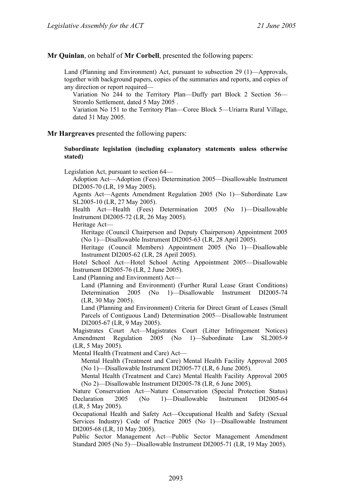#### **Mr Quinlan**, on behalf of **Mr Corbell**, presented the following papers:

Land (Planning and Environment) Act, pursuant to subsection 29 (1)—Approvals, together with background papers, copies of the summaries and reports, and copies of any direction or report required—

Variation No 244 to the Territory Plan—Duffy part Block 2 Section 56— Stromlo Settlement, dated 5 May 2005 .

Variation No 151 to the Territory Plan—Coree Block 5—Uriarra Rural Village, dated 31 May 2005.

#### **Mr Hargreaves** presented the following papers:

#### **Subordinate legislation (including explanatory statements unless otherwise stated)**

Legislation Act, pursuant to section 64—

Adoption Act—Adoption (Fees) Determination 2005—Disallowable Instrument DI2005-70 (LR, 19 May 2005).

Agents Act—Agents Amendment Regulation 2005 (No 1)—Subordinate Law SL2005-10 (LR, 27 May 2005).

Health Act—Health (Fees) Determination 2005 (No 1)—Disallowable Instrument DI2005-72 (LR, 26 May 2005).

Heritage Act—

Heritage (Council Chairperson and Deputy Chairperson) Appointment 2005 (No 1)—Disallowable Instrument DI2005-63 (LR, 28 April 2005).

Heritage (Council Members) Appointment 2005 (No 1)—Disallowable Instrument DI2005-62 (LR, 28 April 2005).

Hotel School Act—Hotel School Acting Appointment 2005—Disallowable Instrument DI2005-76 (LR, 2 June 2005).

Land (Planning and Environment) Act—

Land (Planning and Environment) (Further Rural Lease Grant Conditions) Determination 2005 (No 1)—Disallowable Instrument DI2005-74 (LR, 30 May 2005).

Land (Planning and Environment) Criteria for Direct Grant of Leases (Small Parcels of Contiguous Land) Determination 2005—Disallowable Instrument DI2005-67 (LR, 9 May 2005).

Magistrates Court Act—Magistrates Court (Litter Infringement Notices) Amendment Regulation 2005 (No 1)—Subordinate Law SL2005-9 (LR, 5 May 2005).

Mental Health (Treatment and Care) Act—

Mental Health (Treatment and Care) Mental Health Facility Approval 2005 (No 1)—Disallowable Instrument DI2005-77 (LR, 6 June 2005).

Mental Health (Treatment and Care) Mental Health Facility Approval 2005 (No 2)—Disallowable Instrument DI2005-78 (LR, 6 June 2005).

Nature Conservation Act—Nature Conservation (Special Protection Status) Declaration 2005 (No 1)—Disallowable Instrument DI2005-64 (LR, 5 May 2005).

Occupational Health and Safety Act—Occupational Health and Safety (Sexual Services Industry) Code of Practice 2005 (No 1)—Disallowable Instrument DI2005-68 (LR, 10 May 2005).

Public Sector Management Act—Public Sector Management Amendment Standard 2005 (No 5)—Disallowable Instrument DI2005-71 (LR, 19 May 2005).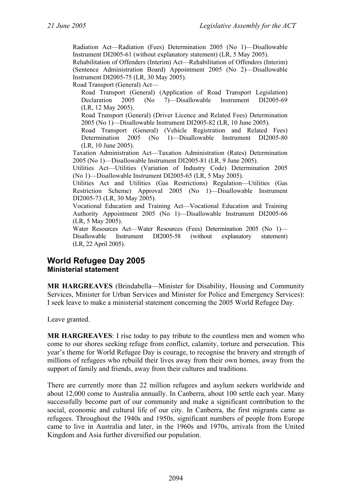Radiation Act—Radiation (Fees) Determination 2005 (No 1)—Disallowable Instrument DI2005-61 (without explanatory statement) (LR, 5 May 2005).

Rehabilitation of Offenders (Interim) Act—Rehabilitation of Offenders (Interim) (Sentence Administration Board) Appointment 2005 (No 2)—Disallowable Instrument DI2005-75 (LR, 30 May 2005).

Road Transport (General) Act—

Road Transport (General) (Application of Road Transport Legislation) Declaration 2005 (No 7)—Disallowable Instrument DI2005-69 (LR, 12 May 2005).

Road Transport (General) (Driver Licence and Related Fees) Determination 2005 (No 1)—Disallowable Instrument DI2005-82 (LR, 10 June 2005).

Road Transport (General) (Vehicle Registration and Related Fees) Determination 2005 (No 1)—Disallowable Instrument DI2005-80 (LR, 10 June 2005).

Taxation Administration Act—Taxation Administration (Rates) Determination 2005 (No 1)—Disallowable Instrument DI2005-81 (LR, 9 June 2005).

Utilities Act—Utilities (Variation of Industry Code) Determination 2005 (No 1)—Disallowable Instrument DI2005-65 (LR, 5 May 2005).

Utilities Act and Utilities (Gas Restrictions) Regulation—Utilities (Gas Restriction Scheme) Approval 2005 (No 1)—Disallowable Instrument DI2005-73 (LR, 30 May 2005).

Vocational Education and Training Act—Vocational Education and Training Authority Appointment 2005 (No 1)—Disallowable Instrument DI2005-66 (LR, 5 May 2005).

Water Resources Act—Water Resources (Fees) Determination 2005 (No 1)— Disallowable Instrument DI2005-58 (without explanatory statement) (LR, 22 April 2005).

# **World Refugee Day 2005 Ministerial statement**

**MR HARGREAVES** (Brindabella—Minister for Disability, Housing and Community Services, Minister for Urban Services and Minister for Police and Emergency Services): I seek leave to make a ministerial statement concerning the 2005 World Refugee Day.

Leave granted.

**MR HARGREAVES**: I rise today to pay tribute to the countless men and women who come to our shores seeking refuge from conflict, calamity, torture and persecution. This year's theme for World Refugee Day is courage, to recognise the bravery and strength of millions of refugees who rebuild their lives away from their own homes, away from the support of family and friends, away from their cultures and traditions.

There are currently more than 22 million refugees and asylum seekers worldwide and about 12,000 come to Australia annually. In Canberra, about 100 settle each year. Many successfully become part of our community and make a significant contribution to the social, economic and cultural life of our city. In Canberra, the first migrants came as refugees. Throughout the 1940s and 1950s, significant numbers of people from Europe came to live in Australia and later, in the 1960s and 1970s, arrivals from the United Kingdom and Asia further diversified our population.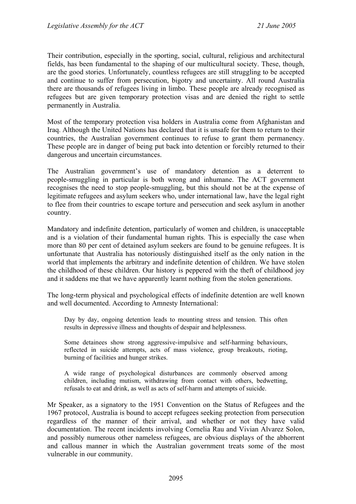Their contribution, especially in the sporting, social, cultural, religious and architectural fields, has been fundamental to the shaping of our multicultural society. These, though, are the good stories. Unfortunately, countless refugees are still struggling to be accepted and continue to suffer from persecution, bigotry and uncertainty. All round Australia there are thousands of refugees living in limbo. These people are already recognised as refugees but are given temporary protection visas and are denied the right to settle permanently in Australia.

Most of the temporary protection visa holders in Australia come from Afghanistan and Iraq. Although the United Nations has declared that it is unsafe for them to return to their countries, the Australian government continues to refuse to grant them permanency. These people are in danger of being put back into detention or forcibly returned to their dangerous and uncertain circumstances.

The Australian government's use of mandatory detention as a deterrent to people-smuggling in particular is both wrong and inhumane. The ACT government recognises the need to stop people-smuggling, but this should not be at the expense of legitimate refugees and asylum seekers who, under international law, have the legal right to flee from their countries to escape torture and persecution and seek asylum in another country.

Mandatory and indefinite detention, particularly of women and children, is unacceptable and is a violation of their fundamental human rights. This is especially the case when more than 80 per cent of detained asylum seekers are found to be genuine refugees. It is unfortunate that Australia has notoriously distinguished itself as the only nation in the world that implements the arbitrary and indefinite detention of children. We have stolen the childhood of these children. Our history is peppered with the theft of childhood joy and it saddens me that we have apparently learnt nothing from the stolen generations.

The long-term physical and psychological effects of indefinite detention are well known and well documented. According to Amnesty International:

Day by day, ongoing detention leads to mounting stress and tension. This often results in depressive illness and thoughts of despair and helplessness.

Some detainees show strong aggressive-impulsive and self-harming behaviours, reflected in suicide attempts, acts of mass violence, group breakouts, rioting, burning of facilities and hunger strikes.

A wide range of psychological disturbances are commonly observed among children, including mutism, withdrawing from contact with others, bedwetting, refusals to eat and drink, as well as acts of self-harm and attempts of suicide.

Mr Speaker, as a signatory to the 1951 Convention on the Status of Refugees and the 1967 protocol, Australia is bound to accept refugees seeking protection from persecution regardless of the manner of their arrival, and whether or not they have valid documentation. The recent incidents involving Cornelia Rau and Vivian Alvarez Solon, and possibly numerous other nameless refugees, are obvious displays of the abhorrent and callous manner in which the Australian government treats some of the most vulnerable in our community.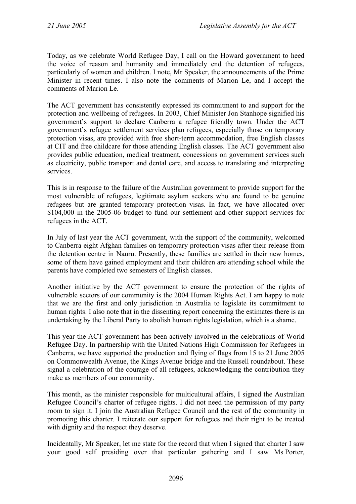Today, as we celebrate World Refugee Day, I call on the Howard government to heed the voice of reason and humanity and immediately end the detention of refugees, particularly of women and children. I note, Mr Speaker, the announcements of the Prime Minister in recent times. I also note the comments of Marion Le, and I accept the comments of Marion Le.

The ACT government has consistently expressed its commitment to and support for the protection and wellbeing of refugees. In 2003, Chief Minister Jon Stanhope signified his government's support to declare Canberra a refugee friendly town. Under the ACT government's refugee settlement services plan refugees, especially those on temporary protection visas, are provided with free short-term accommodation, free English classes at CIT and free childcare for those attending English classes. The ACT government also provides public education, medical treatment, concessions on government services such as electricity, public transport and dental care, and access to translating and interpreting services.

This is in response to the failure of the Australian government to provide support for the most vulnerable of refugees, legitimate asylum seekers who are found to be genuine refugees but are granted temporary protection visas. In fact, we have allocated over \$104,000 in the 2005-06 budget to fund our settlement and other support services for refugees in the ACT.

In July of last year the ACT government, with the support of the community, welcomed to Canberra eight Afghan families on temporary protection visas after their release from the detention centre in Nauru. Presently, these families are settled in their new homes, some of them have gained employment and their children are attending school while the parents have completed two semesters of English classes.

Another initiative by the ACT government to ensure the protection of the rights of vulnerable sectors of our community is the 2004 Human Rights Act. I am happy to note that we are the first and only jurisdiction in Australia to legislate its commitment to human rights. I also note that in the dissenting report concerning the estimates there is an undertaking by the Liberal Party to abolish human rights legislation, which is a shame.

This year the ACT government has been actively involved in the celebrations of World Refugee Day. In partnership with the United Nations High Commission for Refugees in Canberra, we have supported the production and flying of flags from 15 to 21 June 2005 on Commonwealth Avenue, the Kings Avenue bridge and the Russell roundabout. These signal a celebration of the courage of all refugees, acknowledging the contribution they make as members of our community.

This month, as the minister responsible for multicultural affairs, I signed the Australian Refugee Council's charter of refugee rights. I did not need the permission of my party room to sign it. I join the Australian Refugee Council and the rest of the community in promoting this charter. I reiterate our support for refugees and their right to be treated with dignity and the respect they deserve.

Incidentally, Mr Speaker, let me state for the record that when I signed that charter I saw your good self presiding over that particular gathering and I saw Ms Porter,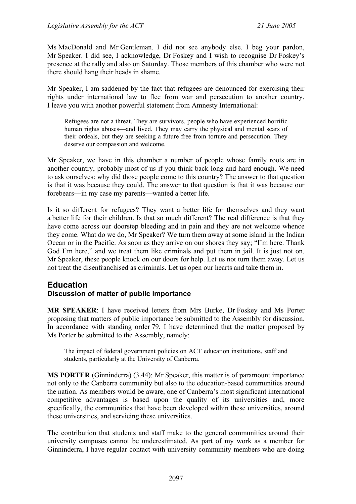Ms MacDonald and Mr Gentleman. I did not see anybody else. I beg your pardon, Mr Speaker. I did see, I acknowledge, Dr Foskey and I wish to recognise Dr Foskey's presence at the rally and also on Saturday. Those members of this chamber who were not there should hang their heads in shame.

Mr Speaker, I am saddened by the fact that refugees are denounced for exercising their rights under international law to flee from war and persecution to another country. I leave you with another powerful statement from Amnesty International:

Refugees are not a threat. They are survivors, people who have experienced horrific human rights abuses—and lived. They may carry the physical and mental scars of their ordeals, but they are seeking a future free from torture and persecution. They deserve our compassion and welcome.

Mr Speaker, we have in this chamber a number of people whose family roots are in another country, probably most of us if you think back long and hard enough. We need to ask ourselves: why did those people come to this country? The answer to that question is that it was because they could. The answer to that question is that it was because our forebears—in my case my parents—wanted a better life.

Is it so different for refugees? They want a better life for themselves and they want a better life for their children. Is that so much different? The real difference is that they have come across our doorstep bleeding and in pain and they are not welcome whence they come. What do we do, Mr Speaker? We turn them away at some island in the Indian Ocean or in the Pacific. As soon as they arrive on our shores they say; "I'm here. Thank God I'm here," and we treat them like criminals and put them in jail. It is just not on. Mr Speaker, these people knock on our doors for help. Let us not turn them away. Let us not treat the disenfranchised as criminals. Let us open our hearts and take them in.

# **Education**

# **Discussion of matter of public importance**

**MR SPEAKER**: I have received letters from Mrs Burke, Dr Foskey and Ms Porter proposing that matters of public importance be submitted to the Assembly for discussion. In accordance with standing order 79, I have determined that the matter proposed by Ms Porter be submitted to the Assembly, namely:

The impact of federal government policies on ACT education institutions, staff and students, particularly at the University of Canberra.

**MS PORTER** (Ginninderra) (3.44): Mr Speaker, this matter is of paramount importance not only to the Canberra community but also to the education-based communities around the nation. As members would be aware, one of Canberra's most significant international competitive advantages is based upon the quality of its universities and, more specifically, the communities that have been developed within these universities, around these universities, and servicing these universities.

The contribution that students and staff make to the general communities around their university campuses cannot be underestimated. As part of my work as a member for Ginninderra, I have regular contact with university community members who are doing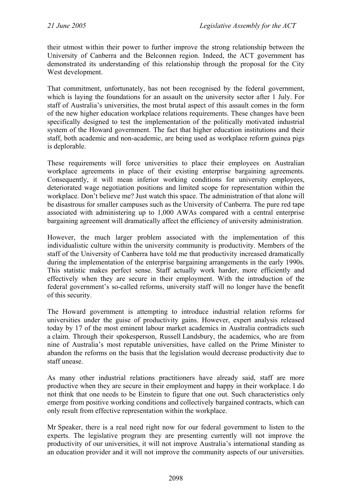their utmost within their power to further improve the strong relationship between the University of Canberra and the Belconnen region. Indeed, the ACT government has demonstrated its understanding of this relationship through the proposal for the City West development.

That commitment, unfortunately, has not been recognised by the federal government, which is laying the foundations for an assault on the university sector after 1 July. For staff of Australia's universities, the most brutal aspect of this assault comes in the form of the new higher education workplace relations requirements. These changes have been specifically designed to test the implementation of the politically motivated industrial system of the Howard government. The fact that higher education institutions and their staff, both academic and non-academic, are being used as workplace reform guinea pigs is deplorable.

These requirements will force universities to place their employees on Australian workplace agreements in place of their existing enterprise bargaining agreements. Consequently, it will mean inferior working conditions for university employees, deteriorated wage negotiation positions and limited scope for representation within the workplace. Don't believe me? Just watch this space. The administration of that alone will be disastrous for smaller campuses such as the University of Canberra. The pure red tape associated with administering up to 1,000 AWAs compared with a central enterprise bargaining agreement will dramatically affect the efficiency of university administration.

However, the much larger problem associated with the implementation of this individualistic culture within the university community is productivity. Members of the staff of the University of Canberra have told me that productivity increased dramatically during the implementation of the enterprise bargaining arrangements in the early 1990s. This statistic makes perfect sense. Staff actually work harder, more efficiently and effectively when they are secure in their employment. With the introduction of the federal government's so-called reforms, university staff will no longer have the benefit of this security.

The Howard government is attempting to introduce industrial relation reforms for universities under the guise of productivity gains. However, expert analysis released today by 17 of the most eminent labour market academics in Australia contradicts such a claim. Through their spokesperson, Russell Landsbury, the academics, who are from nine of Australia's most reputable universities, have called on the Prime Minister to abandon the reforms on the basis that the legislation would decrease productivity due to staff unease.

As many other industrial relations practitioners have already said, staff are more productive when they are secure in their employment and happy in their workplace. I do not think that one needs to be Einstein to figure that one out. Such characteristics only emerge from positive working conditions and collectively bargained contracts, which can only result from effective representation within the workplace.

Mr Speaker, there is a real need right now for our federal government to listen to the experts. The legislative program they are presenting currently will not improve the productivity of our universities, it will not improve Australia's international standing as an education provider and it will not improve the community aspects of our universities.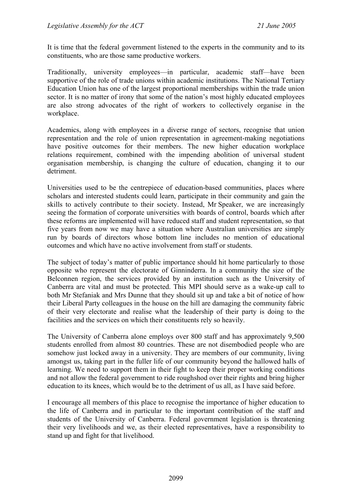It is time that the federal government listened to the experts in the community and to its constituents, who are those same productive workers.

Traditionally, university employees—in particular, academic staff—have been supportive of the role of trade unions within academic institutions. The National Tertiary Education Union has one of the largest proportional memberships within the trade union sector. It is no matter of irony that some of the nation's most highly educated employees are also strong advocates of the right of workers to collectively organise in the workplace.

Academics, along with employees in a diverse range of sectors, recognise that union representation and the role of union representation in agreement-making negotiations have positive outcomes for their members. The new higher education workplace relations requirement, combined with the impending abolition of universal student organisation membership, is changing the culture of education, changing it to our detriment.

Universities used to be the centrepiece of education-based communities, places where scholars and interested students could learn, participate in their community and gain the skills to actively contribute to their society. Instead, Mr Speaker, we are increasingly seeing the formation of corporate universities with boards of control, boards which after these reforms are implemented will have reduced staff and student representation, so that five years from now we may have a situation where Australian universities are simply run by boards of directors whose bottom line includes no mention of educational outcomes and which have no active involvement from staff or students.

The subject of today's matter of public importance should hit home particularly to those opposite who represent the electorate of Ginninderra. In a community the size of the Belconnen region, the services provided by an institution such as the University of Canberra are vital and must be protected. This MPI should serve as a wake-up call to both Mr Stefaniak and Mrs Dunne that they should sit up and take a bit of notice of how their Liberal Party colleagues in the house on the hill are damaging the community fabric of their very electorate and realise what the leadership of their party is doing to the facilities and the services on which their constituents rely so heavily.

The University of Canberra alone employs over 800 staff and has approximately 9,500 students enrolled from almost 80 countries. These are not disembodied people who are somehow just locked away in a university. They are members of our community, living amongst us, taking part in the fuller life of our community beyond the hallowed halls of learning. We need to support them in their fight to keep their proper working conditions and not allow the federal government to ride roughshod over their rights and bring higher education to its knees, which would be to the detriment of us all, as I have said before.

I encourage all members of this place to recognise the importance of higher education to the life of Canberra and in particular to the important contribution of the staff and students of the University of Canberra. Federal government legislation is threatening their very livelihoods and we, as their elected representatives, have a responsibility to stand up and fight for that livelihood.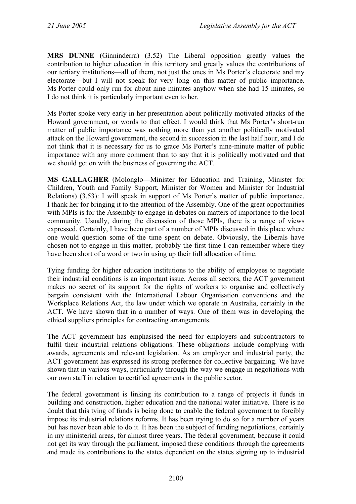**MRS DUNNE** (Ginninderra) (3.52) The Liberal opposition greatly values the contribution to higher education in this territory and greatly values the contributions of our tertiary institutions—all of them, not just the ones in Ms Porter's electorate and my electorate—but I will not speak for very long on this matter of public importance. Ms Porter could only run for about nine minutes anyhow when she had 15 minutes, so I do not think it is particularly important even to her.

Ms Porter spoke very early in her presentation about politically motivated attacks of the Howard government, or words to that effect. I would think that Ms Porter's short-run matter of public importance was nothing more than yet another politically motivated attack on the Howard government, the second in succession in the last half hour, and I do not think that it is necessary for us to grace Ms Porter's nine-minute matter of public importance with any more comment than to say that it is politically motivated and that we should get on with the business of governing the ACT.

**MS GALLAGHER** (Molonglo—Minister for Education and Training, Minister for Children, Youth and Family Support, Minister for Women and Minister for Industrial Relations) (3.53): I will speak in support of Ms Porter's matter of public importance. I thank her for bringing it to the attention of the Assembly. One of the great opportunities with MPIs is for the Assembly to engage in debates on matters of importance to the local community. Usually, during the discussion of those MPIs, there is a range of views expressed. Certainly, I have been part of a number of MPIs discussed in this place where one would question some of the time spent on debate. Obviously, the Liberals have chosen not to engage in this matter, probably the first time I can remember where they have been short of a word or two in using up their full allocation of time.

Tying funding for higher education institutions to the ability of employees to negotiate their industrial conditions is an important issue. Across all sectors, the ACT government makes no secret of its support for the rights of workers to organise and collectively bargain consistent with the International Labour Organisation conventions and the Workplace Relations Act, the law under which we operate in Australia, certainly in the ACT. We have shown that in a number of ways. One of them was in developing the ethical suppliers principles for contracting arrangements.

The ACT government has emphasised the need for employers and subcontractors to fulfil their industrial relations obligations. These obligations include complying with awards, agreements and relevant legislation. As an employer and industrial party, the ACT government has expressed its strong preference for collective bargaining. We have shown that in various ways, particularly through the way we engage in negotiations with our own staff in relation to certified agreements in the public sector.

The federal government is linking its contribution to a range of projects it funds in building and construction, higher education and the national water initiative. There is no doubt that this tying of funds is being done to enable the federal government to forcibly impose its industrial relations reforms. It has been trying to do so for a number of years but has never been able to do it. It has been the subject of funding negotiations, certainly in my ministerial areas, for almost three years. The federal government, because it could not get its way through the parliament, imposed these conditions through the agreements and made its contributions to the states dependent on the states signing up to industrial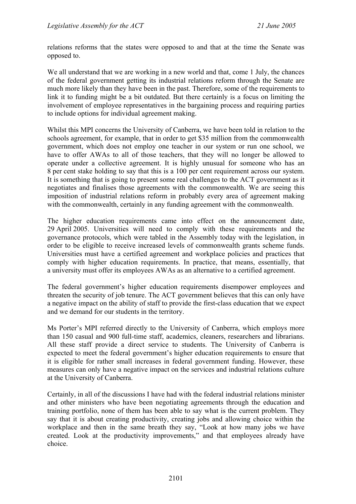relations reforms that the states were opposed to and that at the time the Senate was opposed to.

We all understand that we are working in a new world and that, come 1 July, the chances of the federal government getting its industrial relations reform through the Senate are much more likely than they have been in the past. Therefore, some of the requirements to link it to funding might be a bit outdated. But there certainly is a focus on limiting the involvement of employee representatives in the bargaining process and requiring parties to include options for individual agreement making.

Whilst this MPI concerns the University of Canberra, we have been told in relation to the schools agreement, for example, that in order to get \$35 million from the commonwealth government, which does not employ one teacher in our system or run one school, we have to offer AWAs to all of those teachers, that they will no longer be allowed to operate under a collective agreement. It is highly unusual for someone who has an 8 per cent stake holding to say that this is a 100 per cent requirement across our system. It is something that is going to present some real challenges to the ACT government as it negotiates and finalises those agreements with the commonwealth. We are seeing this imposition of industrial relations reform in probably every area of agreement making with the commonwealth, certainly in any funding agreement with the commonwealth.

The higher education requirements came into effect on the announcement date, 29 April 2005. Universities will need to comply with these requirements and the governance protocols, which were tabled in the Assembly today with the legislation, in order to be eligible to receive increased levels of commonwealth grants scheme funds. Universities must have a certified agreement and workplace policies and practices that comply with higher education requirements. In practice, that means, essentially, that a university must offer its employees AWAs as an alternative to a certified agreement.

The federal government's higher education requirements disempower employees and threaten the security of job tenure. The ACT government believes that this can only have a negative impact on the ability of staff to provide the first-class education that we expect and we demand for our students in the territory.

Ms Porter's MPI referred directly to the University of Canberra, which employs more than 150 casual and 900 full-time staff, academics, cleaners, researchers and librarians. All these staff provide a direct service to students. The University of Canberra is expected to meet the federal government's higher education requirements to ensure that it is eligible for rather small increases in federal government funding. However, these measures can only have a negative impact on the services and industrial relations culture at the University of Canberra.

Certainly, in all of the discussions I have had with the federal industrial relations minister and other ministers who have been negotiating agreements through the education and training portfolio, none of them has been able to say what is the current problem. They say that it is about creating productivity, creating jobs and allowing choice within the workplace and then in the same breath they say, "Look at how many jobs we have created. Look at the productivity improvements," and that employees already have choice.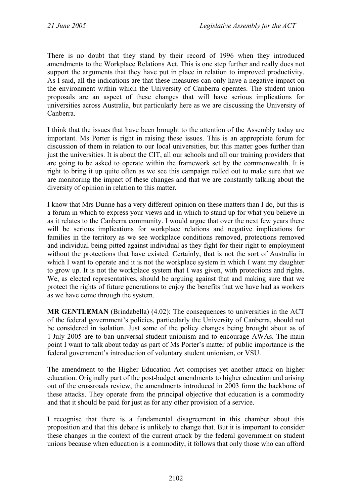There is no doubt that they stand by their record of 1996 when they introduced amendments to the Workplace Relations Act. This is one step further and really does not support the arguments that they have put in place in relation to improved productivity. As I said, all the indications are that these measures can only have a negative impact on the environment within which the University of Canberra operates. The student union proposals are an aspect of these changes that will have serious implications for universities across Australia, but particularly here as we are discussing the University of Canberra.

I think that the issues that have been brought to the attention of the Assembly today are important. Ms Porter is right in raising these issues. This is an appropriate forum for discussion of them in relation to our local universities, but this matter goes further than just the universities. It is about the CIT, all our schools and all our training providers that are going to be asked to operate within the framework set by the commonwealth. It is right to bring it up quite often as we see this campaign rolled out to make sure that we are monitoring the impact of these changes and that we are constantly talking about the diversity of opinion in relation to this matter.

I know that Mrs Dunne has a very different opinion on these matters than I do, but this is a forum in which to express your views and in which to stand up for what you believe in as it relates to the Canberra community. I would argue that over the next few years there will be serious implications for workplace relations and negative implications for families in the territory as we see workplace conditions removed, protections removed and individual being pitted against individual as they fight for their right to employment without the protections that have existed. Certainly, that is not the sort of Australia in which I want to operate and it is not the workplace system in which I want my daughter to grow up. It is not the workplace system that I was given, with protections and rights. We, as elected representatives, should be arguing against that and making sure that we protect the rights of future generations to enjoy the benefits that we have had as workers as we have come through the system.

**MR GENTLEMAN** (Brindabella) (4.02): The consequences to universities in the ACT of the federal government's policies, particularly the University of Canberra, should not be considered in isolation. Just some of the policy changes being brought about as of 1 July 2005 are to ban universal student unionism and to encourage AWAs. The main point I want to talk about today as part of Ms Porter's matter of public importance is the federal government's introduction of voluntary student unionism, or VSU.

The amendment to the Higher Education Act comprises yet another attack on higher education. Originally part of the post-budget amendments to higher education and arising out of the crossroads review, the amendments introduced in 2003 form the backbone of these attacks. They operate from the principal objective that education is a commodity and that it should be paid for just as for any other provision of a service.

I recognise that there is a fundamental disagreement in this chamber about this proposition and that this debate is unlikely to change that. But it is important to consider these changes in the context of the current attack by the federal government on student unions because when education is a commodity, it follows that only those who can afford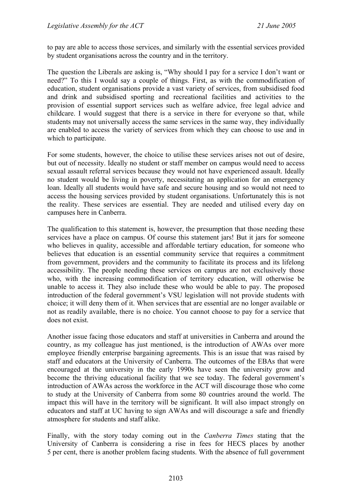to pay are able to access those services, and similarly with the essential services provided by student organisations across the country and in the territory.

The question the Liberals are asking is, "Why should I pay for a service I don't want or need?" To this I would say a couple of things. First, as with the commodification of education, student organisations provide a vast variety of services, from subsidised food and drink and subsidised sporting and recreational facilities and activities to the provision of essential support services such as welfare advice, free legal advice and childcare. I would suggest that there is a service in there for everyone so that, while students may not universally access the same services in the same way, they individually are enabled to access the variety of services from which they can choose to use and in which to participate.

For some students, however, the choice to utilise these services arises not out of desire, but out of necessity. Ideally no student or staff member on campus would need to access sexual assault referral services because they would not have experienced assault. Ideally no student would be living in poverty, necessitating an application for an emergency loan. Ideally all students would have safe and secure housing and so would not need to access the housing services provided by student organisations. Unfortunately this is not the reality. These services are essential. They are needed and utilised every day on campuses here in Canberra.

The qualification to this statement is, however, the presumption that those needing these services have a place on campus. Of course this statement jars! But it jars for someone who believes in quality, accessible and affordable tertiary education, for someone who believes that education is an essential community service that requires a commitment from government, providers and the community to facilitate its process and its lifelong accessibility. The people needing these services on campus are not exclusively those who, with the increasing commodification of territory education, will otherwise be unable to access it. They also include these who would be able to pay. The proposed introduction of the federal government's VSU legislation will not provide students with choice; it will deny them of it. When services that are essential are no longer available or not as readily available, there is no choice. You cannot choose to pay for a service that does not exist.

Another issue facing those educators and staff at universities in Canberra and around the country, as my colleague has just mentioned, is the introduction of AWAs over more employee friendly enterprise bargaining agreements. This is an issue that was raised by staff and educators at the University of Canberra. The outcomes of the EBAs that were encouraged at the university in the early 1990s have seen the university grow and become the thriving educational facility that we see today. The federal government's introduction of AWAs across the workforce in the ACT will discourage those who come to study at the University of Canberra from some 80 countries around the world. The impact this will have in the territory will be significant. It will also impact strongly on educators and staff at UC having to sign AWAs and will discourage a safe and friendly atmosphere for students and staff alike.

Finally, with the story today coming out in the *Canberra Times* stating that the University of Canberra is considering a rise in fees for HECS places by another 5 per cent, there is another problem facing students. With the absence of full government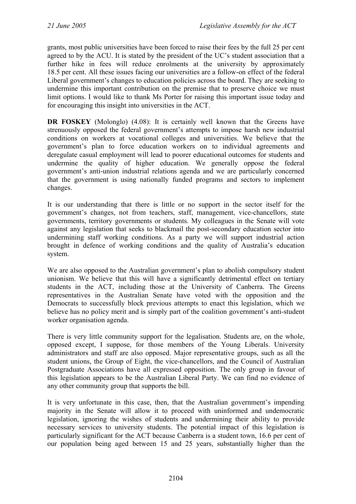grants, most public universities have been forced to raise their fees by the full 25 per cent agreed to by the ACU. It is stated by the president of the UC's student association that a further hike in fees will reduce enrolments at the university by approximately 18.5 per cent. All these issues facing our universities are a follow-on effect of the federal Liberal government's changes to education policies across the board. They are seeking to undermine this important contribution on the premise that to preserve choice we must limit options. I would like to thank Ms Porter for raising this important issue today and for encouraging this insight into universities in the ACT.

**DR FOSKEY** (Molonglo) (4.08): It is certainly well known that the Greens have strenuously opposed the federal government's attempts to impose harsh new industrial conditions on workers at vocational colleges and universities. We believe that the government's plan to force education workers on to individual agreements and deregulate casual employment will lead to poorer educational outcomes for students and undermine the quality of higher education. We generally oppose the federal government's anti-union industrial relations agenda and we are particularly concerned that the government is using nationally funded programs and sectors to implement changes.

It is our understanding that there is little or no support in the sector itself for the government's changes, not from teachers, staff, management, vice-chancellors, state governments, territory governments or students. My colleagues in the Senate will vote against any legislation that seeks to blackmail the post-secondary education sector into undermining staff working conditions. As a party we will support industrial action brought in defence of working conditions and the quality of Australia's education system.

We are also opposed to the Australian government's plan to abolish compulsory student unionism. We believe that this will have a significantly detrimental effect on tertiary students in the ACT, including those at the University of Canberra. The Greens representatives in the Australian Senate have voted with the opposition and the Democrats to successfully block previous attempts to enact this legislation, which we believe has no policy merit and is simply part of the coalition government's anti-student worker organisation agenda.

There is very little community support for the legalisation. Students are, on the whole, opposed except, I suppose, for those members of the Young Liberals. University administrators and staff are also opposed. Major representative groups, such as all the student unions, the Group of Eight, the vice-chancellors, and the Council of Australian Postgraduate Associations have all expressed opposition. The only group in favour of this legislation appears to be the Australian Liberal Party. We can find no evidence of any other community group that supports the bill.

It is very unfortunate in this case, then, that the Australian government's impending majority in the Senate will allow it to proceed with uninformed and undemocratic legislation, ignoring the wishes of students and undermining their ability to provide necessary services to university students. The potential impact of this legislation is particularly significant for the ACT because Canberra is a student town, 16.6 per cent of our population being aged between 15 and 25 years, substantially higher than the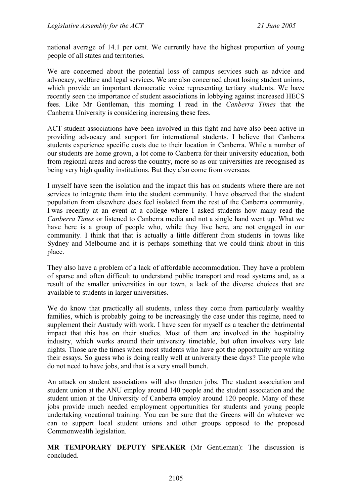national average of 14.1 per cent. We currently have the highest proportion of young people of all states and territories.

We are concerned about the potential loss of campus services such as advice and advocacy, welfare and legal services. We are also concerned about losing student unions, which provide an important democratic voice representing tertiary students. We have recently seen the importance of student associations in lobbying against increased HECS fees. Like Mr Gentleman, this morning I read in the *Canberra Times* that the Canberra University is considering increasing these fees.

ACT student associations have been involved in this fight and have also been active in providing advocacy and support for international students. I believe that Canberra students experience specific costs due to their location in Canberra. While a number of our students are home grown, a lot come to Canberra for their university education, both from regional areas and across the country, more so as our universities are recognised as being very high quality institutions. But they also come from overseas.

I myself have seen the isolation and the impact this has on students where there are not services to integrate them into the student community. I have observed that the student population from elsewhere does feel isolated from the rest of the Canberra community. I was recently at an event at a college where I asked students how many read the *Canberra Times* or listened to Canberra media and not a single hand went up. What we have here is a group of people who, while they live here, are not engaged in our community. I think that that is actually a little different from students in towns like Sydney and Melbourne and it is perhaps something that we could think about in this place.

They also have a problem of a lack of affordable accommodation. They have a problem of sparse and often difficult to understand public transport and road systems and, as a result of the smaller universities in our town, a lack of the diverse choices that are available to students in larger universities.

We do know that practically all students, unless they come from particularly wealthy families, which is probably going to be increasingly the case under this regime, need to supplement their Austudy with work. I have seen for myself as a teacher the detrimental impact that this has on their studies. Most of them are involved in the hospitality industry, which works around their university timetable, but often involves very late nights. Those are the times when most students who have got the opportunity are writing their essays. So guess who is doing really well at university these days? The people who do not need to have jobs, and that is a very small bunch.

An attack on student associations will also threaten jobs. The student association and student union at the ANU employ around 140 people and the student association and the student union at the University of Canberra employ around 120 people. Many of these jobs provide much needed employment opportunities for students and young people undertaking vocational training. You can be sure that the Greens will do whatever we can to support local student unions and other groups opposed to the proposed Commonwealth legislation.

**MR TEMPORARY DEPUTY SPEAKER** (Mr Gentleman): The discussion is concluded.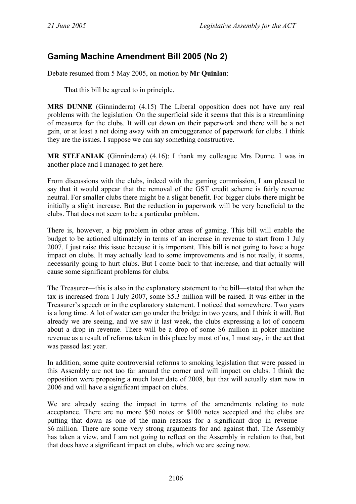# **Gaming Machine Amendment Bill 2005 (No 2)**

Debate resumed from 5 May 2005, on motion by **Mr Quinlan**:

That this bill be agreed to in principle.

**MRS DUNNE** (Ginninderra) (4.15) The Liberal opposition does not have any real problems with the legislation. On the superficial side it seems that this is a streamlining of measures for the clubs. It will cut down on their paperwork and there will be a net gain, or at least a net doing away with an embuggerance of paperwork for clubs. I think they are the issues. I suppose we can say something constructive.

**MR STEFANIAK** (Ginninderra) (4.16): I thank my colleague Mrs Dunne. I was in another place and I managed to get here.

From discussions with the clubs, indeed with the gaming commission, I am pleased to say that it would appear that the removal of the GST credit scheme is fairly revenue neutral. For smaller clubs there might be a slight benefit. For bigger clubs there might be initially a slight increase. But the reduction in paperwork will be very beneficial to the clubs. That does not seem to be a particular problem.

There is, however, a big problem in other areas of gaming. This bill will enable the budget to be actioned ultimately in terms of an increase in revenue to start from 1 July 2007. I just raise this issue because it is important. This bill is not going to have a huge impact on clubs. It may actually lead to some improvements and is not really, it seems, necessarily going to hurt clubs. But I come back to that increase, and that actually will cause some significant problems for clubs.

The Treasurer—this is also in the explanatory statement to the bill—stated that when the tax is increased from 1 July 2007, some \$5.3 million will be raised. It was either in the Treasurer's speech or in the explanatory statement. I noticed that somewhere. Two years is a long time. A lot of water can go under the bridge in two years, and I think it will. But already we are seeing, and we saw it last week, the clubs expressing a lot of concern about a drop in revenue. There will be a drop of some \$6 million in poker machine revenue as a result of reforms taken in this place by most of us, I must say, in the act that was passed last year.

In addition, some quite controversial reforms to smoking legislation that were passed in this Assembly are not too far around the corner and will impact on clubs. I think the opposition were proposing a much later date of 2008, but that will actually start now in 2006 and will have a significant impact on clubs.

We are already seeing the impact in terms of the amendments relating to note acceptance. There are no more \$50 notes or \$100 notes accepted and the clubs are putting that down as one of the main reasons for a significant drop in revenue— \$6 million. There are some very strong arguments for and against that. The Assembly has taken a view, and I am not going to reflect on the Assembly in relation to that, but that does have a significant impact on clubs, which we are seeing now.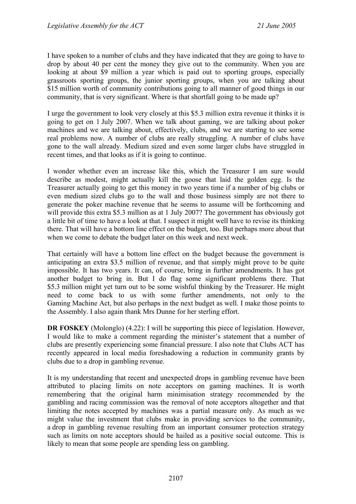I have spoken to a number of clubs and they have indicated that they are going to have to drop by about 40 per cent the money they give out to the community. When you are looking at about \$9 million a year which is paid out to sporting groups, especially grassroots sporting groups, the junior sporting groups, when you are talking about \$15 million worth of community contributions going to all manner of good things in our community, that is very significant. Where is that shortfall going to be made up?

I urge the government to look very closely at this \$5.3 million extra revenue it thinks it is going to get on 1 July 2007. When we talk about gaming, we are talking about poker machines and we are talking about, effectively, clubs, and we are starting to see some real problems now. A number of clubs are really struggling. A number of clubs have gone to the wall already. Medium sized and even some larger clubs have struggled in recent times, and that looks as if it is going to continue.

I wonder whether even an increase like this, which the Treasurer I am sure would describe as modest, might actually kill the goose that laid the golden egg. Is the Treasurer actually going to get this money in two years time if a number of big clubs or even medium sized clubs go to the wall and those business simply are not there to generate the poker machine revenue that he seems to assume will be forthcoming and will provide this extra \$5.3 million as at 1 July 2007? The government has obviously got a little bit of time to have a look at that. I suspect it might well have to revise its thinking there. That will have a bottom line effect on the budget, too. But perhaps more about that when we come to debate the budget later on this week and next week.

That certainly will have a bottom line effect on the budget because the government is anticipating an extra \$3.5 million of revenue, and that simply might prove to be quite impossible. It has two years. It can, of course, bring in further amendments. It has got another budget to bring in. But I do flag some significant problems there. That \$5.3 million might yet turn out to be some wishful thinking by the Treasurer. He might need to come back to us with some further amendments, not only to the Gaming Machine Act, but also perhaps in the next budget as well. I make those points to the Assembly. I also again thank Mrs Dunne for her sterling effort.

**DR FOSKEY** (Molonglo) (4.22): I will be supporting this piece of legislation. However, I would like to make a comment regarding the minister's statement that a number of clubs are presently experiencing some financial pressure. I also note that Clubs ACT has recently appeared in local media foreshadowing a reduction in community grants by clubs due to a drop in gambling revenue.

It is my understanding that recent and unexpected drops in gambling revenue have been attributed to placing limits on note acceptors on gaming machines. It is worth remembering that the original harm minimisation strategy recommended by the gambling and racing commission was the removal of note acceptors altogether and that limiting the notes accepted by machines was a partial measure only. As much as we might value the investment that clubs make in providing services to the community, a drop in gambling revenue resulting from an important consumer protection strategy such as limits on note acceptors should be hailed as a positive social outcome. This is likely to mean that some people are spending less on gambling.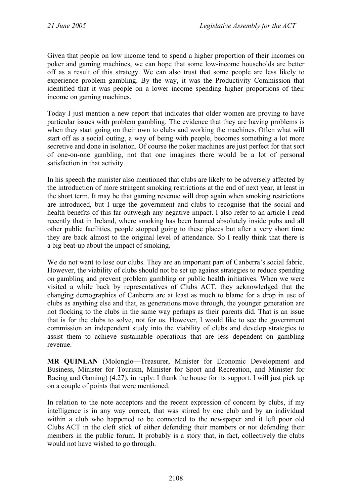Given that people on low income tend to spend a higher proportion of their incomes on poker and gaming machines, we can hope that some low-income households are better off as a result of this strategy. We can also trust that some people are less likely to experience problem gambling. By the way, it was the Productivity Commission that identified that it was people on a lower income spending higher proportions of their income on gaming machines.

Today I just mention a new report that indicates that older women are proving to have particular issues with problem gambling. The evidence that they are having problems is when they start going on their own to clubs and working the machines. Often what will start off as a social outing, a way of being with people, becomes something a lot more secretive and done in isolation. Of course the poker machines are just perfect for that sort of one-on-one gambling, not that one imagines there would be a lot of personal satisfaction in that activity.

In his speech the minister also mentioned that clubs are likely to be adversely affected by the introduction of more stringent smoking restrictions at the end of next year, at least in the short term. It may be that gaming revenue will drop again when smoking restrictions are introduced, but I urge the government and clubs to recognise that the social and health benefits of this far outweigh any negative impact. I also refer to an article I read recently that in Ireland, where smoking has been banned absolutely inside pubs and all other public facilities, people stopped going to these places but after a very short time they are back almost to the original level of attendance. So I really think that there is a big beat-up about the impact of smoking.

We do not want to lose our clubs. They are an important part of Canberra's social fabric. However, the viability of clubs should not be set up against strategies to reduce spending on gambling and prevent problem gambling or public health initiatives. When we were visited a while back by representatives of Clubs ACT, they acknowledged that the changing demographics of Canberra are at least as much to blame for a drop in use of clubs as anything else and that, as generations move through, the younger generation are not flocking to the clubs in the same way perhaps as their parents did. That is an issue that is for the clubs to solve, not for us. However, I would like to see the government commission an independent study into the viability of clubs and develop strategies to assist them to achieve sustainable operations that are less dependent on gambling revenue.

**MR QUINLAN** (Molonglo—Treasurer, Minister for Economic Development and Business, Minister for Tourism, Minister for Sport and Recreation, and Minister for Racing and Gaming) (4.27), in reply: I thank the house for its support. I will just pick up on a couple of points that were mentioned.

In relation to the note acceptors and the recent expression of concern by clubs, if my intelligence is in any way correct, that was stirred by one club and by an individual within a club who happened to be connected to the newspaper and it left poor old Clubs ACT in the cleft stick of either defending their members or not defending their members in the public forum. It probably is a story that, in fact, collectively the clubs would not have wished to go through.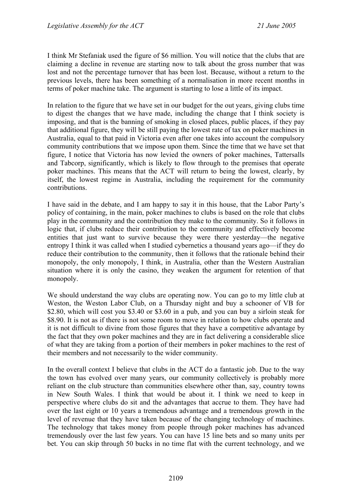I think Mr Stefaniak used the figure of \$6 million. You will notice that the clubs that are claiming a decline in revenue are starting now to talk about the gross number that was lost and not the percentage turnover that has been lost. Because, without a return to the previous levels, there has been something of a normalisation in more recent months in terms of poker machine take. The argument is starting to lose a little of its impact.

In relation to the figure that we have set in our budget for the out years, giving clubs time to digest the changes that we have made, including the change that I think society is imposing, and that is the banning of smoking in closed places, public places, if they pay that additional figure, they will be still paying the lowest rate of tax on poker machines in Australia, equal to that paid in Victoria even after one takes into account the compulsory community contributions that we impose upon them. Since the time that we have set that figure, I notice that Victoria has now levied the owners of poker machines, Tattersalls and Tabcorp, significantly, which is likely to flow through to the premises that operate poker machines. This means that the ACT will return to being the lowest, clearly, by itself, the lowest regime in Australia, including the requirement for the community contributions.

I have said in the debate, and I am happy to say it in this house, that the Labor Party's policy of containing, in the main, poker machines to clubs is based on the role that clubs play in the community and the contribution they make to the community. So it follows in logic that, if clubs reduce their contribution to the community and effectively become entities that just want to survive because they were there yesterday—the negative entropy I think it was called when I studied cybernetics a thousand years ago—if they do reduce their contribution to the community, then it follows that the rationale behind their monopoly, the only monopoly, I think, in Australia, other than the Western Australian situation where it is only the casino, they weaken the argument for retention of that monopoly.

We should understand the way clubs are operating now. You can go to my little club at Weston, the Weston Labor Club, on a Thursday night and buy a schooner of VB for \$2.80, which will cost you \$3.40 or \$3.60 in a pub, and you can buy a sirloin steak for \$8.90. It is not as if there is not some room to move in relation to how clubs operate and it is not difficult to divine from those figures that they have a competitive advantage by the fact that they own poker machines and they are in fact delivering a considerable slice of what they are taking from a portion of their members in poker machines to the rest of their members and not necessarily to the wider community.

In the overall context I believe that clubs in the ACT do a fantastic job. Due to the way the town has evolved over many years, our community collectively is probably more reliant on the club structure than communities elsewhere other than, say, country towns in New South Wales. I think that would be about it. I think we need to keep in perspective where clubs do sit and the advantages that accrue to them. They have had over the last eight or 10 years a tremendous advantage and a tremendous growth in the level of revenue that they have taken because of the changing technology of machines. The technology that takes money from people through poker machines has advanced tremendously over the last few years. You can have 15 line bets and so many units per bet. You can skip through 50 bucks in no time flat with the current technology, and we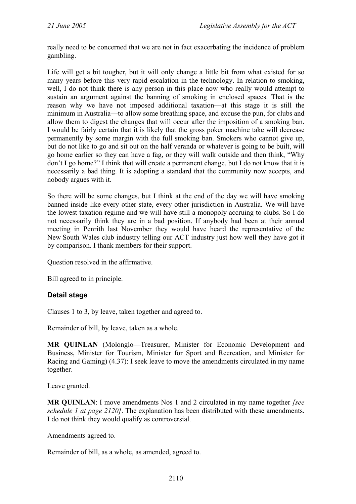really need to be concerned that we are not in fact exacerbating the incidence of problem gambling.

Life will get a bit tougher, but it will only change a little bit from what existed for so many years before this very rapid escalation in the technology. In relation to smoking, well, I do not think there is any person in this place now who really would attempt to sustain an argument against the banning of smoking in enclosed spaces. That is the reason why we have not imposed additional taxation—at this stage it is still the minimum in Australia—to allow some breathing space, and excuse the pun, for clubs and allow them to digest the changes that will occur after the imposition of a smoking ban. I would be fairly certain that it is likely that the gross poker machine take will decrease permanently by some margin with the full smoking ban. Smokers who cannot give up, but do not like to go and sit out on the half veranda or whatever is going to be built, will go home earlier so they can have a fag, or they will walk outside and then think, "Why don't I go home?" I think that will create a permanent change, but I do not know that it is necessarily a bad thing. It is adopting a standard that the community now accepts, and nobody argues with it.

So there will be some changes, but I think at the end of the day we will have smoking banned inside like every other state, every other jurisdiction in Australia. We will have the lowest taxation regime and we will have still a monopoly accruing to clubs. So I do not necessarily think they are in a bad position. If anybody had been at their annual meeting in Penrith last November they would have heard the representative of the New South Wales club industry telling our ACT industry just how well they have got it by comparison. I thank members for their support.

Question resolved in the affirmative.

Bill agreed to in principle.

# **Detail stage**

Clauses 1 to 3, by leave, taken together and agreed to.

Remainder of bill, by leave, taken as a whole.

**MR QUINLAN** (Molonglo—Treasurer, Minister for Economic Development and Business, Minister for Tourism, Minister for Sport and Recreation, and Minister for Racing and Gaming) (4.37): I seek leave to move the amendments circulated in my name together.

Leave granted.

**MR QUINLAN**: I move amendments Nos 1 and 2 circulated in my name together *[see schedule 1 at page 2120]*. The explanation has been distributed with these amendments. I do not think they would qualify as controversial.

Amendments agreed to.

Remainder of bill, as a whole, as amended, agreed to.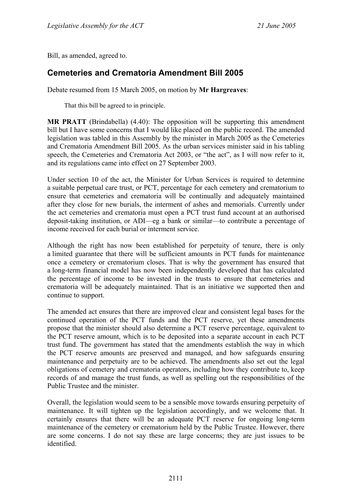Bill, as amended, agreed to.

# **Cemeteries and Crematoria Amendment Bill 2005**

Debate resumed from 15 March 2005, on motion by **Mr Hargreaves**:

That this bill be agreed to in principle.

**MR PRATT** (Brindabella) (4.40): The opposition will be supporting this amendment bill but I have some concerns that I would like placed on the public record. The amended legislation was tabled in this Assembly by the minister in March 2005 as the Cemeteries and Crematoria Amendment Bill 2005. As the urban services minister said in his tabling speech, the Cemeteries and Crematoria Act 2003, or "the act", as I will now refer to it, and its regulations came into effect on 27 September 2003.

Under section 10 of the act, the Minister for Urban Services is required to determine a suitable perpetual care trust, or PCT, percentage for each cemetery and crematorium to ensure that cemeteries and crematoria will be continually and adequately maintained after they close for new burials, the interment of ashes and memorials. Currently under the act cemeteries and crematoria must open a PCT trust fund account at an authorised deposit-taking institution, or ADI—eg a bank or similar—to contribute a percentage of income received for each burial or interment service.

Although the right has now been established for perpetuity of tenure, there is only a limited guarantee that there will be sufficient amounts in PCT funds for maintenance once a cemetery or crematorium closes. That is why the government has ensured that a long-term financial model has now been independently developed that has calculated the percentage of income to be invested in the trusts to ensure that cemeteries and crematoria will be adequately maintained. That is an initiative we supported then and continue to support.

The amended act ensures that there are improved clear and consistent legal bases for the continued operation of the PCT funds and the PCT reserve, yet these amendments propose that the minister should also determine a PCT reserve percentage, equivalent to the PCT reserve amount, which is to be deposited into a separate account in each PCT trust fund. The government has stated that the amendments establish the way in which the PCT reserve amounts are preserved and managed, and how safeguards ensuring maintenance and perpetuity are to be achieved. The amendments also set out the legal obligations of cemetery and crematoria operators, including how they contribute to, keep records of and manage the trust funds, as well as spelling out the responsibilities of the Public Trustee and the minister.

Overall, the legislation would seem to be a sensible move towards ensuring perpetuity of maintenance. It will tighten up the legislation accordingly, and we welcome that. It certainly ensures that there will be an adequate PCT reserve for ongoing long-term maintenance of the cemetery or crematorium held by the Public Trustee. However, there are some concerns. I do not say these are large concerns; they are just issues to be identified.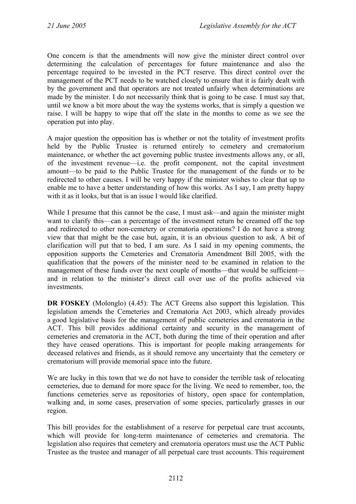One concern is that the amendments will now give the minister direct control over determining the calculation of percentages for future maintenance and also the percentage required to be invested in the PCT reserve. This direct control over the management of the PCT needs to be watched closely to ensure that it is fairly dealt with by the government and that operators are not treated unfairly when determinations are made by the minister. I do not necessarily think that is going to be case. I must say that, until we know a bit more about the way the systems works, that is simply a question we raise. I will be happy to wipe that off the slate in the months to come as we see the operation put into play.

A major question the opposition has is whether or not the totality of investment profits held by the Public Trustee is returned entirely to cemetery and crematorium maintenance, or whether the act governing public trustee investments allows any, or all, of the investment revenue—i.e. the profit component, not the capital investment amount—to be paid to the Public Trustee for the management of the funds or to be redirected to other causes. I will be very happy if the minister wishes to clear that up to enable me to have a better understanding of how this works. As I say, I am pretty happy with it as it looks, but that is an issue I would like clarified.

While I presume that this cannot be the case, I must ask—and again the minister might want to clarify this—can a percentage of the investment return be creamed off the top and redirected to other non-cemetery or crematoria operations? I do not have a strong view that that might be the case but, again, it is an obvious question to ask. A bit of clarification will put that to bed, I am sure. As I said in my opening comments, the opposition supports the Cemeteries and Crematoria Amendment Bill 2005, with the qualification that the powers of the minister need to be examined in relation to the management of these funds over the next couple of months—that would be sufficient and in relation to the minister's direct call over use of the profits achieved via investments.

**DR FOSKEY** (Molonglo) (4.45): The ACT Greens also support this legislation. This legislation amends the Cemeteries and Crematoria Act 2003, which already provides a good legislative basis for the management of public cemeteries and crematoria in the ACT. This bill provides additional certainty and security in the management of cemeteries and crematoria in the ACT, both during the time of their operation and after they have ceased operations. This is important for people making arrangements for deceased relatives and friends, as it should remove any uncertainty that the cemetery or crematorium will provide memorial space into the future.

We are lucky in this town that we do not have to consider the terrible task of relocating cemeteries, due to demand for more space for the living. We need to remember, too, the functions cemeteries serve as repositories of history, open space for contemplation, walking and, in some cases, preservation of some species, particularly grasses in our region.

This bill provides for the establishment of a reserve for perpetual care trust accounts, which will provide for long-term maintenance of cemeteries and crematoria. The legislation also requires that cemetery and crematoria operators must use the ACT Public Trustee as the trustee and manager of all perpetual care trust accounts. This requirement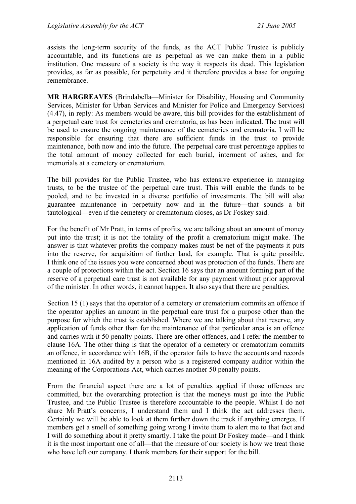assists the long-term security of the funds, as the ACT Public Trustee is publicly accountable, and its functions are as perpetual as we can make them in a public institution. One measure of a society is the way it respects its dead. This legislation provides, as far as possible, for perpetuity and it therefore provides a base for ongoing remembrance.

**MR HARGREAVES** (Brindabella—Minister for Disability, Housing and Community Services, Minister for Urban Services and Minister for Police and Emergency Services) (4.47), in reply: As members would be aware, this bill provides for the establishment of a perpetual care trust for cemeteries and crematoria, as has been indicated. The trust will be used to ensure the ongoing maintenance of the cemeteries and crematoria. I will be responsible for ensuring that there are sufficient funds in the trust to provide maintenance, both now and into the future. The perpetual care trust percentage applies to the total amount of money collected for each burial, interment of ashes, and for memorials at a cemetery or crematorium.

The bill provides for the Public Trustee, who has extensive experience in managing trusts, to be the trustee of the perpetual care trust. This will enable the funds to be pooled, and to be invested in a diverse portfolio of investments. The bill will also guarantee maintenance in perpetuity now and in the future—that sounds a bit tautological—even if the cemetery or crematorium closes, as Dr Foskey said.

For the benefit of Mr Pratt, in terms of profits, we are talking about an amount of money put into the trust; it is not the totality of the profit a crematorium might make. The answer is that whatever profits the company makes must be net of the payments it puts into the reserve, for acquisition of further land, for example. That is quite possible. I think one of the issues you were concerned about was protection of the funds. There are a couple of protections within the act. Section 16 says that an amount forming part of the reserve of a perpetual care trust is not available for any payment without prior approval of the minister. In other words, it cannot happen. It also says that there are penalties.

Section 15 (1) says that the operator of a cemetery or crematorium commits an offence if the operator applies an amount in the perpetual care trust for a purpose other than the purpose for which the trust is established. Where we are talking about that reserve, any application of funds other than for the maintenance of that particular area is an offence and carries with it 50 penalty points. There are other offences, and I refer the member to clause 16A. The other thing is that the operator of a cemetery or crematorium commits an offence, in accordance with 16B, if the operator fails to have the accounts and records mentioned in 16A audited by a person who is a registered company auditor within the meaning of the Corporations Act, which carries another 50 penalty points.

From the financial aspect there are a lot of penalties applied if those offences are committed, but the overarching protection is that the moneys must go into the Public Trustee, and the Public Trustee is therefore accountable to the people. Whilst I do not share Mr Pratt's concerns, I understand them and I think the act addresses them. Certainly we will be able to look at them further down the track if anything emerges. If members get a smell of something going wrong I invite them to alert me to that fact and I will do something about it pretty smartly. I take the point Dr Foskey made—and I think it is the most important one of all—that the measure of our society is how we treat those who have left our company. I thank members for their support for the bill.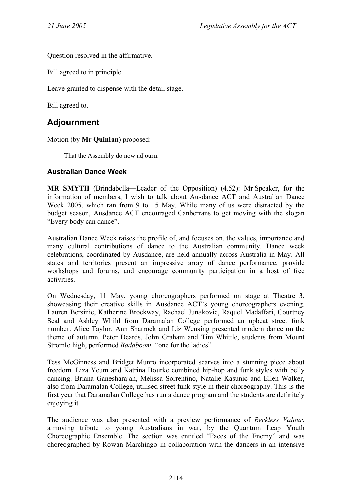Question resolved in the affirmative.

Bill agreed to in principle.

Leave granted to dispense with the detail stage.

Bill agreed to.

## **Adjournment**

Motion (by **Mr Quinlan**) proposed:

That the Assembly do now adjourn.

#### **Australian Dance Week**

**MR SMYTH** (Brindabella—Leader of the Opposition) (4.52): Mr Speaker, for the information of members, I wish to talk about Ausdance ACT and Australian Dance Week 2005, which ran from 9 to 15 May. While many of us were distracted by the budget season, Ausdance ACT encouraged Canberrans to get moving with the slogan "Every body can dance".

Australian Dance Week raises the profile of, and focuses on, the values, importance and many cultural contributions of dance to the Australian community. Dance week celebrations, coordinated by Ausdance, are held annually across Australia in May. All states and territories present an impressive array of dance performance, provide workshops and forums, and encourage community participation in a host of free activities.

On Wednesday, 11 May, young choreographers performed on stage at Theatre 3, showcasing their creative skills in Ausdance ACT's young choreographers evening. Lauren Bersinic, Katherine Brockway, Rachael Junakovic, Raquel Madaffari, Courtney Seal and Ashley Whild from Daramalan College performed an upbeat street funk number. Alice Taylor, Ann Sharrock and Liz Wensing presented modern dance on the theme of autumn. Peter Deards, John Graham and Tim Whittle, students from Mount Stromlo high, performed *Badaboom,* "one for the ladies".

Tess McGinness and Bridget Munro incorporated scarves into a stunning piece about freedom. Liza Yeum and Katrina Bourke combined hip-hop and funk styles with belly dancing. Briana Ganesharajah, Melissa Sorrentino, Natalie Kasunic and Ellen Walker, also from Daramalan College, utilised street funk style in their choreography. This is the first year that Daramalan College has run a dance program and the students are definitely enjoying it.

The audience was also presented with a preview performance of *Reckless Valour*, a moving tribute to young Australians in war, by the Quantum Leap Youth Choreographic Ensemble. The section was entitled "Faces of the Enemy" and was choreographed by Rowan Marchingo in collaboration with the dancers in an intensive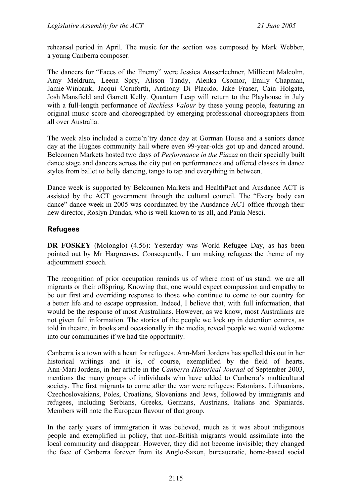rehearsal period in April. The music for the section was composed by Mark Webber, a young Canberra composer.

The dancers for "Faces of the Enemy" were Jessica Ausserlechner, Millicent Malcolm, Amy Meldrum, Leena Spry, Alison Tandy, Alenka Csomor, Emily Chapman, Jamie Winbank, Jacqui Cornforth, Anthony Di Placido, Jake Fraser, Cain Holgate, Josh Mansfield and Garrett Kelly. Quantum Leap will return to the Playhouse in July with a full-length performance of *Reckless Valour* by these young people, featuring an original music score and choreographed by emerging professional choreographers from all over Australia.

The week also included a come'n'try dance day at Gorman House and a seniors dance day at the Hughes community hall where even 99-year-olds got up and danced around. Belconnen Markets hosted two days of *Performance in the Piazza* on their specially built dance stage and dancers across the city put on performances and offered classes in dance styles from ballet to belly dancing, tango to tap and everything in between.

Dance week is supported by Belconnen Markets and HealthPact and Ausdance ACT is assisted by the ACT government through the cultural council. The "Every body can dance" dance week in 2005 was coordinated by the Ausdance ACT office through their new director, Roslyn Dundas, who is well known to us all, and Paula Nesci.

#### **Refugees**

**DR FOSKEY** (Molonglo) (4.56): Yesterday was World Refugee Day, as has been pointed out by Mr Hargreaves. Consequently, I am making refugees the theme of my adjournment speech.

The recognition of prior occupation reminds us of where most of us stand: we are all migrants or their offspring. Knowing that, one would expect compassion and empathy to be our first and overriding response to those who continue to come to our country for a better life and to escape oppression. Indeed, I believe that, with full information, that would be the response of most Australians. However, as we know, most Australians are not given full information. The stories of the people we lock up in detention centres, as told in theatre, in books and occasionally in the media, reveal people we would welcome into our communities if we had the opportunity.

Canberra is a town with a heart for refugees. Ann-Mari Jordens has spelled this out in her historical writings and it is, of course, exemplified by the field of hearts. Ann-Mari Jordens, in her article in the *Canberra Historical Journal* of September 2003, mentions the many groups of individuals who have added to Canberra's multicultural society. The first migrants to come after the war were refugees: Estonians, Lithuanians, Czechoslovakians, Poles, Croatians, Slovenians and Jews, followed by immigrants and refugees, including Serbians, Greeks, Germans, Austrians, Italians and Spaniards. Members will note the European flavour of that group.

In the early years of immigration it was believed, much as it was about indigenous people and exemplified in policy, that non-British migrants would assimilate into the local community and disappear. However, they did not become invisible; they changed the face of Canberra forever from its Anglo-Saxon, bureaucratic, home-based social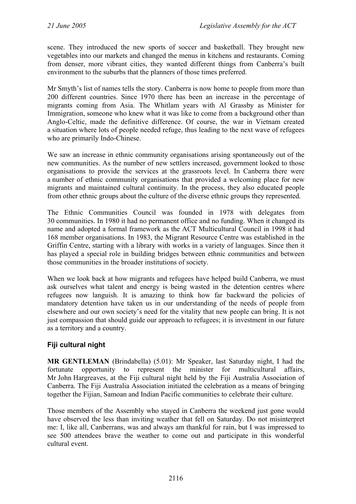scene. They introduced the new sports of soccer and basketball. They brought new vegetables into our markets and changed the menus in kitchens and restaurants. Coming from denser, more vibrant cities, they wanted different things from Canberra's built environment to the suburbs that the planners of those times preferred.

Mr Smyth's list of names tells the story. Canberra is now home to people from more than 200 different countries. Since 1970 there has been an increase in the percentage of migrants coming from Asia. The Whitlam years with Al Grassby as Minister for Immigration, someone who knew what it was like to come from a background other than Anglo-Celtic, made the definitive difference. Of course, the war in Vietnam created a situation where lots of people needed refuge, thus leading to the next wave of refugees who are primarily Indo-Chinese.

We saw an increase in ethnic community organisations arising spontaneously out of the new communities. As the number of new settlers increased, government looked to those organisations to provide the services at the grassroots level. In Canberra there were a number of ethnic community organisations that provided a welcoming place for new migrants and maintained cultural continuity. In the process, they also educated people from other ethnic groups about the culture of the diverse ethnic groups they represented.

The Ethnic Communities Council was founded in 1978 with delegates from 30 communities. In 1980 it had no permanent office and no funding. When it changed its name and adopted a formal framework as the ACT Multicultural Council in 1998 it had 168 member organisations. In 1983, the Migrant Resource Centre was established in the Griffin Centre, starting with a library with works in a variety of languages. Since then it has played a special role in building bridges between ethnic communities and between those communities in the broader institutions of society.

When we look back at how migrants and refugees have helped build Canberra, we must ask ourselves what talent and energy is being wasted in the detention centres where refugees now languish. It is amazing to think how far backward the policies of mandatory detention have taken us in our understanding of the needs of people from elsewhere and our own society's need for the vitality that new people can bring. It is not just compassion that should guide our approach to refugees; it is investment in our future as a territory and a country.

#### **Fiji cultural night**

**MR GENTLEMAN** (Brindabella) (5.01): Mr Speaker, last Saturday night, I had the fortunate opportunity to represent the minister for multicultural affairs, Mr John Hargreaves, at the Fiji cultural night held by the Fiji Australia Association of Canberra. The Fiji Australia Association initiated the celebration as a means of bringing together the Fijian, Samoan and Indian Pacific communities to celebrate their culture.

Those members of the Assembly who stayed in Canberra the weekend just gone would have observed the less than inviting weather that fell on Saturday. Do not misinterpret me: I, like all, Canberrans, was and always am thankful for rain, but I was impressed to see 500 attendees brave the weather to come out and participate in this wonderful cultural event.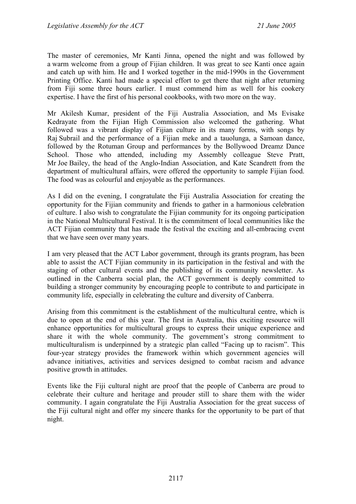The master of ceremonies, Mr Kanti Jinna, opened the night and was followed by a warm welcome from a group of Fijian children. It was great to see Kanti once again and catch up with him. He and I worked together in the mid-1990s in the Government Printing Office. Kanti had made a special effort to get there that night after returning from Fiji some three hours earlier. I must commend him as well for his cookery expertise. I have the first of his personal cookbooks, with two more on the way.

Mr Akilesh Kumar, president of the Fiji Australia Association, and Ms Evisake Kedrayate from the Fijian High Commission also welcomed the gathering. What followed was a vibrant display of Fijian culture in its many forms, with songs by Raj Subrail and the performance of a Fijian meke and a tauolunga, a Samoan dance, followed by the Rotuman Group and performances by the Bollywood Dreamz Dance School. Those who attended, including my Assembly colleague Steve Pratt, Mr Joe Bailey, the head of the Anglo-Indian Association, and Kate Scandrett from the department of multicultural affairs, were offered the opportunity to sample Fijian food. The food was as colourful and enjoyable as the performances.

As I did on the evening, I congratulate the Fiji Australia Association for creating the opportunity for the Fijian community and friends to gather in a harmonious celebration of culture. I also wish to congratulate the Fijian community for its ongoing participation in the National Multicultural Festival. It is the commitment of local communities like the ACT Fijian community that has made the festival the exciting and all-embracing event that we have seen over many years.

I am very pleased that the ACT Labor government, through its grants program, has been able to assist the ACT Fijian community in its participation in the festival and with the staging of other cultural events and the publishing of its community newsletter. As outlined in the Canberra social plan, the ACT government is deeply committed to building a stronger community by encouraging people to contribute to and participate in community life, especially in celebrating the culture and diversity of Canberra.

Arising from this commitment is the establishment of the multicultural centre, which is due to open at the end of this year. The first in Australia, this exciting resource will enhance opportunities for multicultural groups to express their unique experience and share it with the whole community. The government's strong commitment to multiculturalism is underpinned by a strategic plan called "Facing up to racism". This four-year strategy provides the framework within which government agencies will advance initiatives, activities and services designed to combat racism and advance positive growth in attitudes.

Events like the Fiji cultural night are proof that the people of Canberra are proud to celebrate their culture and heritage and prouder still to share them with the wider community. I again congratulate the Fiji Australia Association for the great success of the Fiji cultural night and offer my sincere thanks for the opportunity to be part of that night.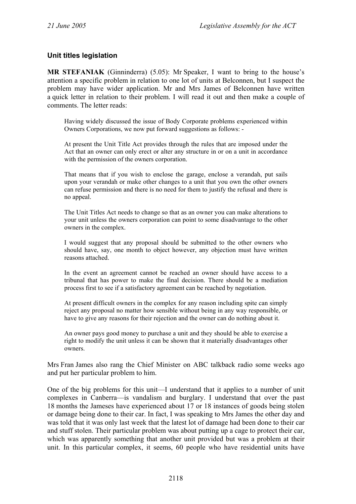#### **Unit titles legislation**

**MR STEFANIAK** (Ginninderra) (5.05): Mr Speaker, I want to bring to the house's attention a specific problem in relation to one lot of units at Belconnen, but I suspect the problem may have wider application. Mr and Mrs James of Belconnen have written a quick letter in relation to their problem. I will read it out and then make a couple of comments. The letter reads:

Having widely discussed the issue of Body Corporate problems experienced within Owners Corporations, we now put forward suggestions as follows: -

At present the Unit Title Act provides through the rules that are imposed under the Act that an owner can only erect or alter any structure in or on a unit in accordance with the permission of the owners corporation.

That means that if you wish to enclose the garage, enclose a verandah, put sails upon your verandah or make other changes to a unit that you own the other owners can refuse permission and there is no need for them to justify the refusal and there is no appeal.

The Unit Titles Act needs to change so that as an owner you can make alterations to your unit unless the owners corporation can point to some disadvantage to the other owners in the complex.

I would suggest that any proposal should be submitted to the other owners who should have, say, one month to object however, any objection must have written reasons attached.

In the event an agreement cannot be reached an owner should have access to a tribunal that has power to make the final decision. There should be a mediation process first to see if a satisfactory agreement can be reached by negotiation.

At present difficult owners in the complex for any reason including spite can simply reject any proposal no matter how sensible without being in any way responsible, or have to give any reasons for their rejection and the owner can do nothing about it.

An owner pays good money to purchase a unit and they should be able to exercise a right to modify the unit unless it can be shown that it materially disadvantages other owners.

Mrs Fran James also rang the Chief Minister on ABC talkback radio some weeks ago and put her particular problem to him.

One of the big problems for this unit—I understand that it applies to a number of unit complexes in Canberra—is vandalism and burglary. I understand that over the past 18 months the Jameses have experienced about 17 or 18 instances of goods being stolen or damage being done to their car. In fact, I was speaking to Mrs James the other day and was told that it was only last week that the latest lot of damage had been done to their car and stuff stolen. Their particular problem was about putting up a cage to protect their car, which was apparently something that another unit provided but was a problem at their unit. In this particular complex, it seems, 60 people who have residential units have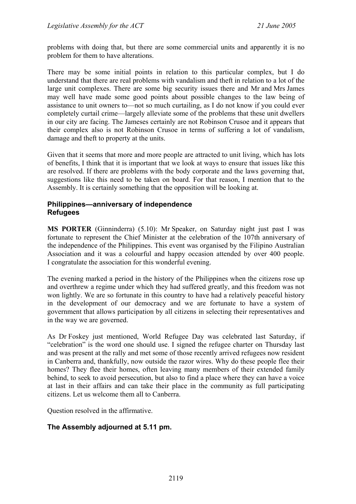problems with doing that, but there are some commercial units and apparently it is no problem for them to have alterations.

There may be some initial points in relation to this particular complex, but I do understand that there are real problems with vandalism and theft in relation to a lot of the large unit complexes. There are some big security issues there and Mr and Mrs James may well have made some good points about possible changes to the law being of assistance to unit owners to—not so much curtailing, as I do not know if you could ever completely curtail crime—largely alleviate some of the problems that these unit dwellers in our city are facing. The Jameses certainly are not Robinson Crusoe and it appears that their complex also is not Robinson Crusoe in terms of suffering a lot of vandalism, damage and theft to property at the units.

Given that it seems that more and more people are attracted to unit living, which has lots of benefits, I think that it is important that we look at ways to ensure that issues like this are resolved. If there are problems with the body corporate and the laws governing that, suggestions like this need to be taken on board. For that reason, I mention that to the Assembly. It is certainly something that the opposition will be looking at.

#### **Philippines—anniversary of independence Refugees**

**MS PORTER** (Ginninderra) (5.10): Mr Speaker, on Saturday night just past I was fortunate to represent the Chief Minister at the celebration of the 107th anniversary of the independence of the Philippines. This event was organised by the Filipino Australian Association and it was a colourful and happy occasion attended by over 400 people. I congratulate the association for this wonderful evening.

The evening marked a period in the history of the Philippines when the citizens rose up and overthrew a regime under which they had suffered greatly, and this freedom was not won lightly. We are so fortunate in this country to have had a relatively peaceful history in the development of our democracy and we are fortunate to have a system of government that allows participation by all citizens in selecting their representatives and in the way we are governed.

As Dr Foskey just mentioned, World Refugee Day was celebrated last Saturday, if "celebration" is the word one should use. I signed the refugee charter on Thursday last and was present at the rally and met some of those recently arrived refugees now resident in Canberra and, thankfully, now outside the razor wires. Why do these people flee their homes? They flee their homes, often leaving many members of their extended family behind, to seek to avoid persecution, but also to find a place where they can have a voice at last in their affairs and can take their place in the community as full participating citizens. Let us welcome them all to Canberra.

Question resolved in the affirmative.

#### **The Assembly adjourned at 5.11 pm.**